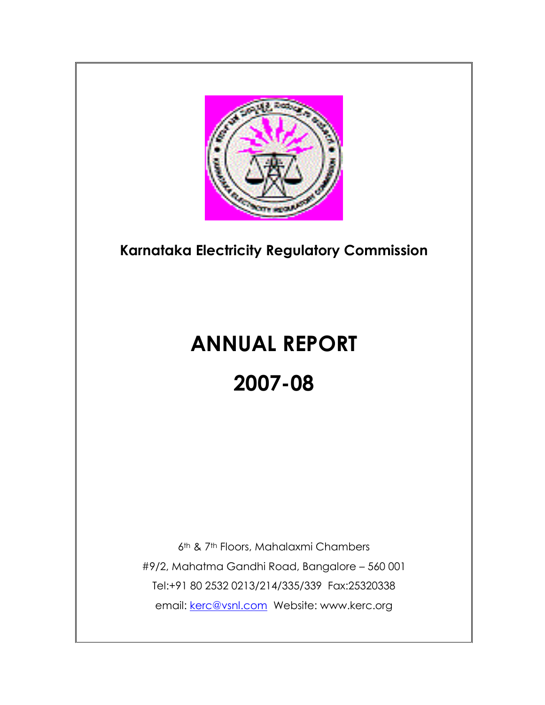

# **Karnataka Electricity Regulatory Commission**

# **ANNUAL REPORT 2007-08**

6th & 7th Floors, Mahalaxmi Chambers #9/2, Mahatma Gandhi Road, Bangalore – 560 001 Tel:+91 80 2532 0213/214/335/339 Fax:25320338 email: [kerc@vsnl.com](mailto:kerc@vsnl.com) Website: www.kerc.org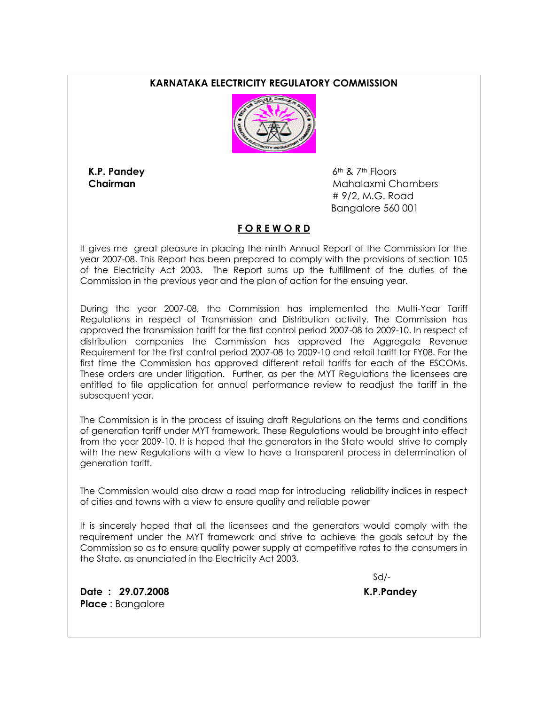#### **KARNATAKA ELECTRICITY REGULATORY COMMISSION**



**K.P. Pandey** 6th & 7th Floors **Chairman Chairman** *Mahalaxmi* **Chambers** # 9/2, M.G. Road Bangalore 560 001

#### **F O R E W O R D**

It gives me great pleasure in placing the ninth Annual Report of the Commission for the year 2007-08. This Report has been prepared to comply with the provisions of section 105 of the Electricity Act 2003. The Report sums up the fulfillment of the duties of the Commission in the previous year and the plan of action for the ensuing year.

During the year 2007-08, the Commission has implemented the Multi-Year Tariff Regulations in respect of Transmission and Distribution activity. The Commission has approved the transmission tariff for the first control period 2007-08 to 2009-10. In respect of distribution companies the Commission has approved the Aggregate Revenue Requirement for the first control period 2007-08 to 2009-10 and retail tariff for FY08. For the first time the Commission has approved different retail tariffs for each of the ESCOMs. These orders are under litigation. Further, as per the MYT Regulations the licensees are entitled to file application for annual performance review to readjust the tariff in the subsequent year.

The Commission is in the process of issuing draft Regulations on the terms and conditions of generation tariff under MYT framework. These Regulations would be brought into effect from the year 2009-10. It is hoped that the generators in the State would strive to comply with the new Regulations with a view to have a transparent process in determination of generation tariff.

The Commission would also draw a road map for introducing reliability indices in respect of cities and towns with a view to ensure quality and reliable power

It is sincerely hoped that all the licensees and the generators would comply with the requirement under the MYT framework and strive to achieve the goals setout by the Commission so as to ensure quality power supply at competitive rates to the consumers in the State, as enunciated in the Electricity Act 2003.

Sd/-

**Date : 29.07.2008 K.P.Pandey Place** : Bangalore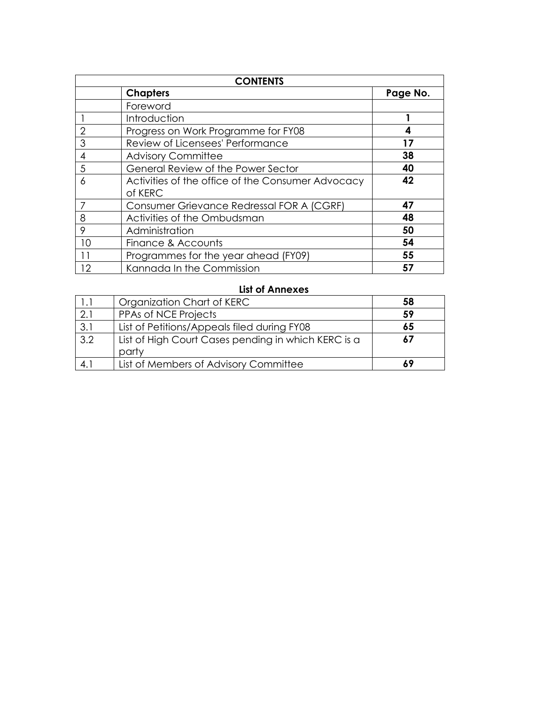| <b>CONTENTS</b> |                                                   |          |  |  |  |
|-----------------|---------------------------------------------------|----------|--|--|--|
|                 | <b>Chapters</b>                                   | Page No. |  |  |  |
|                 | Foreword                                          |          |  |  |  |
|                 | Introduction                                      |          |  |  |  |
|                 | Progress on Work Programme for FY08               |          |  |  |  |
| 3               | Review of Licensees' Performance                  | 17       |  |  |  |
| 4               | <b>Advisory Committee</b>                         | 38       |  |  |  |
| 5               | General Review of the Power Sector                | 40       |  |  |  |
| 6               | Activities of the office of the Consumer Advocacy | 42       |  |  |  |
|                 | of KERC                                           |          |  |  |  |
|                 | Consumer Grievance Redressal FOR A (CGRF)         | 47       |  |  |  |
| 8               | Activities of the Ombudsman                       | 48       |  |  |  |
| 9               | Administration                                    | 50       |  |  |  |
| 10              | Finance & Accounts                                | 54       |  |  |  |
|                 | Programmes for the year ahead (FY09)              | 55       |  |  |  |
| 12              | Kannada In the Commission                         | 57       |  |  |  |

# **List of Annexes**

| 1.1 | Organization Chart of KERC                          | 58 |
|-----|-----------------------------------------------------|----|
| 2.1 | PPAs of NCE Projects                                | 59 |
| 3.1 | List of Petitions/Appeals filed during FY08         | 65 |
| 3.2 | List of High Court Cases pending in which KERC is a | 67 |
|     | party                                               |    |
| 4.1 | List of Members of Advisory Committee               |    |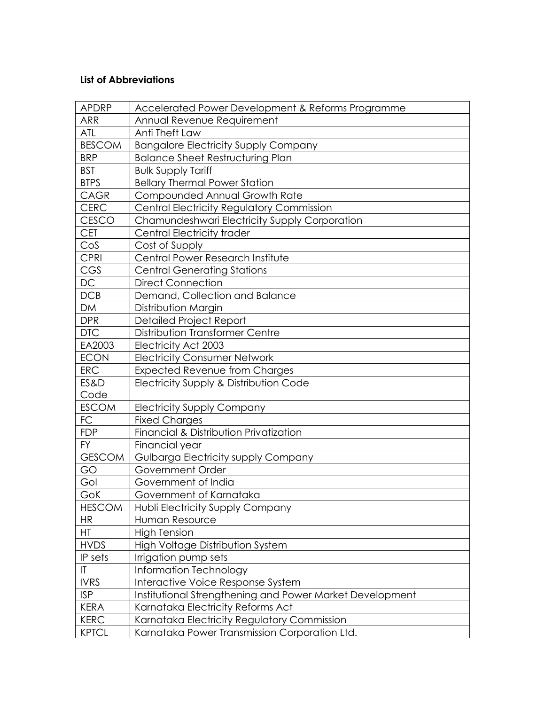# **List of Abbreviations**

| <b>APDRP</b>           | Accelerated Power Development & Reforms Programme        |
|------------------------|----------------------------------------------------------|
| <b>ARR</b>             | Annual Revenue Requirement                               |
| ATL                    | Anti Theft Law                                           |
| <b>BESCOM</b>          | <b>Bangalore Electricity Supply Company</b>              |
| <b>BRP</b>             | <b>Balance Sheet Restructuring Plan</b>                  |
| <b>BST</b>             | <b>Bulk Supply Tariff</b>                                |
| <b>BTPS</b>            | <b>Bellary Thermal Power Station</b>                     |
| <b>CAGR</b>            | Compounded Annual Growth Rate                            |
| <b>CERC</b>            | Central Electricity Regulatory Commission                |
| <b>CESCO</b>           | Chamundeshwari Electricity Supply Corporation            |
| <b>CET</b>             | Central Electricity trader                               |
| CoS                    | Cost of Supply                                           |
| CPRI                   | Central Power Research Institute                         |
| CGS                    | <b>Central Generating Stations</b>                       |
| DC                     | <b>Direct Connection</b>                                 |
| DCB                    | Demand, Collection and Balance                           |
| <b>DM</b>              | Distribution Margin                                      |
| <b>DPR</b>             | <b>Detailed Project Report</b>                           |
| <b>DTC</b>             | Distribution Transformer Centre                          |
| EA2003                 | Electricity Act 2003                                     |
| <b>ECON</b>            | <b>Electricity Consumer Network</b>                      |
| <b>ERC</b>             | <b>Expected Revenue from Charges</b>                     |
| ES&D                   | Electricity Supply & Distribution Code                   |
| Code                   |                                                          |
| <b>ESCOM</b>           | <b>Electricity Supply Company</b>                        |
| FC                     | <b>Fixed Charges</b>                                     |
| <b>FDP</b>             | Financial & Distribution Privatization                   |
| <b>FY</b>              | Financial year                                           |
| <b>GESCOM</b>          | Gulbarga Electricity supply Company                      |
| GO                     | Government Order                                         |
| Gol                    | Government of India                                      |
| GoK                    | Government of Karnataka                                  |
| <b>HESCOM</b>          | Hubli Electricity Supply Company                         |
| <b>HR</b>              | Human Resource                                           |
| HT                     | <b>High Tension</b>                                      |
| <b>HVDS</b>            | <b>High Voltage Distribution System</b>                  |
| IP sets                | Irrigation pump sets                                     |
| $\mathsf{I}\mathsf{T}$ | Information Technology                                   |
| <b>IVRS</b>            | Interactive Voice Response System                        |
| <b>ISP</b>             | Institutional Strengthening and Power Market Development |
| <b>KERA</b>            | Karnataka Electricity Reforms Act                        |
| <b>KERC</b>            | Karnataka Electricity Regulatory Commission              |
| <b>KPTCL</b>           | Karnataka Power Transmission Corporation Ltd.            |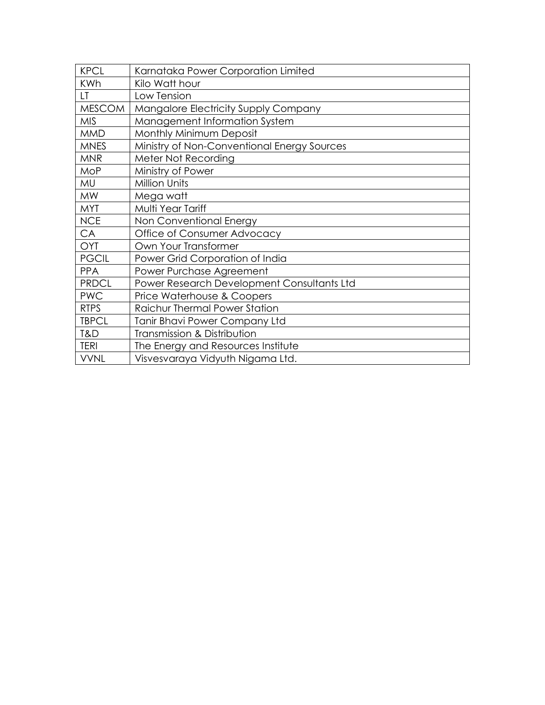| <b>KPCL</b>   | Karnataka Power Corporation Limited         |
|---------------|---------------------------------------------|
| <b>KWh</b>    | Kilo Watt hour                              |
| LT.           | Low Tension                                 |
| <b>MESCOM</b> | Mangalore Electricity Supply Company        |
| <b>MIS</b>    | Management Information System               |
| <b>MMD</b>    | Monthly Minimum Deposit                     |
| <b>MNES</b>   | Ministry of Non-Conventional Energy Sources |
| <b>MNR</b>    | Meter Not Recording                         |
| <b>MoP</b>    | Ministry of Power                           |
| MU            | <b>Million Units</b>                        |
| <b>MW</b>     | Mega watt                                   |
| <b>MYT</b>    | Multi Year Tariff                           |
| <b>NCE</b>    | Non Conventional Energy                     |
| CA            | Office of Consumer Advocacy                 |
| <b>OYT</b>    | Own Your Transformer                        |
| <b>PGCIL</b>  | Power Grid Corporation of India             |
| <b>PPA</b>    | Power Purchase Agreement                    |
| <b>PRDCL</b>  | Power Research Development Consultants Ltd  |
| <b>PWC</b>    | Price Waterhouse & Coopers                  |
| <b>RTPS</b>   | <b>Raichur Thermal Power Station</b>        |
| <b>TBPCL</b>  | Tanir Bhavi Power Company Ltd               |
| T&D           | Transmission & Distribution                 |
| <b>TERI</b>   | The Energy and Resources Institute          |
| <b>VVNL</b>   | Visvesvaraya Vidyuth Nigama Ltd.            |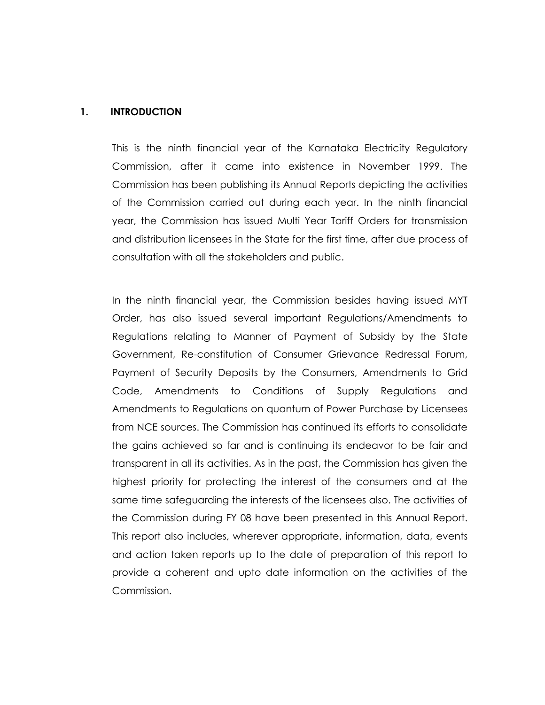#### **1. INTRODUCTION**

This is the ninth financial year of the Karnataka Electricity Regulatory Commission, after it came into existence in November 1999. The Commission has been publishing its Annual Reports depicting the activities of the Commission carried out during each year. In the ninth financial year, the Commission has issued Multi Year Tariff Orders for transmission and distribution licensees in the State for the first time, after due process of consultation with all the stakeholders and public.

In the ninth financial year, the Commission besides having issued MYT Order, has also issued several important Regulations/Amendments to Regulations relating to Manner of Payment of Subsidy by the State Government, Re-constitution of Consumer Grievance Redressal Forum, Payment of Security Deposits by the Consumers, Amendments to Grid Code, Amendments to Conditions of Supply Regulations and Amendments to Regulations on quantum of Power Purchase by Licensees from NCE sources. The Commission has continued its efforts to consolidate the gains achieved so far and is continuing its endeavor to be fair and transparent in all its activities. As in the past, the Commission has given the highest priority for protecting the interest of the consumers and at the same time safeguarding the interests of the licensees also. The activities of the Commission during FY 08 have been presented in this Annual Report. This report also includes, wherever appropriate, information, data, events and action taken reports up to the date of preparation of this report to provide a coherent and upto date information on the activities of the Commission.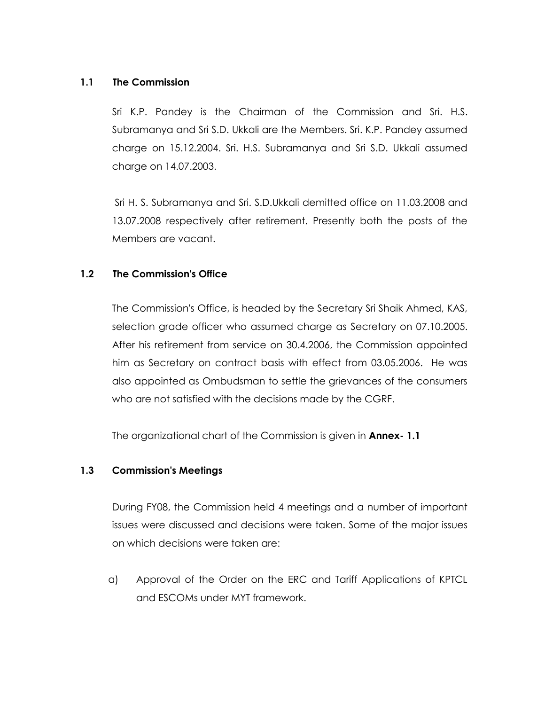#### **1.1 The Commission**

Sri K.P. Pandey is the Chairman of the Commission and Sri. H.S. Subramanya and Sri S.D. Ukkali are the Members. Sri. K.P. Pandey assumed charge on 15.12.2004. Sri. H.S. Subramanya and Sri S.D. Ukkali assumed charge on 14.07.2003.

Sri H. S. Subramanya and Sri. S.D.Ukkali demitted office on 11.03.2008 and 13.07.2008 respectively after retirement. Presently both the posts of the Members are vacant.

#### **1.2 The Commission's Office**

 The Commission's Office, is headed by the Secretary Sri Shaik Ahmed, KAS, selection grade officer who assumed charge as Secretary on 07.10.2005. After his retirement from service on 30.4.2006, the Commission appointed him as Secretary on contract basis with effect from 03.05.2006. He was also appointed as Ombudsman to settle the grievances of the consumers who are not satisfied with the decisions made by the CGRF.

The organizational chart of the Commission is given in **Annex- 1.1** 

#### **1.3 Commission's Meetings**

 During FY08, the Commission held 4 meetings and a number of important issues were discussed and decisions were taken. Some of the major issues on which decisions were taken are:

a) Approval of the Order on the ERC and Tariff Applications of KPTCL and ESCOMs under MYT framework.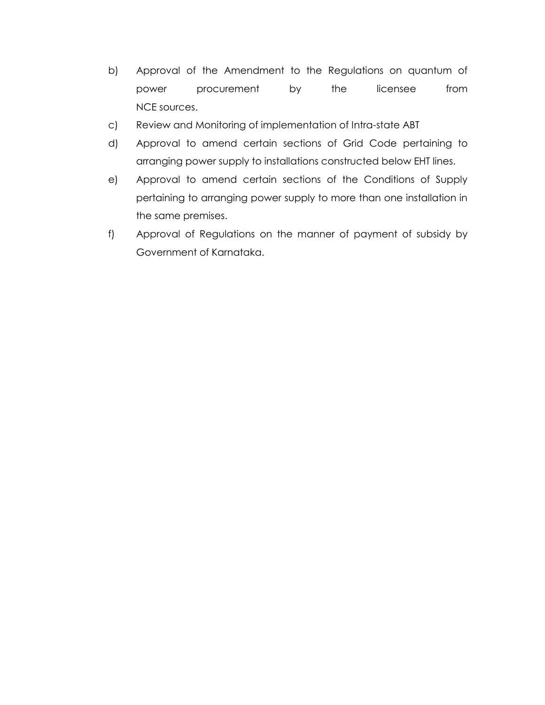- b) Approval of the Amendment to the Regulations on quantum of power procurement by the licensee from NCE sources.
- c) Review and Monitoring of implementation of Intra-state ABT
- d) Approval to amend certain sections of Grid Code pertaining to arranging power supply to installations constructed below EHT lines.
- e) Approval to amend certain sections of the Conditions of Supply pertaining to arranging power supply to more than one installation in the same premises.
- f) Approval of Regulations on the manner of payment of subsidy by Government of Karnataka.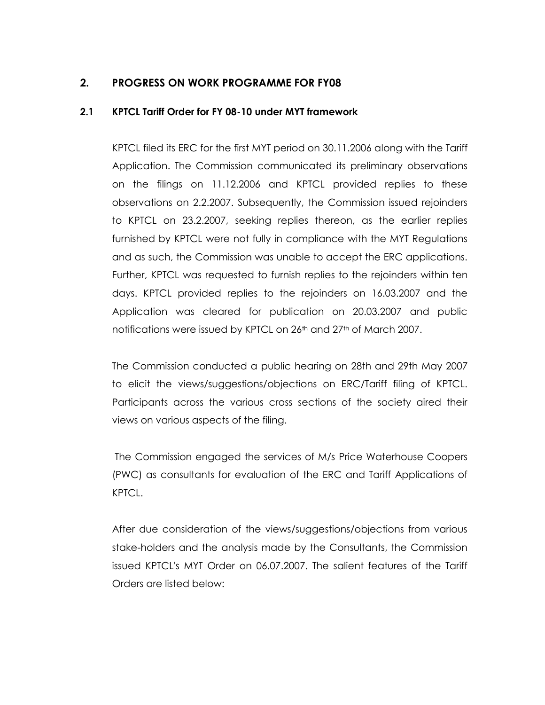# **2. PROGRESS ON WORK PROGRAMME FOR FY08**

#### **2.1 KPTCL Tariff Order for FY 08-10 under MYT framework**

KPTCL filed its ERC for the first MYT period on 30.11.2006 along with the Tariff Application. The Commission communicated its preliminary observations on the filings on 11.12.2006 and KPTCL provided replies to these observations on 2.2.2007. Subsequently, the Commission issued rejoinders to KPTCL on 23.2.2007, seeking replies thereon, as the earlier replies furnished by KPTCL were not fully in compliance with the MYT Regulations and as such, the Commission was unable to accept the ERC applications. Further, KPTCL was requested to furnish replies to the rejoinders within ten days. KPTCL provided replies to the rejoinders on 16.03.2007 and the Application was cleared for publication on 20.03.2007 and public notifications were issued by KPTCL on 26<sup>th</sup> and 27<sup>th</sup> of March 2007.

The Commission conducted a public hearing on 28th and 29th May 2007 to elicit the views/suggestions/objections on ERC/Tariff filing of KPTCL. Participants across the various cross sections of the society aired their views on various aspects of the filing.

The Commission engaged the services of M/s Price Waterhouse Coopers (PWC) as consultants for evaluation of the ERC and Tariff Applications of KPTCL.

After due consideration of the views/suggestions/objections from various stake-holders and the analysis made by the Consultants, the Commission issued KPTCL's MYT Order on 06.07.2007. The salient features of the Tariff Orders are listed below: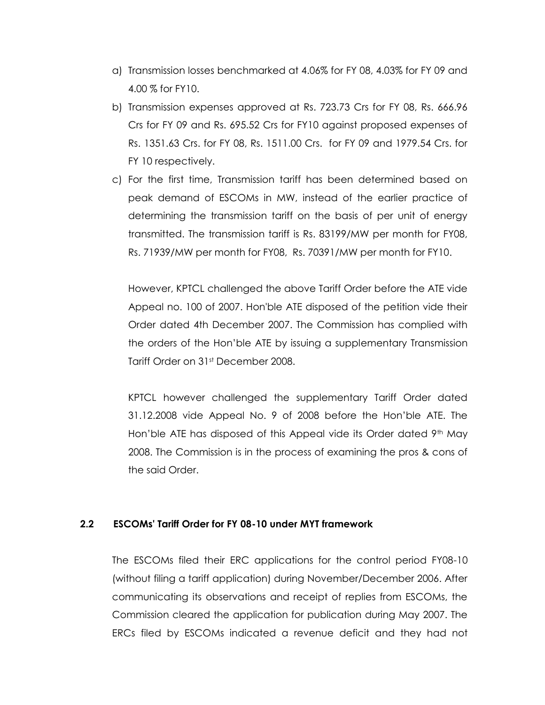- a) Transmission losses benchmarked at 4.06% for FY 08, 4.03% for FY 09 and 4.00 % for FY10.
- b) Transmission expenses approved at Rs. 723.73 Crs for FY 08, Rs. 666.96 Crs for FY 09 and Rs. 695.52 Crs for FY10 against proposed expenses of Rs. 1351.63 Crs. for FY 08, Rs. 1511.00 Crs. for FY 09 and 1979.54 Crs. for FY 10 respectively.
- c) For the first time, Transmission tariff has been determined based on peak demand of ESCOMs in MW, instead of the earlier practice of determining the transmission tariff on the basis of per unit of energy transmitted. The transmission tariff is Rs. 83199/MW per month for FY08, Rs. 71939/MW per month for FY08, Rs. 70391/MW per month for FY10.

However, KPTCL challenged the above Tariff Order before the ATE vide Appeal no. 100 of 2007. Hon'ble ATE disposed of the petition vide their Order dated 4th December 2007. The Commission has complied with the orders of the Hon"ble ATE by issuing a supplementary Transmission Tariff Order on 31st December 2008.

KPTCL however challenged the supplementary Tariff Order dated 31.12.2008 vide Appeal No. 9 of 2008 before the Hon"ble ATE. The Hon'ble ATE has disposed of this Appeal vide its Order dated  $9<sup>th</sup>$  May 2008. The Commission is in the process of examining the pros & cons of the said Order.

#### **2.2 ESCOMs' Tariff Order for FY 08-10 under MYT framework**

The ESCOMs filed their ERC applications for the control period FY08-10 (without filing a tariff application) during November/December 2006. After communicating its observations and receipt of replies from ESCOMs, the Commission cleared the application for publication during May 2007. The ERCs filed by ESCOMs indicated a revenue deficit and they had not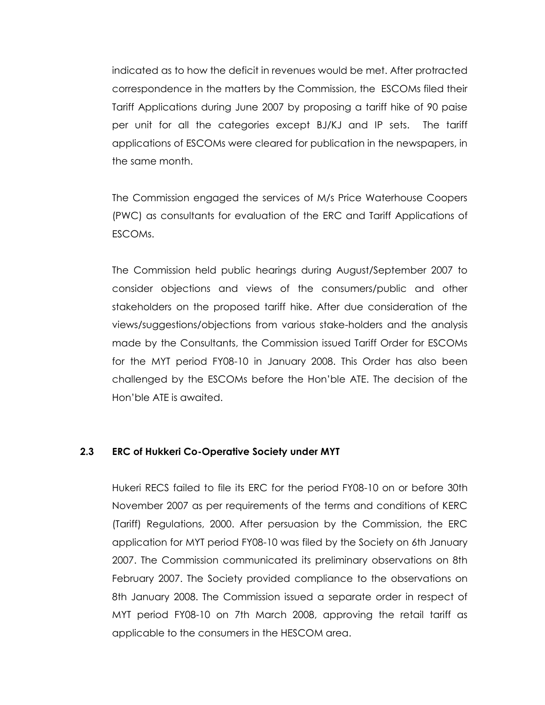indicated as to how the deficit in revenues would be met. After protracted correspondence in the matters by the Commission, the ESCOMs filed their Tariff Applications during June 2007 by proposing a tariff hike of 90 paise per unit for all the categories except BJ/KJ and IP sets. The tariff applications of ESCOMs were cleared for publication in the newspapers, in the same month.

The Commission engaged the services of M/s Price Waterhouse Coopers (PWC) as consultants for evaluation of the ERC and Tariff Applications of ESCOMs.

The Commission held public hearings during August/September 2007 to consider objections and views of the consumers/public and other stakeholders on the proposed tariff hike. After due consideration of the views/suggestions/objections from various stake-holders and the analysis made by the Consultants, the Commission issued Tariff Order for ESCOMs for the MYT period FY08-10 in January 2008. This Order has also been challenged by the ESCOMs before the Hon"ble ATE. The decision of the Hon"ble ATE is awaited.

#### **2.3 ERC of Hukkeri Co-Operative Society under MYT**

Hukeri RECS failed to file its ERC for the period FY08-10 on or before 30th November 2007 as per requirements of the terms and conditions of KERC (Tariff) Regulations, 2000. After persuasion by the Commission, the ERC application for MYT period FY08-10 was filed by the Society on 6th January 2007. The Commission communicated its preliminary observations on 8th February 2007. The Society provided compliance to the observations on 8th January 2008. The Commission issued a separate order in respect of MYT period FY08-10 on 7th March 2008, approving the retail tariff as applicable to the consumers in the HESCOM area.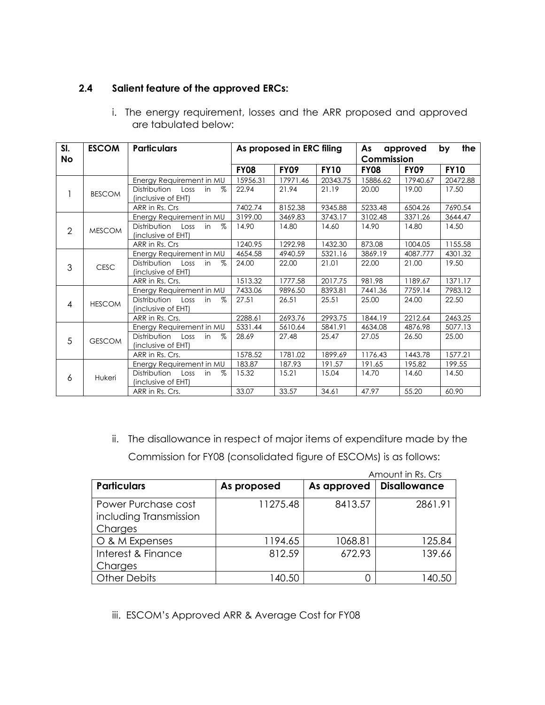# **2.4 Salient feature of the approved ERCs:**

| SI.<br>No      | <b>ESCOM</b>  | <b>Particulars</b>                 | As proposed in ERC filing |             |             | the<br>As<br>by<br>approved<br>Commission |          |             |
|----------------|---------------|------------------------------------|---------------------------|-------------|-------------|-------------------------------------------|----------|-------------|
|                |               |                                    | <b>FY08</b>               | <b>FY09</b> | <b>FY10</b> | <b>FY08</b>                               | FY09     | <b>FY10</b> |
|                |               | Energy Requirement in MU           | 15956.31                  | 17971.46    | 20343.75    | 15886.62                                  | 17940.67 | 20472.88    |
|                | <b>BESCOM</b> | Distribution<br>Loss<br>$\%$<br>in | 22.94                     | 21.94       | 21.19       | 20.00                                     | 19.00    | 17.50       |
|                |               | (inclusive of EHT)                 |                           |             |             |                                           |          |             |
|                |               | ARR in Rs. Crs                     | 7402.74                   | 8152.38     | 9345.88     | 5233.48                                   | 6504.26  | 7690.54     |
|                |               | Energy Requirement in MU           | 3199.00                   | 3469.83     | 3743.17     | 3102.48                                   | 3371.26  | 3644.47     |
| $\overline{2}$ | <b>MESCOM</b> | Distribution Loss<br>$\%$<br>in    | 14.90                     | 14.80       | 14.60       | 14.90                                     | 14.80    | 14.50       |
|                |               | (inclusive of EHT)                 |                           |             |             |                                           |          |             |
|                |               | ARR in Rs. Crs                     | 1240.95                   | 1292.98     | 1432.30     | 873.08                                    | 1004.05  | 1155.58     |
|                |               | Energy Requirement in MU           | 4654.58                   | 4940.59     | 5321.16     | 3869.19                                   | 4087.777 | 4301.32     |
| 3              | <b>CESC</b>   | Distribution<br>$\%$<br>Loss<br>in | 24.00                     | 22.00       | 21.01       | 22.00                                     | 21.00    | 19.50       |
|                |               | (inclusive of EHT)                 |                           |             |             |                                           |          |             |
|                |               | ARR in Rs. Crs.                    | 1513.32                   | 1777.58     | 2017.75     | 981.98                                    | 1189.67  | 1371.17     |
|                |               | Energy Requirement in MU           | 7433.06                   | 9896.50     | 8393.81     | 7441.36                                   | 7759.14  | 7983.12     |
| 4              | <b>HESCOM</b> | Distribution Loss in<br>$\%$       | 27.51                     | 26.51       | 25.51       | 25.00                                     | 24.00    | 22.50       |
|                |               | (inclusive of EHT)                 |                           |             |             |                                           |          |             |
|                |               | ARR in Rs. Crs.                    | 2288.61                   | 2693.76     | 2993.75     | 1844.19                                   | 2212.64  | 2463.25     |
|                |               | Energy Requirement in MU           | 5331.44                   | 5610.64     | 5841.91     | 4634.08                                   | 4876.98  | 5077.13     |
| 5              | <b>GESCOM</b> | Distribution Loss<br>in<br>$\%$    | 28.69                     | 27.48       | 25.47       | 27.05                                     | 26.50    | 25.00       |
|                |               | (inclusive of EHT)                 |                           |             |             |                                           |          |             |
|                |               | ARR in Rs. Crs.                    | 1578.52                   | 1781.02     | 1899.69     | 1176.43                                   | 1443.78  | 1577.21     |
|                |               | Energy Requirement in MU           | 183.87                    | 187.93      | 191.57      | 191.65                                    | 195.82   | 199.55      |
| 6              | Hukeri        | Distribution<br>$\%$<br>Loss<br>in | 15.32                     | 15.21       | 15.04       | 14.70                                     | 14.60    | 14.50       |
|                |               | (inclusive of EHT)                 |                           |             |             |                                           |          |             |
|                |               | ARR in Rs. Crs.                    | 33.07                     | 33.57       | 34.61       | 47.97                                     | 55.20    | 60.90       |

i. The energy requirement, losses and the ARR proposed and approved are tabulated below:

ii. The disallowance in respect of major items of expenditure made by the Commission for FY08 (consolidated figure of ESCOMs) is as follows:

|                                                          |             |             | Amount in Rs. Crs   |
|----------------------------------------------------------|-------------|-------------|---------------------|
| <b>Particulars</b>                                       | As proposed | As approved | <b>Disallowance</b> |
| Power Purchase cost<br>including Transmission<br>Charges | 11275.48    | 8413.57     | 2861.91             |
| O & M Expenses                                           | 1194.65     | 1068.81     | 125.84              |
| Interest & Finance<br>Charges                            | 812.59      | 672.93      | 139.66              |
| <b>Other Debits</b>                                      | 140.50      |             | 40.50               |

iii. ESCOM's Approved ARR & Average Cost for FY08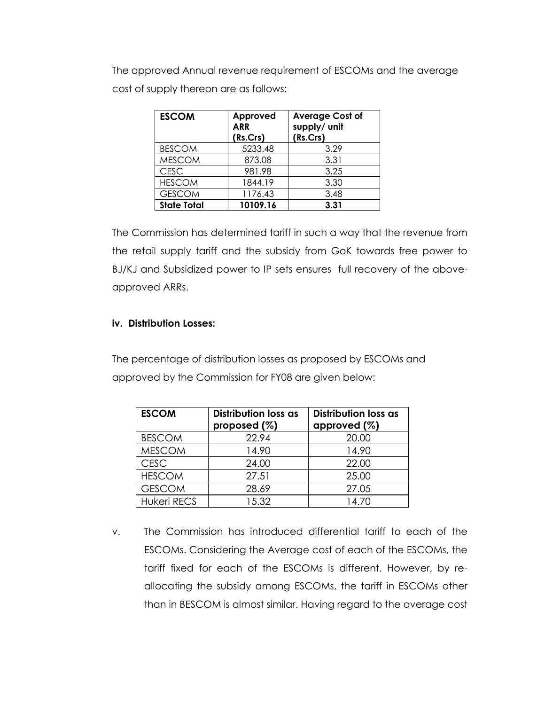The approved Annual revenue requirement of ESCOMs and the average cost of supply thereon are as follows:

| <b>ESCOM</b>       | Approved<br><b>ARR</b><br>(Rs.Crs) | <b>Average Cost of</b><br>supply/ unit<br>(Rs.Crs) |
|--------------------|------------------------------------|----------------------------------------------------|
| <b>BESCOM</b>      | 5233.48                            | 3.29                                               |
| <b>MESCOM</b>      | 873.08                             | 3.31                                               |
| <b>CESC</b>        | 981.98                             | 3.25                                               |
| <b>HESCOM</b>      | 1844.19                            | 3.30                                               |
| <b>GESCOM</b>      | 1176.43                            | 3.48                                               |
| <b>State Total</b> | 10109.16                           | 3.31                                               |

The Commission has determined tariff in such a way that the revenue from the retail supply tariff and the subsidy from GoK towards free power to BJ/KJ and Subsidized power to IP sets ensures full recovery of the aboveapproved ARRs.

#### **iv. Distribution Losses:**

The percentage of distribution losses as proposed by ESCOMs and approved by the Commission for FY08 are given below:

| <b>ESCOM</b>       | Distribution loss as<br>proposed (%) | Distribution loss as<br>approved $(\%)$ |
|--------------------|--------------------------------------|-----------------------------------------|
| <b>BESCOM</b>      | 22.94                                | 20.00                                   |
| <b>MESCOM</b>      | 14.90                                | 14.90                                   |
| <b>CESC</b>        | 24.00                                | 22.00                                   |
| <b>HESCOM</b>      | 27.51                                | 25.00                                   |
| <b>GESCOM</b>      | 28.69                                | 27.05                                   |
| <b>Hukeri RECS</b> | 15.32                                | 14.70                                   |

v. The Commission has introduced differential tariff to each of the ESCOMs. Considering the Average cost of each of the ESCOMs, the tariff fixed for each of the ESCOMs is different. However, by reallocating the subsidy among ESCOMs, the tariff in ESCOMs other than in BESCOM is almost similar. Having regard to the average cost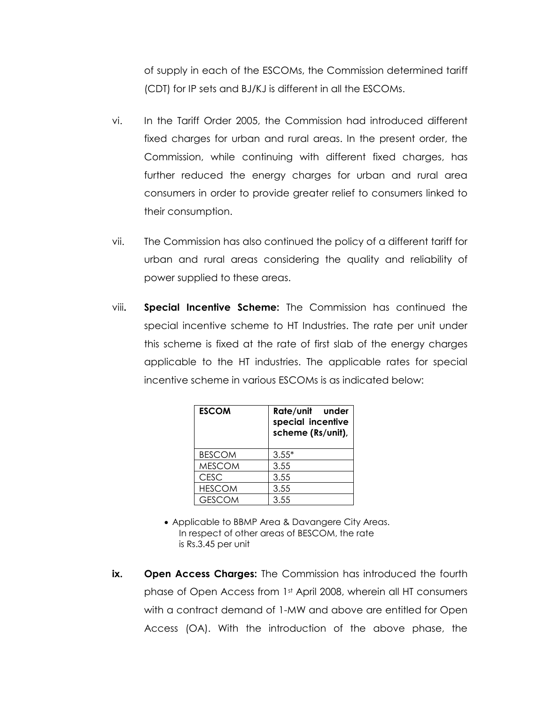of supply in each of the ESCOMs, the Commission determined tariff (CDT) for IP sets and BJ/KJ is different in all the ESCOMs.

- vi. In the Tariff Order 2005, the Commission had introduced different fixed charges for urban and rural areas. In the present order, the Commission, while continuing with different fixed charges, has further reduced the energy charges for urban and rural area consumers in order to provide greater relief to consumers linked to their consumption.
- vii. The Commission has also continued the policy of a different tariff for urban and rural areas considering the quality and reliability of power supplied to these areas.
- viii**. Special Incentive Scheme:** The Commission has continued the special incentive scheme to HT Industries. The rate per unit under this scheme is fixed at the rate of first slab of the energy charges applicable to the HT industries. The applicable rates for special incentive scheme in various ESCOMs is as indicated below:

| <b>ESCOM</b>  | Rate/unit under<br>special incentive<br>scheme (Rs/unit), |  |  |  |  |
|---------------|-----------------------------------------------------------|--|--|--|--|
| <b>BESCOM</b> | $3.55*$                                                   |  |  |  |  |
| <b>MESCOM</b> | 3.55                                                      |  |  |  |  |
| <b>CESC</b>   | 3.55                                                      |  |  |  |  |
| <b>HESCOM</b> | 3.55                                                      |  |  |  |  |
| <b>GESCOM</b> | 3.55                                                      |  |  |  |  |

- Applicable to BBMP Area & Davangere City Areas. In respect of other areas of BESCOM, the rate is Rs.3.45 per unit
- **ix.** Open Access Charges: The Commission has introduced the fourth phase of Open Access from 1st April 2008, wherein all HT consumers with a contract demand of 1-MW and above are entitled for Open Access (OA). With the introduction of the above phase, the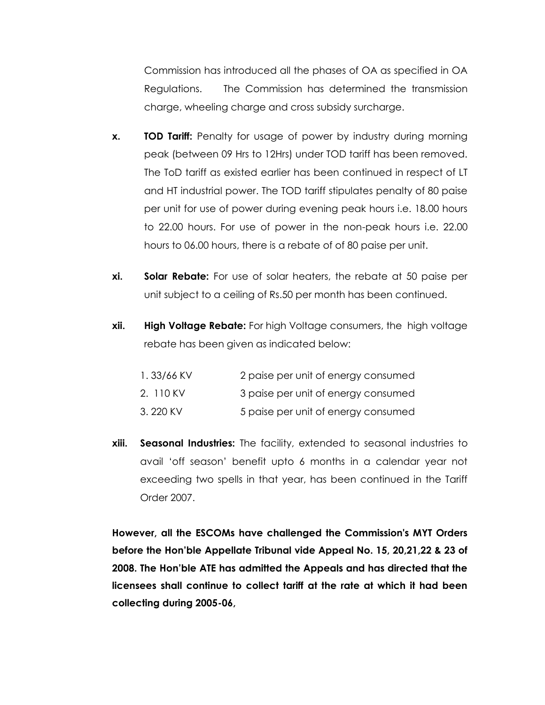Commission has introduced all the phases of OA as specified in OA Regulations.The Commission has determined the transmission charge, wheeling charge and cross subsidy surcharge.

- **x. TOD Tariff:** Penalty for usage of power by industry during morning peak (between 09 Hrs to 12Hrs) under TOD tariff has been removed. The ToD tariff as existed earlier has been continued in respect of LT and HT industrial power. The TOD tariff stipulates penalty of 80 paise per unit for use of power during evening peak hours i.e. 18.00 hours to 22.00 hours. For use of power in the non-peak hours i.e. 22.00 hours to 06.00 hours, there is a rebate of of 80 paise per unit.
- **xi. Solar Rebate:** For use of solar heaters, the rebate at 50 paise per unit subject to a ceiling of Rs.50 per month has been continued.
- **xii. High Voltage Rebate:** For high Voltage consumers, the high voltage rebate has been given as indicated below:

| 1.33/66 KV | 2 paise per unit of energy consumed |
|------------|-------------------------------------|
| 2. 110 KV  | 3 paise per unit of energy consumed |
| 3.220 KV   | 5 paise per unit of energy consumed |

**xiii. Seasonal Industries:** The facility, extended to seasonal industries to avail "off season" benefit upto 6 months in a calendar year not exceeding two spells in that year, has been continued in the Tariff Order 2007.

**However, all the ESCOMs have challenged the Commission's MYT Orders before the Hon'ble Appellate Tribunal vide Appeal No. 15, 20,21,22 & 23 of 2008. The Hon'ble ATE has admitted the Appeals and has directed that the licensees shall continue to collect tariff at the rate at which it had been collecting during 2005-06,**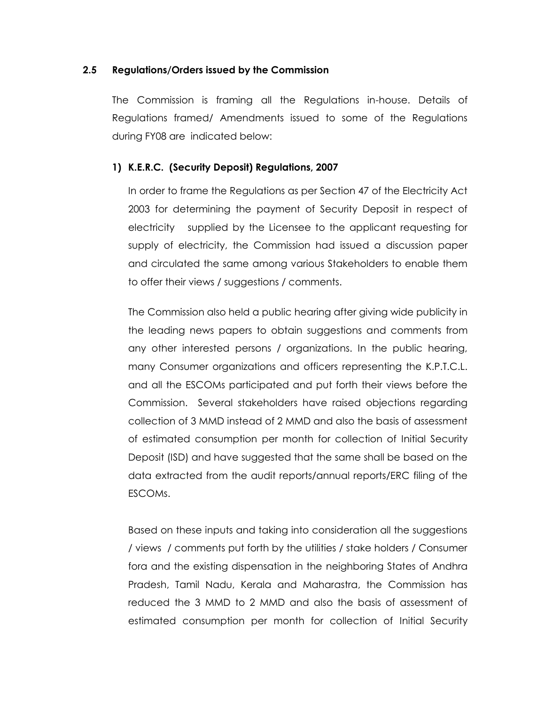#### **2.5 Regulations/Orders issued by the Commission**

The Commission is framing all the Regulations in-house. Details of Regulations framed/ Amendments issued to some of the Regulations during FY08 are indicated below:

#### **1) K.E.R.C. (Security Deposit) Regulations, 2007**

In order to frame the Regulations as per Section 47 of the Electricity Act 2003 for determining the payment of Security Deposit in respect of electricity supplied by the Licensee to the applicant requesting for supply of electricity, the Commission had issued a discussion paper and circulated the same among various Stakeholders to enable them to offer their views / suggestions / comments.

The Commission also held a public hearing after giving wide publicity in the leading news papers to obtain suggestions and comments from any other interested persons / organizations. In the public hearing, many Consumer organizations and officers representing the K.P.T.C.L. and all the ESCOMs participated and put forth their views before the Commission. Several stakeholders have raised objections regarding collection of 3 MMD instead of 2 MMD and also the basis of assessment of estimated consumption per month for collection of Initial Security Deposit (ISD) and have suggested that the same shall be based on the data extracted from the audit reports/annual reports/ERC filing of the ESCOMs.

Based on these inputs and taking into consideration all the suggestions / views / comments put forth by the utilities / stake holders / Consumer fora and the existing dispensation in the neighboring States of Andhra Pradesh, Tamil Nadu, Kerala and Maharastra, the Commission has reduced the 3 MMD to 2 MMD and also the basis of assessment of estimated consumption per month for collection of Initial Security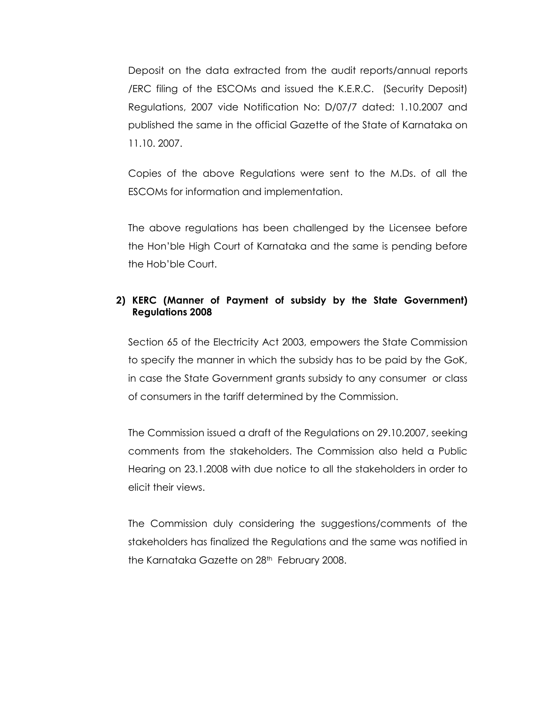Deposit on the data extracted from the audit reports/annual reports /ERC filing of the ESCOMs and issued the K.E.R.C. (Security Deposit) Regulations, 2007 vide Notification No: D/07/7 dated: 1.10.2007 and published the same in the official Gazette of the State of Karnataka on 11.10. 2007.

Copies of the above Regulations were sent to the M.Ds. of all the ESCOMs for information and implementation.

The above regulations has been challenged by the Licensee before the Hon"ble High Court of Karnataka and the same is pending before the Hob"ble Court.

#### **2) KERC (Manner of Payment of subsidy by the State Government) Regulations 2008**

Section 65 of the Electricity Act 2003, empowers the State Commission to specify the manner in which the subsidy has to be paid by the GoK, in case the State Government grants subsidy to any consumer or class of consumers in the tariff determined by the Commission.

The Commission issued a draft of the Regulations on 29.10.2007, seeking comments from the stakeholders. The Commission also held a Public Hearing on 23.1.2008 with due notice to all the stakeholders in order to elicit their views.

The Commission duly considering the suggestions/comments of the stakeholders has finalized the Regulations and the same was notified in the Karnataka Gazette on 28<sup>th</sup> February 2008.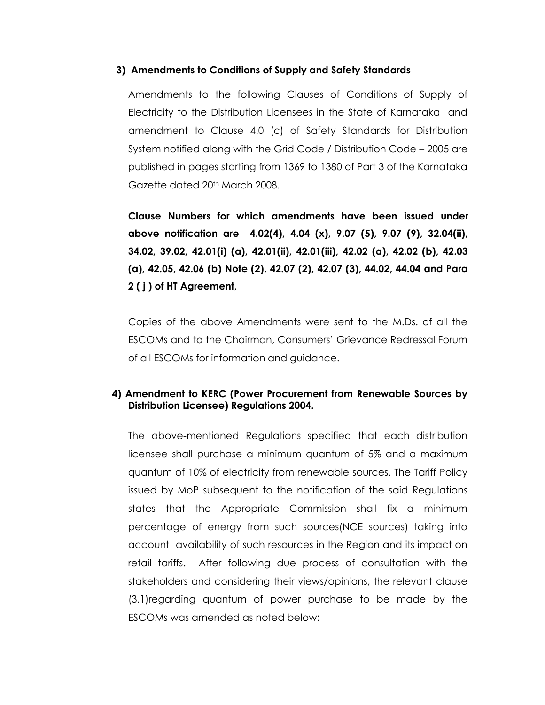#### **3) Amendments to Conditions of Supply and Safety Standards**

 Amendments to the following Clauses of Conditions of Supply of Electricity to the Distribution Licensees in the State of Karnataka and amendment to Clause 4.0 (c) of Safety Standards for Distribution System notified along with the Grid Code / Distribution Code – 2005 are published in pages starting from 1369 to 1380 of Part 3 of the Karnataka Gazette dated 20<sup>th</sup> March 2008.

**Clause Numbers for which amendments have been issued under above notification are 4.02(4), 4.04 (x), 9.07 (5), 9.07 (9), 32.04(ii), 34.02, 39.02, 42.01(i) (a), 42.01(ii), 42.01(iii), 42.02 (a), 42.02 (b), 42.03 (a), 42.05, 42.06 (b) Note (2), 42.07 (2), 42.07 (3), 44.02, 44.04 and Para 2 ( j ) of HT Agreement,** 

Copies of the above Amendments were sent to the M.Ds. of all the ESCOMs and to the Chairman, Consumers" Grievance Redressal Forum of all ESCOMs for information and guidance.

#### **4) Amendment to KERC (Power Procurement from Renewable Sources by Distribution Licensee) Regulations 2004.**

The above-mentioned Regulations specified that each distribution licensee shall purchase a minimum quantum of 5% and a maximum quantum of 10% of electricity from renewable sources. The Tariff Policy issued by MoP subsequent to the notification of the said Regulations states that the Appropriate Commission shall fix a minimum percentage of energy from such sources(NCE sources) taking into account availability of such resources in the Region and its impact on retail tariffs. After following due process of consultation with the stakeholders and considering their views/opinions, the relevant clause (3.1)regarding quantum of power purchase to be made by the ESCOMs was amended as noted below: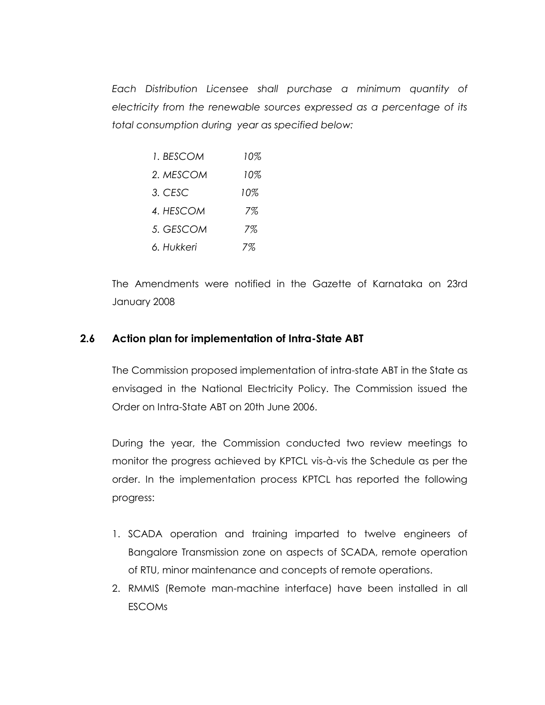*Each Distribution Licensee shall purchase a minimum quantity of electricity from the renewable sources expressed as a percentage of its total consumption during year as specified below:*

| 1. BESCOM  | 10% |
|------------|-----|
| 2. MESCOM  | 10% |
| 3. CESC    | 10% |
| 4. HESCOM  | 7%  |
| 5. GESCOM  | 7%  |
| 6. Hukkeri | 7%  |

The Amendments were notified in the Gazette of Karnataka on 23rd January 2008

#### **2.6 Action plan for implementation of Intra-State ABT**

The Commission proposed implementation of intra-state ABT in the State as envisaged in the National Electricity Policy. The Commission issued the Order on Intra-State ABT on 20th June 2006.

During the year, the Commission conducted two review meetings to monitor the progress achieved by KPTCL vis-à-vis the Schedule as per the order. In the implementation process KPTCL has reported the following progress:

- 1. SCADA operation and training imparted to twelve engineers of Bangalore Transmission zone on aspects of SCADA, remote operation of RTU, minor maintenance and concepts of remote operations.
- 2. RMMIS (Remote man-machine interface) have been installed in all ESCOMs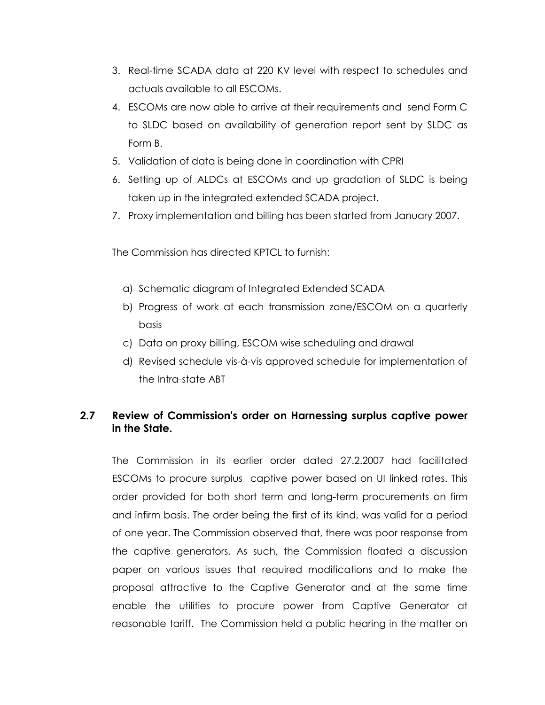- 3. Real-time SCADA data at 220 KV level with respect to schedules and actuals available to all ESCOMs.
- 4. ESCOMs are now able to arrive at their requirements and send Form C to SLDC based on availability of generation report sent by SLDC as Form B.
- 5. Validation of data is being done in coordination with CPRI
- 6. Setting up of ALDCs at ESCOMs and up gradation of SLDC is being taken up in the integrated extended SCADA project.
- 7. Proxy implementation and billing has been started from January 2007.

The Commission has directed KPTCL to furnish:

- a) Schematic diagram of Integrated Extended SCADA
- b) Progress of work at each transmission zone/ESCOM on a quarterly basis
- c) Data on proxy billing, ESCOM wise scheduling and drawal
- d) Revised schedule vis-à-vis approved schedule for implementation of the Intra-state ABT

# **2.7 Review of Commission's order on Harnessing surplus captive power in the State.**

The Commission in its earlier order dated 27.2.2007 had facilitated ESCOMs to procure surplus captive power based on UI linked rates. This order provided for both short term and long-term procurements on firm and infirm basis. The order being the first of its kind, was valid for a period of one year. The Commission observed that, there was poor response from the captive generators. As such, the Commission floated a discussion paper on various issues that required modifications and to make the proposal attractive to the Captive Generator and at the same time enable the utilities to procure power from Captive Generator at reasonable tariff. The Commission held a public hearing in the matter on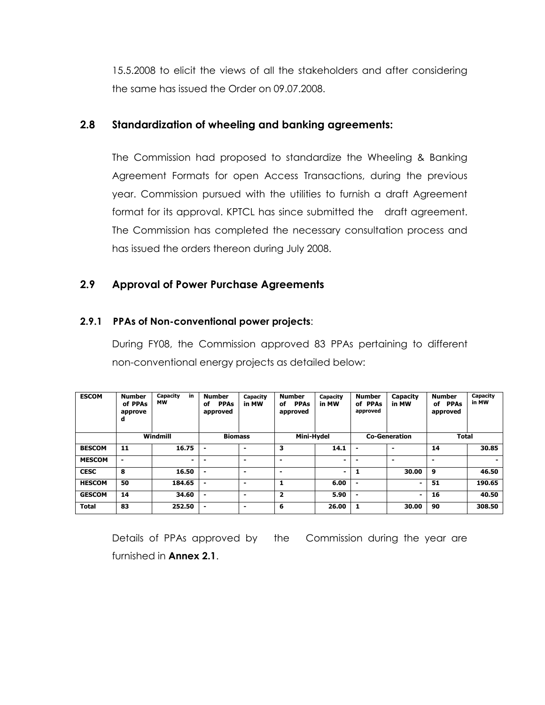15.5.2008 to elicit the views of all the stakeholders and after considering the same has issued the Order on 09.07.2008.

# **2.8 Standardization of wheeling and banking agreements:**

The Commission had proposed to standardize the Wheeling & Banking Agreement Formats for open Access Transactions, during the previous year. Commission pursued with the utilities to furnish a draft Agreement format for its approval. KPTCL has since submitted the draft agreement. The Commission has completed the necessary consultation process and has issued the orders thereon during July 2008.

# **2.9 Approval of Power Purchase Agreements**

#### **2.9.1 PPAs of Non-conventional power projects**:

During FY08, the Commission approved 83 PPAs pertaining to different non-conventional energy projects as detailed below:

| <b>ESCOM</b>  | <b>Number</b><br>of PPAs<br>approve<br>d | in<br>Capacity<br><b>MW</b> | <b>Number</b><br><b>PPAs</b><br>оf<br>approved | Capacity<br>in MW        | <b>Number</b><br><b>PPAs</b><br>of<br>approved | Capacity<br>in MW | <b>Number</b><br>of PPAs<br>approved | <b>Capacity</b><br>in MW | <b>Number</b><br><b>PPAs</b><br>of<br>approved | Capacity<br>in MW |
|---------------|------------------------------------------|-----------------------------|------------------------------------------------|--------------------------|------------------------------------------------|-------------------|--------------------------------------|--------------------------|------------------------------------------------|-------------------|
|               |                                          | Windmill                    | <b>Biomass</b>                                 |                          | Mini-Hydel                                     |                   |                                      | <b>Co-Generation</b>     | <b>Total</b>                                   |                   |
| <b>BESCOM</b> | 11                                       | 16.75                       |                                                | $\overline{\phantom{0}}$ | 3                                              | 14.1              | $\blacksquare$                       | $\overline{\phantom{0}}$ | 14                                             | 30.85             |
| <b>MESCOM</b> | $\blacksquare$                           | $\blacksquare$              | $\overline{\phantom{0}}$                       | $\overline{\phantom{0}}$ | $\blacksquare$                                 | $\blacksquare$    | ٠                                    | $\overline{\phantom{0}}$ | $\overline{\phantom{0}}$                       | $\blacksquare$    |
| <b>CESC</b>   | 8                                        | 16.50                       |                                                | $\overline{\phantom{a}}$ | $\overline{\phantom{0}}$                       | $\blacksquare$    | 1                                    | 30.00                    | 9                                              | 46.50             |
| <b>HESCOM</b> | 50                                       | 184.65                      | $\blacksquare$                                 | $\overline{\phantom{0}}$ | 1                                              | 6.00              | $\blacksquare$                       | $\blacksquare$           | 51                                             | 190.65            |
| <b>GESCOM</b> | 14                                       | 34.60                       | $\blacksquare$                                 | $\overline{\phantom{0}}$ | $\overline{\mathbf{2}}$                        | 5.90              | $\blacksquare$                       | $\blacksquare$           | 16                                             | 40.50             |
| <b>Total</b>  | 83                                       | 252.50                      |                                                | $\overline{\phantom{0}}$ | 6                                              | 26.00             | 1                                    | 30.00                    | 90                                             | 308.50            |

Details of PPAs approved by the Commission during the year are furnished in **Annex 2.1**.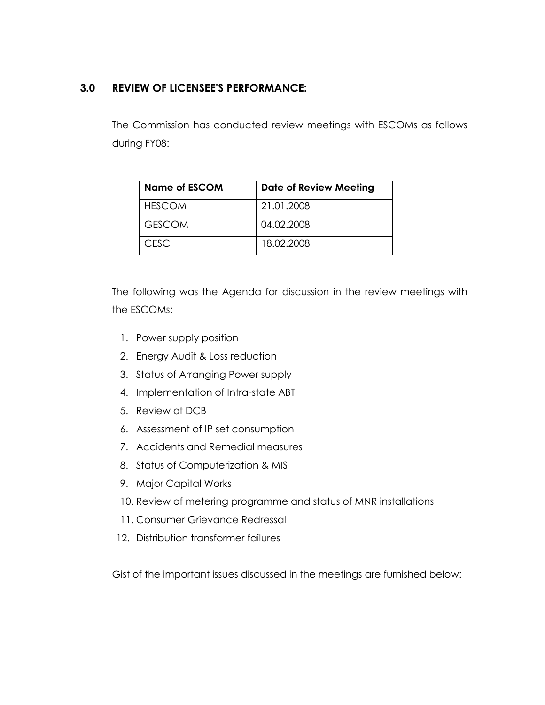# **3.0 REVIEW OF LICENSEE'S PERFORMANCE:**

The Commission has conducted review meetings with ESCOMs as follows during FY08:

| <b>Name of ESCOM</b> | <b>Date of Review Meeting</b> |
|----------------------|-------------------------------|
| <b>HESCOM</b>        | 21.01.2008                    |
| <b>GESCOM</b>        | 04.02.2008                    |
| <b>CESC</b>          | 18.02.2008                    |

The following was the Agenda for discussion in the review meetings with the ESCOMs:

- 1. Power supply position
- 2. Energy Audit & Loss reduction
- 3. Status of Arranging Power supply
- 4. Implementation of Intra-state ABT
- 5. Review of DCB
- 6. Assessment of IP set consumption
- 7. Accidents and Remedial measures
- 8. Status of Computerization & MIS
- 9. Major Capital Works
- 10. Review of metering programme and status of MNR installations
- 11. Consumer Grievance Redressal
- 12. Distribution transformer failures

Gist of the important issues discussed in the meetings are furnished below: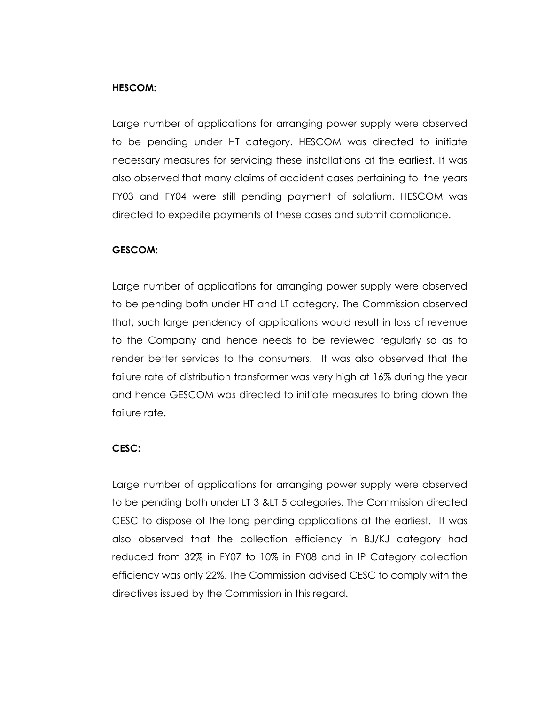#### **HESCOM:**

Large number of applications for arranging power supply were observed to be pending under HT category. HESCOM was directed to initiate necessary measures for servicing these installations at the earliest. It was also observed that many claims of accident cases pertaining to the years FY03 and FY04 were still pending payment of solatium. HESCOM was directed to expedite payments of these cases and submit compliance.

#### **GESCOM:**

Large number of applications for arranging power supply were observed to be pending both under HT and LT category. The Commission observed that, such large pendency of applications would result in loss of revenue to the Company and hence needs to be reviewed regularly so as to render better services to the consumers. It was also observed that the failure rate of distribution transformer was very high at 16% during the year and hence GESCOM was directed to initiate measures to bring down the failure rate.

#### **CESC:**

Large number of applications for arranging power supply were observed to be pending both under LT 3 & LT 5 categories. The Commission directed CESC to dispose of the long pending applications at the earliest. It was also observed that the collection efficiency in BJ/KJ category had reduced from 32% in FY07 to 10% in FY08 and in IP Category collection efficiency was only 22%. The Commission advised CESC to comply with the directives issued by the Commission in this regard.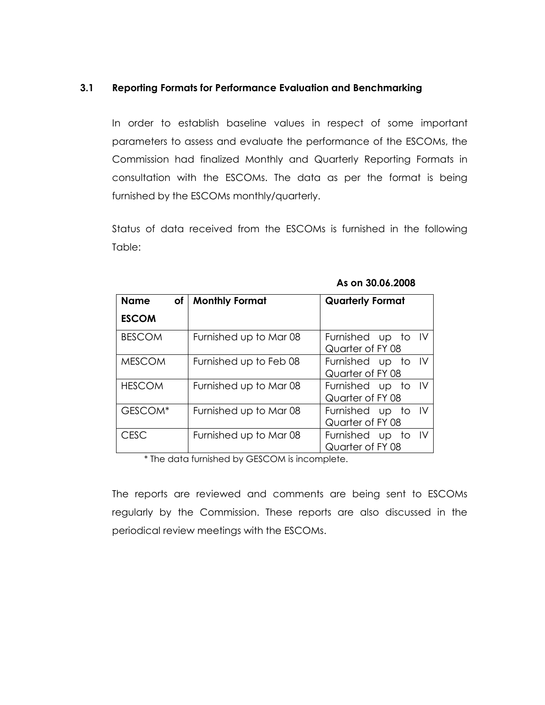#### **3.1 Reporting Formats for Performance Evaluation and Benchmarking**

In order to establish baseline values in respect of some important parameters to assess and evaluate the performance of the ESCOMs, the Commission had finalized Monthly and Quarterly Reporting Formats in consultation with the ESCOMs. The data as per the format is being furnished by the ESCOMs monthly/quarterly.

Status of data received from the ESCOMs is furnished in the following Table:

| <b>Name</b>   | of   Monthly Format    | <b>Quarterly Format</b>                |
|---------------|------------------------|----------------------------------------|
| <b>ESCOM</b>  |                        |                                        |
| <b>BESCOM</b> | Furnished up to Mar 08 | Furnished up to IV<br>Quarter of FY 08 |
| <b>MESCOM</b> | Furnished up to Feb 08 | Furnished up to IV<br>Quarter of FY 08 |
| <b>HESCOM</b> | Furnished up to Mar 08 | Furnished up to IV<br>Quarter of FY 08 |
| GESCOM*       | Furnished up to Mar 08 | Furnished up to IV<br>Quarter of FY 08 |
| <b>CESC</b>   | Furnished up to Mar 08 | Furnished up to IV<br>Quarter of FY 08 |

**As on 30.06.2008**

\* The data furnished by GESCOM is incomplete.

The reports are reviewed and comments are being sent to ESCOMs regularly by the Commission. These reports are also discussed in the periodical review meetings with the ESCOMs.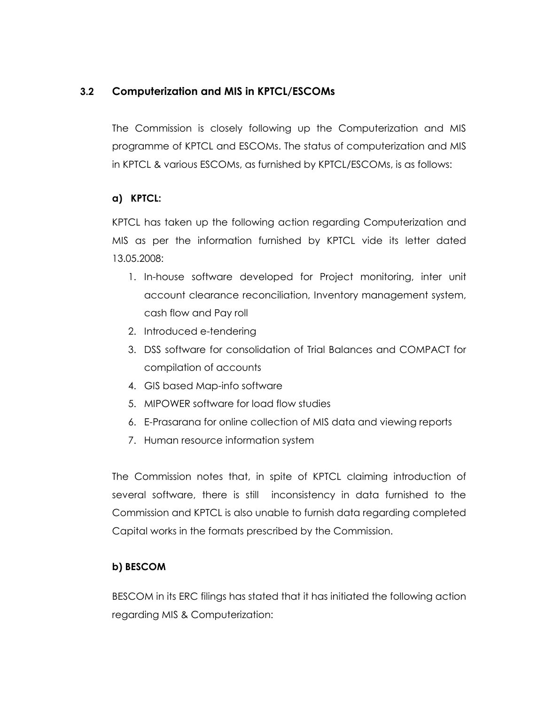# **3.2 Computerization and MIS in KPTCL/ESCOMs**

The Commission is closely following up the Computerization and MIS programme of KPTCL and ESCOMs. The status of computerization and MIS in KPTCL & various ESCOMs, as furnished by KPTCL/ESCOMs, is as follows:

#### **a) KPTCL:**

KPTCL has taken up the following action regarding Computerization and MIS as per the information furnished by KPTCL vide its letter dated 13.05.2008:

- 1. In-house software developed for Project monitoring, inter unit account clearance reconciliation, Inventory management system, cash flow and Pay roll
- 2. Introduced e-tendering
- 3. DSS software for consolidation of Trial Balances and COMPACT for compilation of accounts
- 4. GIS based Map-info software
- 5. MIPOWER software for load flow studies
- 6. E-Prasarana for online collection of MIS data and viewing reports
- 7. Human resource information system

The Commission notes that, in spite of KPTCL claiming introduction of several software, there is still inconsistency in data furnished to the Commission and KPTCL is also unable to furnish data regarding completed Capital works in the formats prescribed by the Commission.

#### **b) BESCOM**

BESCOM in its ERC filings has stated that it has initiated the following action regarding MIS & Computerization: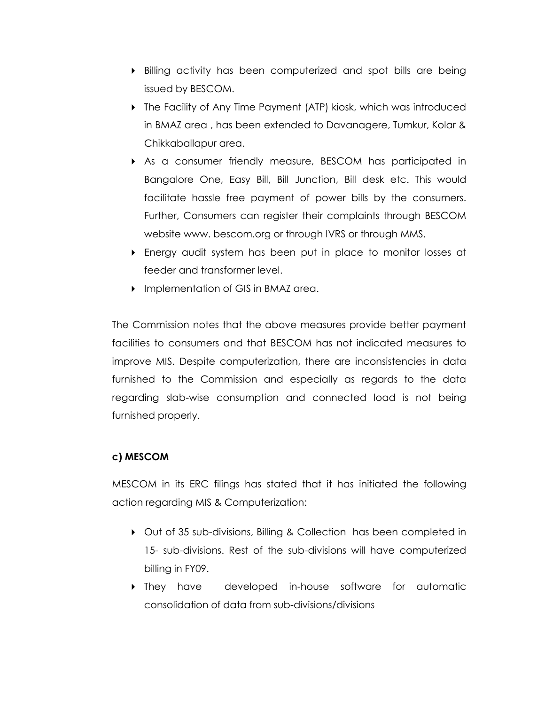- Billing activity has been computerized and spot bills are being issued by BESCOM.
- ▶ The Facility of Any Time Payment (ATP) kiosk, which was introduced in BMAZ area , has been extended to Davanagere, Tumkur, Kolar & Chikkaballapur area.
- As a consumer friendly measure, BESCOM has participated in Bangalore One, Easy Bill, Bill Junction, Bill desk etc. This would facilitate hassle free payment of power bills by the consumers. Further, Consumers can register their complaints through BESCOM website www. bescom.org or through IVRS or through MMS.
- Energy audit system has been put in place to monitor losses at feeder and transformer level.
- **Implementation of GIS in BMAZ area.**

The Commission notes that the above measures provide better payment facilities to consumers and that BESCOM has not indicated measures to improve MIS. Despite computerization, there are inconsistencies in data furnished to the Commission and especially as regards to the data regarding slab-wise consumption and connected load is not being furnished properly.

#### **c) MESCOM**

MESCOM in its ERC filings has stated that it has initiated the following action regarding MIS & Computerization:

- Out of 35 sub-divisions, Billing & Collection has been completed in 15- sub-divisions. Rest of the sub-divisions will have computerized billing in FY09.
- **Figure 1** They have developed in-house software for automatic consolidation of data from sub-divisions/divisions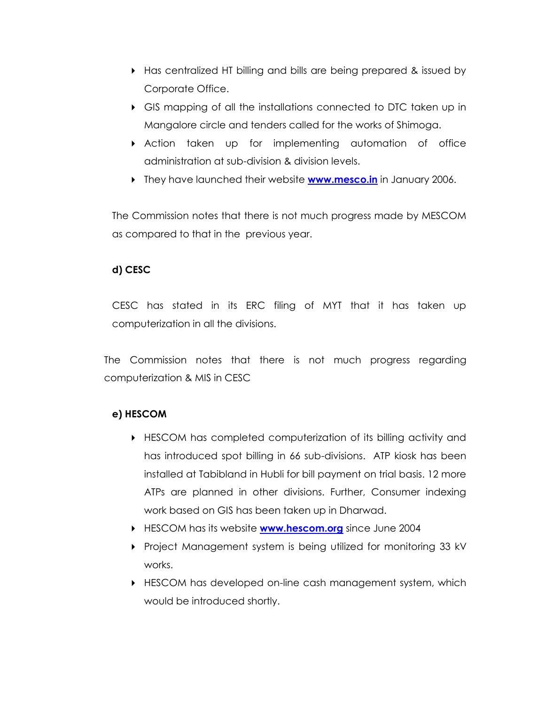- Has centralized HT billing and bills are being prepared & issued by Corporate Office.
- GIS mapping of all the installations connected to DTC taken up in Mangalore circle and tenders called for the works of Shimoga.
- $\triangleright$  Action taken up for implementing automation of office administration at sub-division & division levels.
- They have launched their website **[www.mesco.in](http://www.mesco.in/)** in January 2006.

The Commission notes that there is not much progress made by MESCOM as compared to that in the previous year.

# **d) CESC**

CESC has stated in its ERC filing of MYT that it has taken up computerization in all the divisions.

The Commission notes that there is not much progress regarding computerization & MIS in CESC

# **e) HESCOM**

- HESCOM has completed computerization of its billing activity and has introduced spot billing in 66 sub-divisions. ATP kiosk has been installed at Tabibland in Hubli for bill payment on trial basis. 12 more ATPs are planned in other divisions. Further, Consumer indexing work based on GIS has been taken up in Dharwad.
- HESCOM has its website **[www.hescom.org](http://www.hescom.org/)** since June 2004
- ▶ Project Management system is being utilized for monitoring 33 kV works.
- **HESCOM** has developed on-line cash management system, which would be introduced shortly.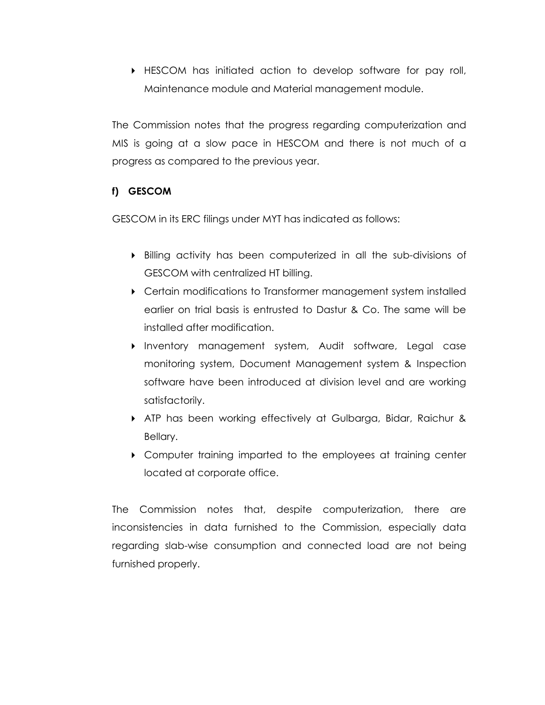$\blacktriangleright$  HESCOM has initiated action to develop software for pay roll, Maintenance module and Material management module.

The Commission notes that the progress regarding computerization and MIS is going at a slow pace in HESCOM and there is not much of a progress as compared to the previous year.

# **f) GESCOM**

GESCOM in its ERC filings under MYT has indicated as follows:

- Billing activity has been computerized in all the sub-divisions of GESCOM with centralized HT billing.
- Certain modifications to Transformer management system installed earlier on trial basis is entrusted to Dastur & Co. The same will be installed after modification.
- Inventory management system, Audit software, Legal case monitoring system, Document Management system & Inspection software have been introduced at division level and are working satisfactorily.
- ATP has been working effectively at Gulbarga, Bidar, Raichur & Bellary.
- Computer training imparted to the employees at training center located at corporate office.

The Commission notes that, despite computerization, there are inconsistencies in data furnished to the Commission, especially data regarding slab-wise consumption and connected load are not being furnished properly.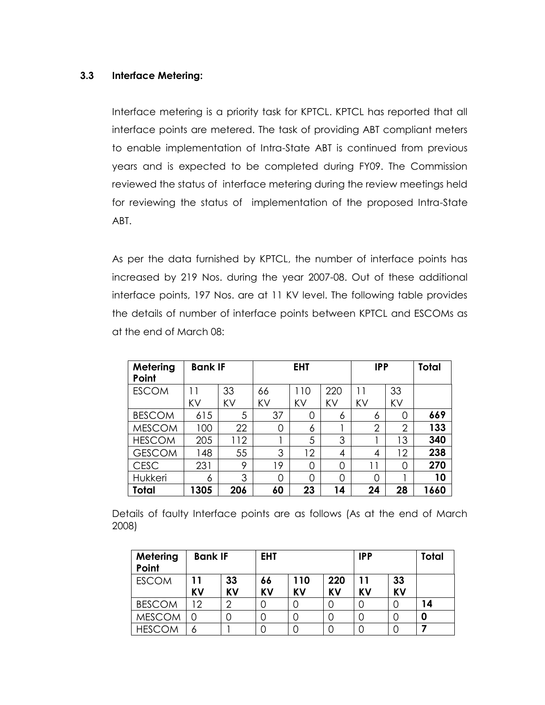#### **3.3 Interface Metering:**

Interface metering is a priority task for KPTCL. KPTCL has reported that all interface points are metered. The task of providing ABT compliant meters to enable implementation of Intra-State ABT is continued from previous years and is expected to be completed during FY09. The Commission reviewed the status of interface metering during the review meetings held for reviewing the status of implementation of the proposed Intra-State ABT.

As per the data furnished by KPTCL, the number of interface points has increased by 219 Nos. during the year 2007-08. Out of these additional interface points, 197 Nos. are at 11 KV level. The following table provides the details of number of interface points between KPTCL and ESCOMs as at the end of March 08:

| Metering<br>Point | <b>Bank IF</b> |     |    | <b>EHT</b> |     | <b>IPP</b>     |                | <b>Total</b> |
|-------------------|----------------|-----|----|------------|-----|----------------|----------------|--------------|
| <b>ESCOM</b>      |                | 33  | 66 | 110        | 220 | 11             | 33             |              |
|                   | KV             | KV  | KV | KV         | KV  | KV             | KV             |              |
| <b>BESCOM</b>     | 615            | 5   | 37 | 0          | 6   | 6              | 0              | 669          |
| <b>MESCOM</b>     | 100            | 22  | 0  | 6          |     | $\overline{2}$ | $\overline{2}$ | 133          |
| <b>HESCOM</b>     | 205            | 112 |    | 5          | 3   |                | 13             | 340          |
| <b>GESCOM</b>     | 148            | 55  | 3  | 12         | 4   | 4              | 12             | 238          |
| <b>CESC</b>       | 231            | 9   | 19 | 0          | 0   | 11             | 0              | 270          |
| Hukkeri           | 6              | 3   | 0  | 0          | 0   | 0              |                | 10           |
| Total             | 1305           | 206 | 60 | 23         | 14  | 24             | 28             | 1660         |

Details of faulty Interface points are as follows (As at the end of March 2008)

| Metering<br>Point | <b>Bank IF</b> |                 | <b>EHT</b>      |                  | <b>IPP</b>       |                 |                 | Total |
|-------------------|----------------|-----------------|-----------------|------------------|------------------|-----------------|-----------------|-------|
| <b>ESCOM</b>      | 11<br>KV       | 33<br><b>KV</b> | 66<br><b>KV</b> | 110<br><b>KV</b> | 220<br><b>KV</b> | 11<br><b>KV</b> | 33<br><b>KV</b> |       |
| <b>BESCOM</b>     | 12             | ⌒               |                 | 0                | 0                |                 |                 | 14    |
| <b>MESCOM</b>     |                |                 |                 | 0                | 0                |                 |                 |       |
| <b>HESCOM</b>     | 6              |                 |                 | 0                |                  |                 |                 |       |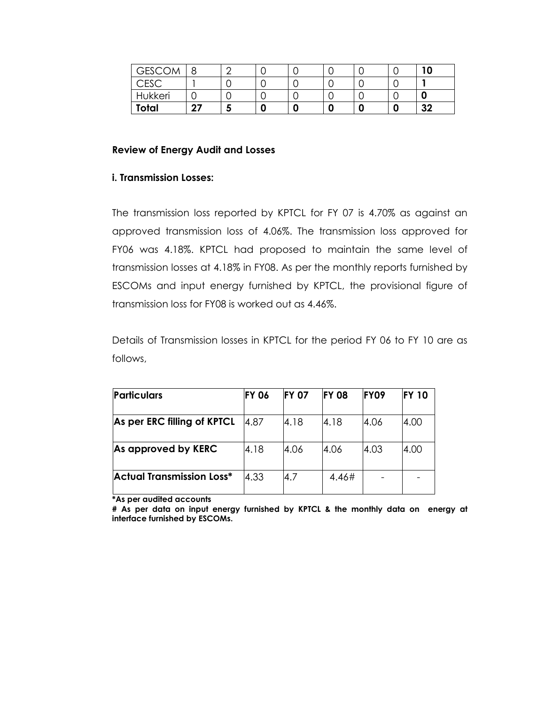| <b>GESCOM</b> |    |       |   |   | ີ |  |    |
|---------------|----|-------|---|---|---|--|----|
| <b>CESC</b>   |    |       |   |   | ີ |  |    |
| Hukkeri       |    |       |   |   | ◡ |  |    |
| Total         | דר | <br>- | u | O | 0 |  | 32 |

#### **Review of Energy Audit and Losses**

#### **i. Transmission Losses:**

The transmission loss reported by KPTCL for FY 07 is 4.70% as against an approved transmission loss of 4.06%. The transmission loss approved for FY06 was 4.18%. KPTCL had proposed to maintain the same level of transmission losses at 4.18% in FY08. As per the monthly reports furnished by ESCOMs and input energy furnished by KPTCL, the provisional figure of transmission loss for FY08 is worked out as 4.46%.

Details of Transmission losses in KPTCL for the period FY 06 to FY 10 are as follows,

| <b>Particulars</b>               | <b>FY 06</b> | <b>FY 07</b> | <b>FY 08</b> | FY09 | <b>FY 10</b> |
|----------------------------------|--------------|--------------|--------------|------|--------------|
| As per ERC filling of KPTCL      | 4.87         | 4.18         | 4.18         | 4.06 | 4.00         |
| As approved by KERC              | 4.18         | 4.06         | 4.06         | 4.03 | 4.00         |
| <b>Actual Transmission Loss*</b> | 4.33         | 4.7          | 4.46#        |      |              |

**\*As per audited accounts**

**# As per data on input energy furnished by KPTCL & the monthly data on energy at interface furnished by ESCOMs.**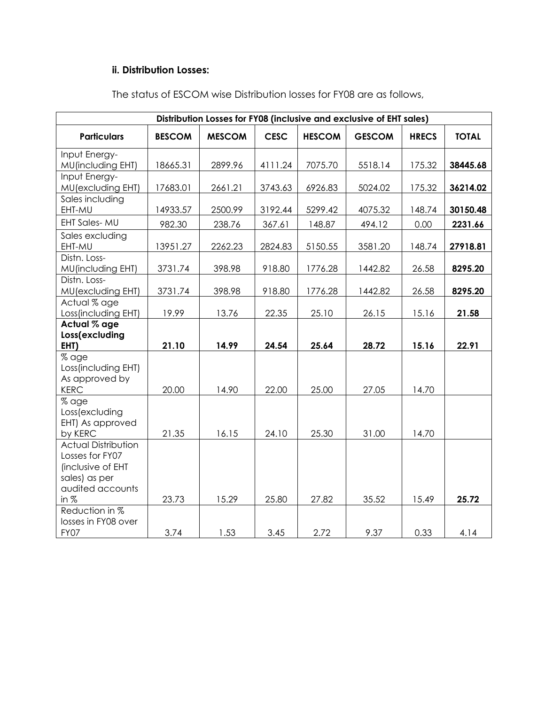# **ii. Distribution Losses:**

|                                                                                                         |               | Distribution Losses for FY08 (inclusive and exclusive of EHT sales) |             |               |               |              |              |
|---------------------------------------------------------------------------------------------------------|---------------|---------------------------------------------------------------------|-------------|---------------|---------------|--------------|--------------|
| <b>Particulars</b>                                                                                      | <b>BESCOM</b> | <b>MESCOM</b>                                                       | <b>CESC</b> | <b>HESCOM</b> | <b>GESCOM</b> | <b>HRECS</b> | <b>TOTAL</b> |
| Input Energy-<br><b>MU</b> (including EHT)                                                              | 18665.31      | 2899.96                                                             | 4111.24     | 7075.70       | 5518.14       | 175.32       | 38445.68     |
| Input Energy-<br>MU(excluding EHT)                                                                      | 17683.01      | 2661.21                                                             | 3743.63     | 6926.83       | 5024.02       | 175.32       | 36214.02     |
| Sales including<br>EHT-MU                                                                               | 14933.57      | 2500.99                                                             | 3192.44     | 5299.42       | 4075.32       | 148.74       | 30150.48     |
| <b>EHT Sales-MU</b>                                                                                     | 982.30        | 238.76                                                              | 367.61      | 148.87        | 494.12        | 0.00         | 2231.66      |
| Sales excluding<br>EHT-MU                                                                               | 13951.27      | 2262.23                                                             | 2824.83     | 5150.55       | 3581.20       | 148.74       | 27918.81     |
| Distn. Loss-<br><b>MU</b> (including EHT)                                                               | 3731.74       | 398.98                                                              | 918.80      | 1776.28       | 1442.82       | 26.58        | 8295.20      |
| Distn. Loss-<br>MU(excluding EHT)                                                                       | 3731.74       | 398.98                                                              | 918.80      | 1776.28       | 1442.82       | 26.58        | 8295.20      |
| Actual % age<br>Loss(including EHT)                                                                     | 19.99         | 13.76                                                               | 22.35       | 25.10         | 26.15         | 15.16        | 21.58        |
| Actual % age<br>Loss(excluding<br>EHT)                                                                  | 21.10         | 14.99                                                               | 24.54       | 25.64         | 28.72         | 15.16        | 22.91        |
| % age<br>Loss(including EHT)<br>As approved by<br><b>KERC</b>                                           | 20.00         | 14.90                                                               | 22.00       | 25.00         | 27.05         | 14.70        |              |
| % age<br>Loss (excluding<br>EHT) As approved<br>by KERC                                                 | 21.35         | 16.15                                                               | 24.10       | 25.30         | 31.00         | 14.70        |              |
| <b>Actual Distribution</b><br>Losses for FY07<br>(inclusive of EHT<br>sales) as per<br>audited accounts |               |                                                                     |             |               |               |              |              |
| in $%$                                                                                                  | 23.73         | 15.29                                                               | 25.80       | 27.82         | 35.52         | 15.49        | 25.72        |
| Reduction in %<br>losses in FY08 over<br>FY07                                                           | 3.74          | 1.53                                                                | 3.45        | 2.72          | 9.37          | 0.33         | 4.14         |

The status of ESCOM wise Distribution losses for FY08 are as follows,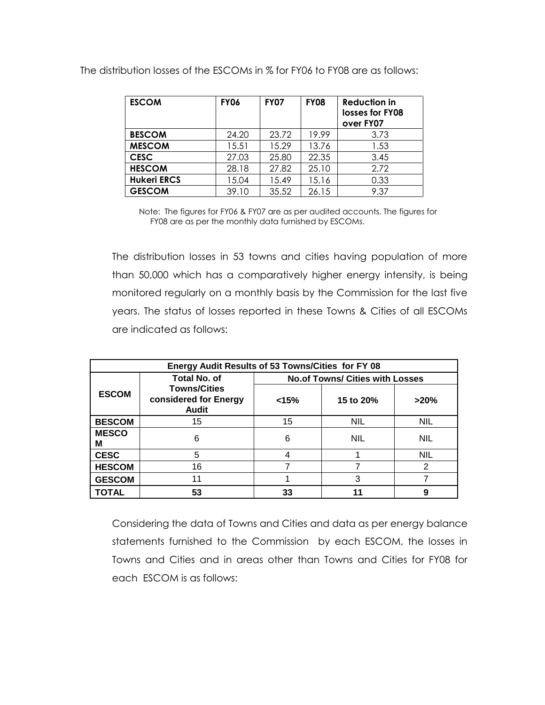| <b>ESCOM</b>       | <b>FY06</b> | <b>FY07</b> | <b>FY08</b> | <b>Reduction in</b><br>losses for FY08<br>over FY07 |
|--------------------|-------------|-------------|-------------|-----------------------------------------------------|
| <b>BESCOM</b>      | 24.20       | 23.72       | 19.99       | 3.73                                                |
| <b>MESCOM</b>      | 15.51       | 15.29       | 13.76       | 1.53                                                |
| <b>CESC</b>        | 27.03       | 25.80       | 22.35       | 3.45                                                |
| <b>HESCOM</b>      | 28.18       | 27.82       | 25.10       | 2.72                                                |
| <b>Hukeri ERCS</b> | 15.04       | 15.49       | 15.16       | 0.33                                                |
| <b>GESCOM</b>      | 39.10       | 35.52       | 26.15       | 9.37                                                |

The distribution losses of the ESCOMs in % for FY06 to FY08 are as follows:

Note: The figures for FY06 & FY07 are as per audited accounts. The figures for FY08 are as per the monthly data furnished by ESCOMs.

The distribution losses in 53 towns and cities having population of more than 50,000 which has a comparatively higher energy intensity, is being monitored regularly on a monthly basis by the Commission for the last five years. The status of losses reported in these Towns & Cities of all ESCOMs are indicated as follows:

| Energy Audit Results of 53 Towns/Cities for FY 08 |                                                              |                            |                                        |            |  |  |  |  |  |
|---------------------------------------------------|--------------------------------------------------------------|----------------------------|----------------------------------------|------------|--|--|--|--|--|
|                                                   | <b>Total No. of</b>                                          |                            | <b>No.of Towns/ Cities with Losses</b> |            |  |  |  |  |  |
| <b>ESCOM</b>                                      | <b>Towns/Cities</b><br>considered for Energy<br><b>Audit</b> | < 15%<br>15 to 20%<br>>20% |                                        |            |  |  |  |  |  |
| <b>BESCOM</b>                                     | 15                                                           | 15                         | <b>NIL</b>                             | <b>NIL</b> |  |  |  |  |  |
| <b>MESCO</b><br>М                                 | 6                                                            | 6                          | <b>NIL</b>                             | <b>NIL</b> |  |  |  |  |  |
| <b>CESC</b>                                       | 5                                                            | 4                          |                                        | <b>NIL</b> |  |  |  |  |  |
| <b>HESCOM</b>                                     | 16                                                           |                            |                                        | 2          |  |  |  |  |  |
| <b>GESCOM</b>                                     | 11                                                           | 3                          |                                        |            |  |  |  |  |  |
| <b>TOTAL</b>                                      | 53                                                           | 33                         |                                        | 9          |  |  |  |  |  |

Considering the data of Towns and Cities and data as per energy balance statements furnished to the Commission by each ESCOM, the losses in Towns and Cities and in areas other than Towns and Cities for FY08 for each ESCOM is as follows: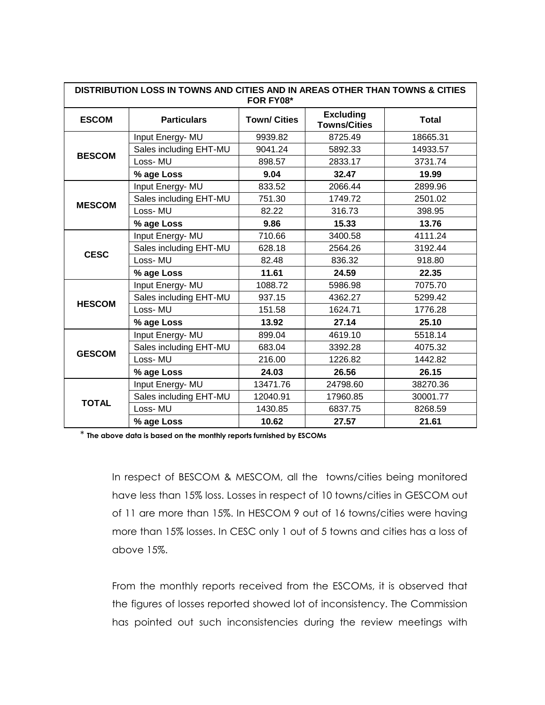|               | DISTRIBUTION LOSS IN TOWNS AND CITIES AND IN AREAS OTHER THAN TOWNS & CITIES<br>FOR FY08* |                     |                                         |              |  |  |  |  |  |
|---------------|-------------------------------------------------------------------------------------------|---------------------|-----------------------------------------|--------------|--|--|--|--|--|
| <b>ESCOM</b>  | <b>Particulars</b>                                                                        | <b>Town/ Cities</b> | <b>Excluding</b><br><b>Towns/Cities</b> | <b>Total</b> |  |  |  |  |  |
|               | Input Energy- MU                                                                          | 9939.82             | 8725.49                                 | 18665.31     |  |  |  |  |  |
| <b>BESCOM</b> | Sales including EHT-MU                                                                    | 9041.24             | 5892.33                                 | 14933.57     |  |  |  |  |  |
|               | Loss-MU                                                                                   | 898.57              | 2833.17                                 | 3731.74      |  |  |  |  |  |
|               | % age Loss                                                                                | 9.04                | 32.47                                   | 19.99        |  |  |  |  |  |
|               | Input Energy- MU                                                                          | 833.52              | 2066.44                                 | 2899.96      |  |  |  |  |  |
| <b>MESCOM</b> | Sales including EHT-MU                                                                    | 751.30              | 1749.72                                 | 2501.02      |  |  |  |  |  |
|               | Loss-MU                                                                                   | 82.22               | 316.73                                  | 398.95       |  |  |  |  |  |
|               | % age Loss                                                                                | 9.86                | 15.33                                   | 13.76        |  |  |  |  |  |
|               | Input Energy- MU                                                                          | 710.66              | 3400.58                                 | 4111.24      |  |  |  |  |  |
| <b>CESC</b>   | Sales including EHT-MU                                                                    | 628.18              | 2564.26                                 | 3192.44      |  |  |  |  |  |
|               | Loss-MU                                                                                   | 82.48               | 836.32                                  | 918.80       |  |  |  |  |  |
|               | % age Loss                                                                                | 11.61               | 24.59                                   | 22.35        |  |  |  |  |  |
|               | Input Energy- MU                                                                          | 1088.72             | 5986.98                                 | 7075.70      |  |  |  |  |  |
| <b>HESCOM</b> | Sales including EHT-MU                                                                    | 937.15              | 4362.27                                 | 5299.42      |  |  |  |  |  |
|               | Loss-MU                                                                                   | 151.58              | 1624.71                                 | 1776.28      |  |  |  |  |  |
|               | % age Loss                                                                                | 13.92               | 27.14                                   | 25.10        |  |  |  |  |  |
|               | Input Energy-MU                                                                           | 899.04              | 4619.10                                 | 5518.14      |  |  |  |  |  |
| <b>GESCOM</b> | Sales including EHT-MU                                                                    | 683.04              | 3392.28                                 | 4075.32      |  |  |  |  |  |
|               | Loss-MU                                                                                   | 216.00              | 1226.82                                 | 1442.82      |  |  |  |  |  |
|               | % age Loss                                                                                | 24.03               | 26.56                                   | 26.15        |  |  |  |  |  |
|               | Input Energy- MU                                                                          | 13471.76            | 24798.60                                | 38270.36     |  |  |  |  |  |
| <b>TOTAL</b>  | Sales including EHT-MU                                                                    | 12040.91            | 17960.85                                | 30001.77     |  |  |  |  |  |
|               | Loss-MU                                                                                   | 1430.85             | 6837.75                                 | 8268.59      |  |  |  |  |  |
|               | % age Loss                                                                                | 10.62               | 27.57                                   | 21.61        |  |  |  |  |  |

\* **The above data is based on the monthly reports furnished by ESCOMs**

In respect of BESCOM & MESCOM, all the towns/cities being monitored have less than 15% loss. Losses in respect of 10 towns/cities in GESCOM out of 11 are more than 15%. In HESCOM 9 out of 16 towns/cities were having more than 15% losses. In CESC only 1 out of 5 towns and cities has a loss of above 15%.

From the monthly reports received from the ESCOMs, it is observed that the figures of losses reported showed lot of inconsistency. The Commission has pointed out such inconsistencies during the review meetings with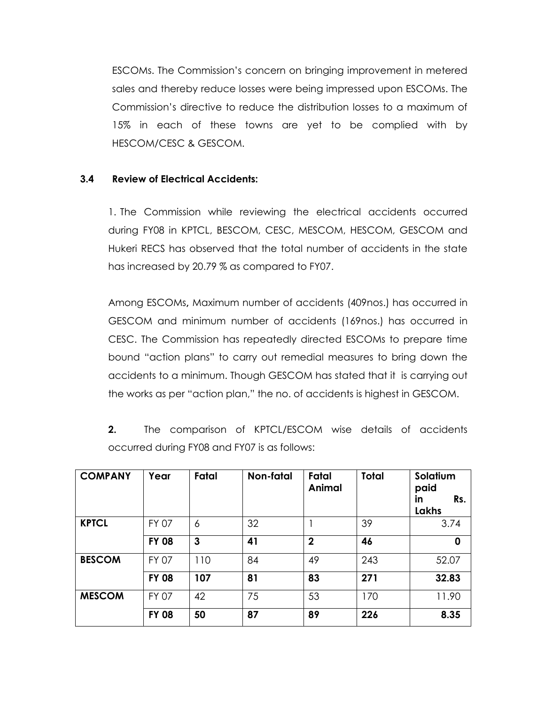ESCOMs. The Commission"s concern on bringing improvement in metered sales and thereby reduce losses were being impressed upon ESCOMs. The Commission"s directive to reduce the distribution losses to a maximum of 15% in each of these towns are yet to be complied with by HESCOM/CESC & GESCOM.

#### **3.4 Review of Electrical Accidents:**

1. The Commission while reviewing the electrical accidents occurred during FY08 in KPTCL, BESCOM, CESC, MESCOM, HESCOM, GESCOM and Hukeri RECS has observed that the total number of accidents in the state has increased by 20.79 % as compared to FY07.

Among ESCOMs**,** Maximum number of accidents (409nos.) has occurred in GESCOM and minimum number of accidents (169nos.) has occurred in CESC. The Commission has repeatedly directed ESCOMs to prepare time bound "action plans" to carry out remedial measures to bring down the accidents to a minimum. Though GESCOM has stated that it is carrying out the works as per "action plan," the no. of accidents is highest in GESCOM.

**2.** The comparison of KPTCL/ESCOM wise details of accidents occurred during FY08 and FY07 is as follows:

| <b>COMPANY</b> | Year         | Fatal | Non-fatal | Fatal<br>Animal | <b>Total</b> | Solatium<br>paid<br>in<br>Rs.<br>Lakhs |
|----------------|--------------|-------|-----------|-----------------|--------------|----------------------------------------|
| <b>KPTCL</b>   | FY 07        | 6     | 32        |                 | 39           | 3.74                                   |
|                | <b>FY 08</b> | 3     | 41        | $\overline{2}$  | 46           | 0                                      |
| <b>BESCOM</b>  | <b>FY 07</b> | 110   | 84        | 49              | 243          | 52.07                                  |
|                | <b>FY 08</b> | 107   | 81        | 83              | 271          | 32.83                                  |
| <b>MESCOM</b>  | <b>FY 07</b> | 42    | 75        | 53              | 170          | 11.90                                  |
|                | <b>FY 08</b> | 50    | 87        | 89              | 226          | 8.35                                   |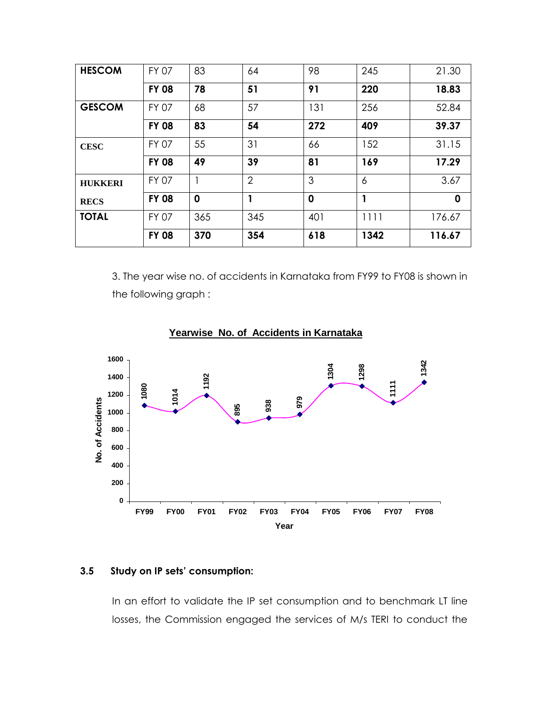| <b>HESCOM</b>  | <b>FY 07</b> | 83          | 64             | 98          | 245          | 21.30  |
|----------------|--------------|-------------|----------------|-------------|--------------|--------|
|                | <b>FY 08</b> | 78          | 51             | 91          | 220          | 18.83  |
| <b>GESCOM</b>  | <b>FY 07</b> | 68          | 57             | 131         | 256          | 52.84  |
|                | <b>FY 08</b> | 83          | 54             | 272         | 409          | 39.37  |
| <b>CESC</b>    | <b>FY 07</b> | 55          | 31             | 66          | 152          | 31.15  |
|                | <b>FY 08</b> | 49          | 39             | 81          | 169          | 17.29  |
| <b>HUKKERI</b> | <b>FY 07</b> |             | $\overline{2}$ | 3           | 6            | 3.67   |
| <b>RECS</b>    | <b>FY 08</b> | $\mathbf 0$ | 1              | $\mathbf 0$ | $\mathbf{1}$ | 0      |
| <b>TOTAL</b>   | <b>FY 07</b> | 365         | 345            | 401         | 1111         | 176.67 |
|                | <b>FY 08</b> | 370         | 354            | 618         | 1342         | 116.67 |

3. The year wise no. of accidents in Karnataka from FY99 to FY08 is shown in the following graph :



# **Yearwise No. of Accidents in Karnataka**

#### **3.5 Study on IP sets' consumption:**

In an effort to validate the IP set consumption and to benchmark LT line losses, the Commission engaged the services of M/s TERI to conduct the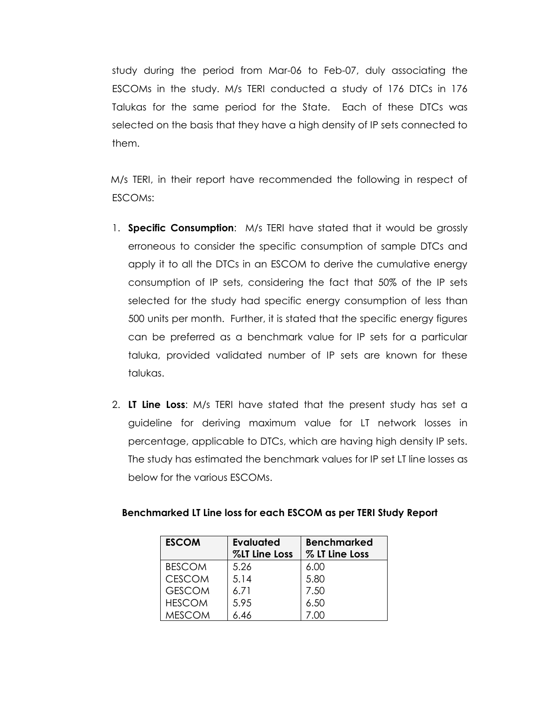study during the period from Mar-06 to Feb-07, duly associating the ESCOMs in the study. M/s TERI conducted a study of 176 DTCs in 176 Talukas for the same period for the State. Each of these DTCs was selected on the basis that they have a high density of IP sets connected to them.

 M/s TERI, in their report have recommended the following in respect of ESCOMs:

- 1. **Specific Consumption**: M/s TERI have stated that it would be grossly erroneous to consider the specific consumption of sample DTCs and apply it to all the DTCs in an ESCOM to derive the cumulative energy consumption of IP sets, considering the fact that 50% of the IP sets selected for the study had specific energy consumption of less than 500 units per month. Further, it is stated that the specific energy figures can be preferred as a benchmark value for IP sets for a particular taluka, provided validated number of IP sets are known for these talukas.
- 2. **LT Line Loss**: M/s TERI have stated that the present study has set a guideline for deriving maximum value for LT network losses in percentage, applicable to DTCs, which are having high density IP sets. The study has estimated the benchmark values for IP set LT line losses as below for the various ESCOMs.

| <b>ESCOM</b>  | <b>Evaluated</b><br>%LT Line Loss | <b>Benchmarked</b><br>% LT Line Loss |
|---------------|-----------------------------------|--------------------------------------|
| <b>BESCOM</b> | 5.26                              | 6.00                                 |
| <b>CESCOM</b> | 5.14                              | 5.80                                 |
| <b>GESCOM</b> | 6.71                              | 7.50                                 |
| <b>HESCOM</b> | 5.95                              | 6.50                                 |
| MESCOM        | 6.46                              |                                      |

#### **Benchmarked LT Line loss for each ESCOM as per TERI Study Report**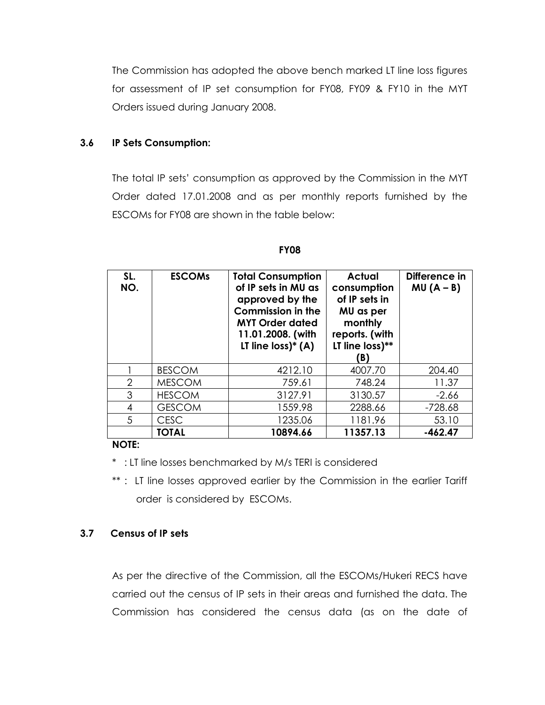The Commission has adopted the above bench marked LT line loss figures for assessment of IP set consumption for FY08, FY09 & FY10 in the MYT Orders issued during January 2008.

#### **3.6 IP Sets Consumption:**

The total IP sets" consumption as approved by the Commission in the MYT Order dated 17.01.2008 and as per monthly reports furnished by the ESCOMs for FY08 are shown in the table below:

| SL.<br>NO.     | <b>ESCOMS</b> | <b>Total Consumption</b><br>of IP sets in MU as<br>approved by the<br><b>Commission in the</b><br><b>MYT Order dated</b><br>11.01.2008. (with<br>LT line $loss$ <sup>*</sup> (A) | <b>Actual</b><br>consumption<br>of IP sets in<br>MU as per<br>monthly<br>reports. (with<br>LT line loss)**<br>B) | Difference in<br>$MU(A - B)$ |
|----------------|---------------|----------------------------------------------------------------------------------------------------------------------------------------------------------------------------------|------------------------------------------------------------------------------------------------------------------|------------------------------|
|                | <b>BESCOM</b> | 4212.10                                                                                                                                                                          | 4007.70                                                                                                          | 204.40                       |
| $\overline{2}$ | <b>MESCOM</b> | 759.61                                                                                                                                                                           | 748.24                                                                                                           | 11.37                        |
| 3              | <b>HESCOM</b> | 3127.91                                                                                                                                                                          | 3130.57                                                                                                          | $-2.66$                      |
| 4              | <b>GESCOM</b> | 1559.98                                                                                                                                                                          | 2288.66                                                                                                          | $-728.68$                    |
| 5              | <b>CESC</b>   | 1235.06                                                                                                                                                                          | 1181.96                                                                                                          | 53.10                        |
|                | <b>TOTAL</b>  | 10894.66                                                                                                                                                                         | 11357.13                                                                                                         | $-462.47$                    |

**FY08**

#### **NOTE:**

\* : LT line losses benchmarked by M/s TERI is considered

\*\* : LT line losses approved earlier by the Commission in the earlier Tariff order is considered by ESCOMs.

#### **3.7 Census of IP sets**

As per the directive of the Commission, all the ESCOMs/Hukeri RECS have carried out the census of IP sets in their areas and furnished the data. The Commission has considered the census data (as on the date of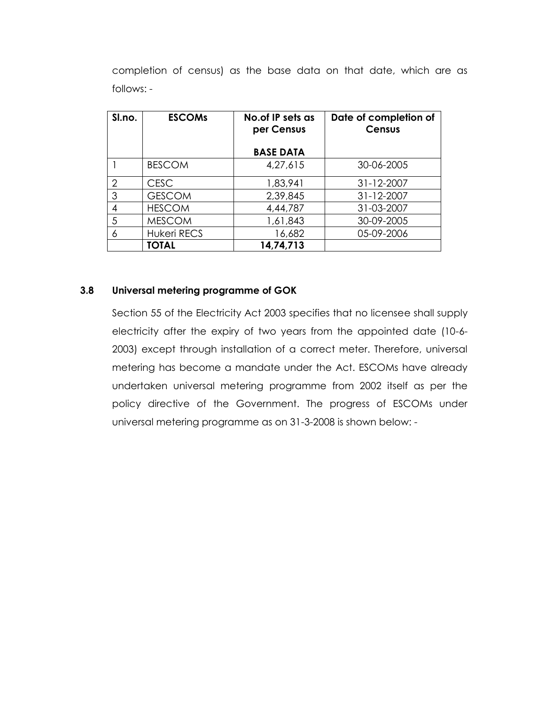completion of census) as the base data on that date, which are as follows: -

| Sl.no.        | <b>ESCOMS</b>      | No. of IP sets as<br>per Census | Date of completion of<br><b>Census</b> |
|---------------|--------------------|---------------------------------|----------------------------------------|
|               |                    |                                 |                                        |
|               |                    | <b>BASE DATA</b>                |                                        |
|               | <b>BESCOM</b>      | 4,27,615                        | 30-06-2005                             |
| $\mathcal{P}$ | <b>CESC</b>        | 1,83,941                        | 31-12-2007                             |
| 3             | <b>GESCOM</b>      | 2,39,845                        | 31-12-2007                             |
| 4             | <b>HESCOM</b>      | 4,44,787                        | 31-03-2007                             |
| 5             | <b>MESCOM</b>      | 1,61,843                        | 30-09-2005                             |
| 6             | <b>Hukeri RECS</b> | 16,682                          | 05-09-2006                             |
|               | <b>TOTAL</b>       | 14,74,713                       |                                        |

#### **3.8 Universal metering programme of GOK**

Section 55 of the Electricity Act 2003 specifies that no licensee shall supply electricity after the expiry of two years from the appointed date (10-6- 2003) except through installation of a correct meter. Therefore, universal metering has become a mandate under the Act. ESCOMs have already undertaken universal metering programme from 2002 itself as per the policy directive of the Government. The progress of ESCOMs under universal metering programme as on 31-3-2008 is shown below: -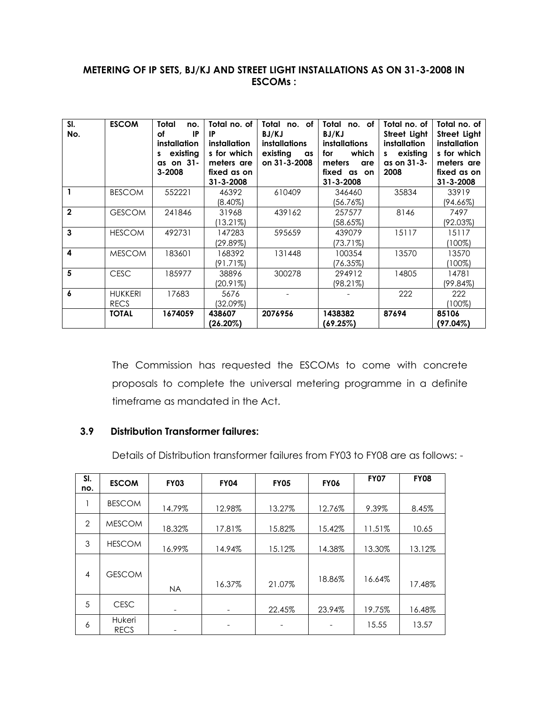#### **METERING OF IP SETS, BJ/KJ AND STREET LIGHT INSTALLATIONS AS ON 31-3-2008 IN ESCOMs :**

| SI.<br>No.              | <b>ESCOM</b>                  | <b>Total</b><br>no.<br><b>IP</b><br>оf<br><i>installation</i><br>existing<br>as on 31-<br>3-2008 | Total no. of<br><b>IP</b><br><i>installation</i><br>s for which<br>meters are<br>fixed as on<br>$31 - 3 - 2008$ | Total no. of<br>BJ/KJ<br><b>installations</b><br>existing<br>as<br>on 31-3-2008 | Total<br>no. of<br>BJ/KJ<br><i>installations</i><br>which<br>for<br>meters<br>are<br>fixed as on<br>$31 - 3 - 2008$ | Total no. of<br>Street Light<br><i>installation</i><br>existing<br>s<br>as on 31-3-<br>2008 | Total no. of<br>Street Light<br>installation<br>s for which<br>meters are<br>fixed as on<br>$31 - 3 - 2008$ |
|-------------------------|-------------------------------|--------------------------------------------------------------------------------------------------|-----------------------------------------------------------------------------------------------------------------|---------------------------------------------------------------------------------|---------------------------------------------------------------------------------------------------------------------|---------------------------------------------------------------------------------------------|-------------------------------------------------------------------------------------------------------------|
| $\mathbf{1}$            | <b>BESCOM</b>                 | 552221                                                                                           | 46392<br>$(8.40\%)$                                                                                             | 610409                                                                          | 346460<br>(56.76%)                                                                                                  | 35834                                                                                       | 33919<br>(94.66%)                                                                                           |
| $\overline{2}$          | <b>GESCOM</b>                 | 241846                                                                                           | 31968<br>(13.21%)                                                                                               | 439162                                                                          | 257577<br>(58.65%)                                                                                                  | 8146                                                                                        | 7497<br>(92.03%)                                                                                            |
| 3                       | <b>HESCOM</b>                 | 492731                                                                                           | 147283<br>(29.89%)                                                                                              | 595659                                                                          | 439079<br>(73.71%)                                                                                                  | 15117                                                                                       | 15117<br>(100%)                                                                                             |
| $\overline{\mathbf{4}}$ | <b>MESCOM</b>                 | 183601                                                                                           | 168392<br>(91.71%)                                                                                              | 131448                                                                          | 100354<br>(76.35%)                                                                                                  | 13570                                                                                       | 13570<br>(100%)                                                                                             |
| 5                       | <b>CESC</b>                   | 185977                                                                                           | 38896<br>(20.91%)                                                                                               | 300278                                                                          | 294912<br>(98.21%)                                                                                                  | 14805                                                                                       | 14781<br>(99.84%)                                                                                           |
| 6                       | <b>HUKKERI</b><br><b>RECS</b> | 17683                                                                                            | 5676<br>(32.09%)                                                                                                |                                                                                 |                                                                                                                     | 222                                                                                         | 222<br>(100%)                                                                                               |
|                         | <b>TOTAL</b>                  | 1674059                                                                                          | 438607<br>(26.20%)                                                                                              | 2076956                                                                         | 1438382<br>(69.25%)                                                                                                 | 87694                                                                                       | 85106<br>(97.04%)                                                                                           |

The Commission has requested the ESCOMs to come with concrete proposals to complete the universal metering programme in a definite timeframe as mandated in the Act.

#### **3.9 Distribution Transformer failures:**

Details of Distribution transformer failures from FY03 to FY08 are as follows: -

| SI.<br>no.     | <b>ESCOM</b>          | <b>FY03</b> | <b>FY04</b>                  | <b>FY05</b> | <b>FY06</b> | <b>FY07</b> | <b>FY08</b> |
|----------------|-----------------------|-------------|------------------------------|-------------|-------------|-------------|-------------|
|                | <b>BESCOM</b>         | 14.79%      | 12.98%                       | 13.27%      | 12.76%      | 9.39%       | 8.45%       |
| $\overline{2}$ | <b>MESCOM</b>         | 18.32%      | 17.81%                       | 15.82%      | 15.42%      | 11.51%      | 10.65       |
| 3              | <b>HESCOM</b>         | 16.99%      | 14.94%                       | 15.12%      | 14.38%      | 13.30%      | 13.12%      |
| 4              | <b>GESCOM</b>         | <b>NA</b>   | 16.37%                       | 21.07%      | 18.86%      | 16.64%      | 17.48%      |
| 5              | <b>CESC</b>           | -           | $\qquad \qquad \blacksquare$ | 22.45%      | 23.94%      | 19.75%      | 16.48%      |
| 6              | Hukeri<br><b>RECS</b> |             |                              |             |             | 15.55       | 13.57       |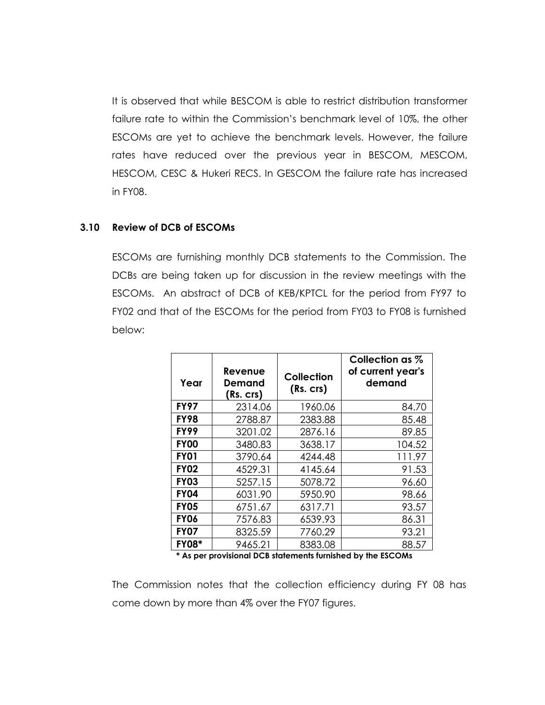It is observed that while BESCOM is able to restrict distribution transformer failure rate to within the Commission's benchmark level of 10%, the other ESCOMs are yet to achieve the benchmark levels. However, the failure rates have reduced over the previous year in BESCOM, MESCOM, HESCOM, CESC & Hukeri RECS. In GESCOM the failure rate has increased in FY08.

#### **3.10 Review of DCB of ESCOMs**

ESCOMs are furnishing monthly DCB statements to the Commission. The DCBs are being taken up for discussion in the review meetings with the ESCOMs. An abstract of DCB of KEB/KPTCL for the period from FY97 to FY02 and that of the ESCOMs for the period from FY03 to FY08 is furnished below:

| Year         | Revenue<br>Demand<br>(Rs. crs) | Collection<br>(Rs. crs) | Collection as %<br>of current year's<br>demand |
|--------------|--------------------------------|-------------------------|------------------------------------------------|
| <b>FY97</b>  | 2314.06                        | 1960.06                 | 84.70                                          |
| <b>FY98</b>  | 2788.87                        | 2383.88                 | 85.48                                          |
| <b>FY99</b>  | 3201.02                        | 2876.16                 | 89.85                                          |
| <b>FY00</b>  | 3480.83                        | 3638.17                 | 104.52                                         |
| <b>FY01</b>  | 3790.64                        | 4244.48                 | 111.97                                         |
| <b>FY02</b>  | 4529.31                        | 4145.64                 | 91.53                                          |
| <b>FY03</b>  | 5257.15                        | 5078.72                 | 96.60                                          |
| <b>FY04</b>  | 6031.90                        | 5950.90                 | 98.66                                          |
| <b>FY05</b>  | 6751.67                        | 6317.71                 | 93.57                                          |
| <b>FY06</b>  | 7576.83                        | 6539.93                 | 86.31                                          |
| <b>FY07</b>  | 8325.59                        | 7760.29                 | 93.21                                          |
| <b>FY08*</b> | 9465.21                        | 8383.08                 | 88.57                                          |

**\* As per provisional DCB statements furnished by the ESCOMs**

The Commission notes that the collection efficiency during FY 08 has come down by more than 4% over the FY07 figures.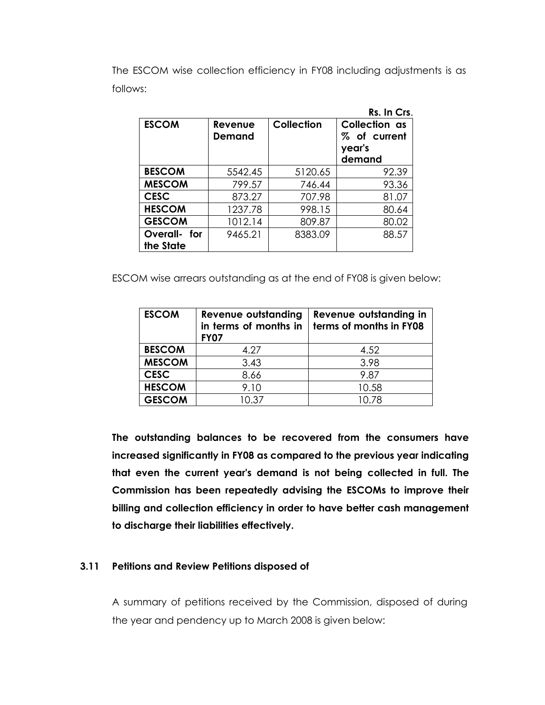The ESCOM wise collection efficiency in FY08 including adjustments is as follows:

|                           |                          |                   | Rs. In Crs.                                       |
|---------------------------|--------------------------|-------------------|---------------------------------------------------|
| <b>ESCOM</b>              | Revenue<br><b>Demand</b> | <b>Collection</b> | Collection as<br>% of current<br>year's<br>demand |
| <b>BESCOM</b>             | 5542.45                  | 5120.65           | 92.39                                             |
| <b>MESCOM</b>             | 799.57                   | 746.44            | 93.36                                             |
| <b>CESC</b>               | 873.27                   | 707.98            | 81.07                                             |
| <b>HESCOM</b>             | 1237.78                  | 998.15            | 80.64                                             |
| <b>GESCOM</b>             | 1012.14                  | 809.87            | 80.02                                             |
| Overall- for<br>the State | 9465.21                  | 8383.09           | 88.57                                             |

ESCOM wise arrears outstanding as at the end of FY08 is given below:

| <b>ESCOM</b>  | Revenue outstanding<br>in terms of months in<br><b>FY07</b> | Revenue outstanding in<br>terms of months in FY08 |
|---------------|-------------------------------------------------------------|---------------------------------------------------|
| <b>BESCOM</b> | 4.27                                                        | 4.52                                              |
| <b>MESCOM</b> | 3.43                                                        | 3.98                                              |
| <b>CESC</b>   | 8.66                                                        | 9.87                                              |
| <b>HESCOM</b> | 9.10                                                        | 10.58                                             |
| <b>GESCOM</b> | 10.37                                                       | 10.78                                             |

**The outstanding balances to be recovered from the consumers have increased significantly in FY08 as compared to the previous year indicating that even the current year's demand is not being collected in full. The Commission has been repeatedly advising the ESCOMs to improve their billing and collection efficiency in order to have better cash management to discharge their liabilities effectively.**

#### **3.11 Petitions and Review Petitions disposed of**

A summary of petitions received by the Commission, disposed of during the year and pendency up to March 2008 is given below: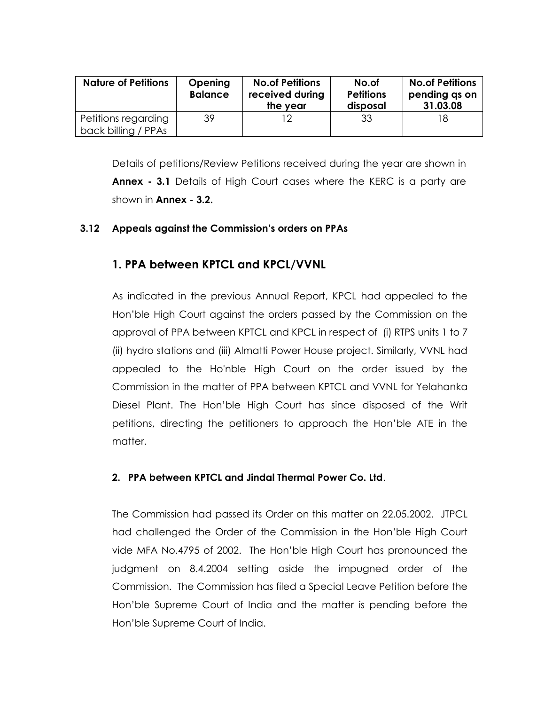| <b>Nature of Petitions</b>                 | <b>Opening</b><br><b>Balance</b> | <b>No.of Petitions</b><br>received during<br>the year | No.of<br><b>Petitions</b><br>disposal | <b>No.of Petitions</b><br>pending as on<br>31.03.08 |
|--------------------------------------------|----------------------------------|-------------------------------------------------------|---------------------------------------|-----------------------------------------------------|
| Petitions regarding<br>back billing / PPAs | 39                               |                                                       | 33                                    | 18                                                  |

Details of petitions/Review Petitions received during the year are shown in **Annex - 3.1** Details of High Court cases where the KERC is a party are shown in **Annex - 3.2.**

#### **3.12 Appeals against the Commission's orders on PPAs**

# **1. PPA between KPTCL and KPCL/VVNL**

As indicated in the previous Annual Report, KPCL had appealed to the Hon"ble High Court against the orders passed by the Commission on the approval of PPA between KPTCL and KPCL in respect of (i) RTPS units 1 to 7 (ii) hydro stations and (iii) Almatti Power House project. Similarly, VVNL had appealed to the Ho'nble High Court on the order issued by the Commission in the matter of PPA between KPTCL and VVNL for Yelahanka Diesel Plant. The Hon"ble High Court has since disposed of the Writ petitions, directing the petitioners to approach the Hon"ble ATE in the matter.

#### **2. PPA between KPTCL and Jindal Thermal Power Co. Ltd**.

The Commission had passed its Order on this matter on 22.05.2002. JTPCL had challenged the Order of the Commission in the Hon"ble High Court vide MFA No.4795 of 2002. The Hon"ble High Court has pronounced the judgment on 8.4.2004 setting aside the impugned order of the Commission. The Commission has filed a Special Leave Petition before the Hon"ble Supreme Court of India and the matter is pending before the Hon"ble Supreme Court of India.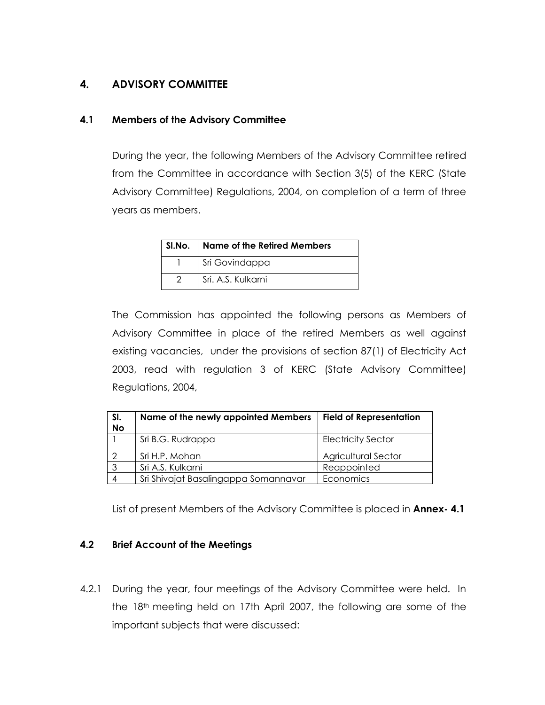# **4. ADVISORY COMMITTEE**

#### **4.1 Members of the Advisory Committee**

During the year, the following Members of the Advisory Committee retired from the Committee in accordance with Section 3(5) of the KERC (State Advisory Committee) Regulations, 2004, on completion of a term of three years as members.

| SI.No.   Name of the Retired Members |  |  |  |  |
|--------------------------------------|--|--|--|--|
| Sri Govindappa                       |  |  |  |  |
| Sri. A.S. Kulkarni                   |  |  |  |  |

The Commission has appointed the following persons as Members of Advisory Committee in place of the retired Members as well against existing vacancies, under the provisions of section 87(1) of Electricity Act 2003, read with regulation 3 of KERC (State Advisory Committee) Regulations, 2004,

| SI.<br><b>No</b> | Name of the newly appointed Members  | <b>Field of Representation</b> |
|------------------|--------------------------------------|--------------------------------|
|                  | Sri B.G. Rudrappa                    | <b>Electricity Sector</b>      |
|                  | Sri H.P. Mohan                       | <b>Agricultural Sector</b>     |
|                  | Sri A.S. Kulkarni                    | Reappointed                    |
|                  | Sri Shivajat Basalingappa Somannavar | Economics                      |

List of present Members of the Advisory Committee is placed in **Annex- 4.1**

#### **4.2 Brief Account of the Meetings**

4.2.1 During the year, four meetings of the Advisory Committee were held. In the 18th meeting held on 17th April 2007, the following are some of the important subjects that were discussed: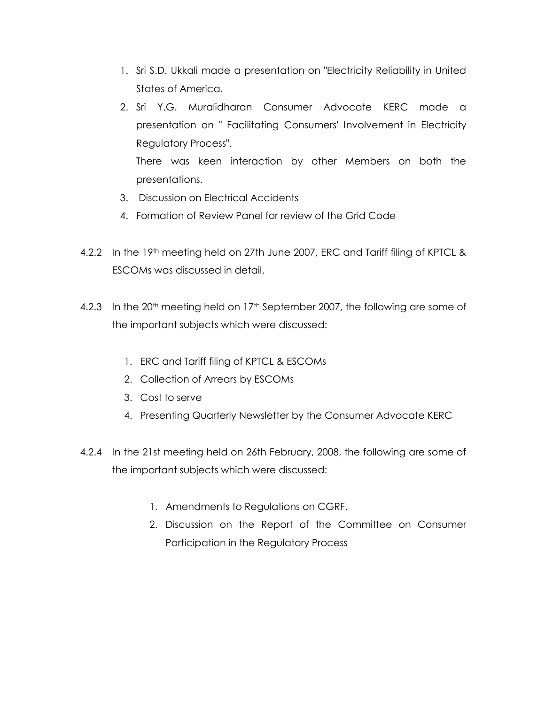- 1. Sri S.D. Ukkali made a presentation on "Electricity Reliability in United States of America.
- 2. Sri Y.G. Muralidharan Consumer Advocate KERC made a presentation on " Facilitating Consumers' Involvement in Electricity Regulatory Process". There was keen interaction by other Members on both the

presentations.

- 3. Discussion on Electrical Accidents
- 4. Formation of Review Panel for review of the Grid Code
- 4.2.2 In the 19<sup>th</sup> meeting held on 27th June 2007, ERC and Tariff filing of KPTCL & ESCOMs was discussed in detail.
- 4.2.3 In the 20<sup>th</sup> meeting held on 17<sup>th</sup> September 2007, the following are some of the important subjects which were discussed:
	- 1. ERC and Tariff filing of KPTCL & ESCOMs
	- 2. Collection of Arrears by ESCOMs
	- 3. Cost to serve
	- 4. Presenting Quarterly Newsletter by the Consumer Advocate KERC
- 4.2.4 In the 21st meeting held on 26th February, 2008, the following are some of the important subjects which were discussed:
	- 1. Amendments to Regulations on CGRF.
	- 2. Discussion on the Report of the Committee on Consumer Participation in the Regulatory Process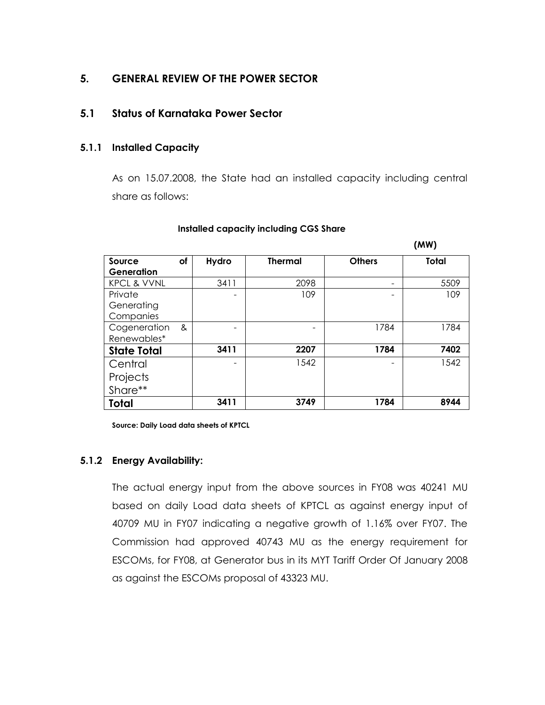# **5. GENERAL REVIEW OF THE POWER SECTOR**

### **5.1 Status of Karnataka Power Sector**

#### **5.1.1 Installed Capacity**

As on 15.07.2008, the State had an installed capacity including central share as follows:

 **(MW)**

|                        |    |       |                |               | . ,          |
|------------------------|----|-------|----------------|---------------|--------------|
| Source<br>Generation   | of | Hydro | <b>Thermal</b> | <b>Others</b> | <b>Total</b> |
| <b>KPCL &amp; VVNL</b> |    | 3411  | 2098           |               | 5509         |
|                        |    |       |                | -             |              |
| Private                |    |       | 109            |               | 109          |
| Generating             |    |       |                |               |              |
|                        |    |       |                |               |              |
| Companies              |    |       |                |               |              |
| Cogeneration           | &  |       |                | 1784          | 1784         |
| Renewables*            |    |       |                |               |              |
| <b>State Total</b>     |    | 3411  | 2207           | 1784          | 7402         |
| Central                |    |       | 1542           |               | 1542         |
| Projects               |    |       |                |               |              |
|                        |    |       |                |               |              |
| Share**                |    |       |                |               |              |
| Total                  |    | 3411  | 3749           | 1784          | 8944         |

#### **Installed capacity including CGS Share**

**Source: Daily Load data sheets of KPTCL**

#### **5.1.2 Energy Availability:**

The actual energy input from the above sources in FY08 was 40241 MU based on daily Load data sheets of KPTCL as against energy input of 40709 MU in FY07 indicating a negative growth of 1.16% over FY07. The Commission had approved 40743 MU as the energy requirement for ESCOMs, for FY08, at Generator bus in its MYT Tariff Order Of January 2008 as against the ESCOMs proposal of 43323 MU.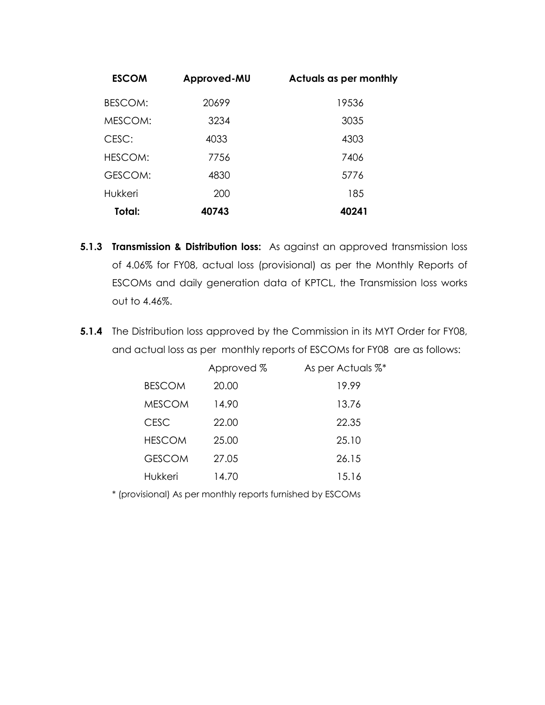| <b>ESCOM</b> | Approved-MU | Actuals as per monthly |
|--------------|-------------|------------------------|
| BESCOM:      | 20699       | 19536                  |
| MESCOM:      | 3234        | 3035                   |
| CESC:        | 4033        | 4303                   |
| HESCOM:      | 7756        | 7406                   |
| GESCOM:      | 4830        | 5776                   |
| Hukkeri      | 200         | 185                    |
| Total:       | 40743       | 40241                  |

- **5.1.3 Transmission & Distribution loss:** As against an approved transmission loss of 4.06% for FY08, actual loss (provisional) as per the Monthly Reports of ESCOMs and daily generation data of KPTCL, the Transmission loss works out to 4.46%.
- **5.1.4** The Distribution loss approved by the Commission in its MYT Order for FY08, and actual loss as per monthly reports of ESCOMs for FY08 are as follows:

|               | Approved % | As per Actuals %* |
|---------------|------------|-------------------|
| <b>BESCOM</b> | 20.00      | 19.99             |
| <b>MESCOM</b> | 14.90      | 13.76             |
| <b>CESC</b>   | 22.00      | 22.35             |
| <b>HESCOM</b> | 25.00      | 25.10             |
| <b>GESCOM</b> | 27.05      | 26.15             |
| Hukkeri       | 14.70      | 15.16             |

\* (provisional) As per monthly reports furnished by ESCOMs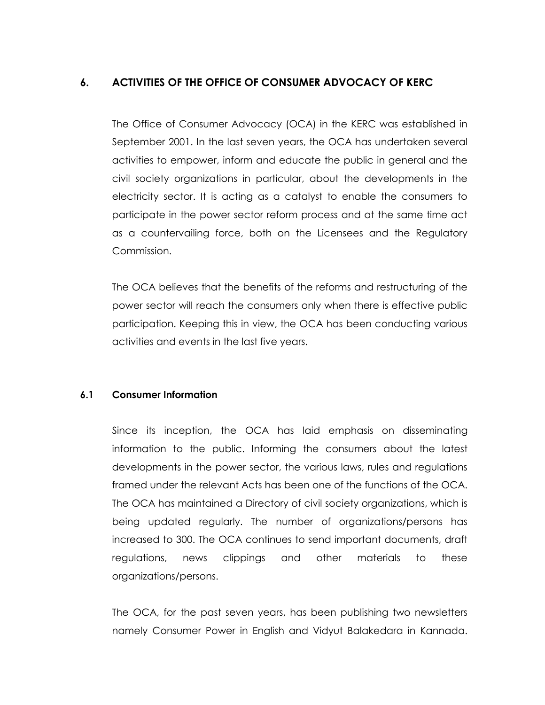# **6. ACTIVITIES OF THE OFFICE OF CONSUMER ADVOCACY OF KERC**

The Office of Consumer Advocacy (OCA) in the KERC was established in September 2001. In the last seven years, the OCA has undertaken several activities to empower, inform and educate the public in general and the civil society organizations in particular, about the developments in the electricity sector. It is acting as a catalyst to enable the consumers to participate in the power sector reform process and at the same time act as a countervailing force, both on the Licensees and the Regulatory Commission.

The OCA believes that the benefits of the reforms and restructuring of the power sector will reach the consumers only when there is effective public participation. Keeping this in view, the OCA has been conducting various activities and events in the last five years.

#### **6.1 Consumer Information**

Since its inception, the OCA has laid emphasis on disseminating information to the public. Informing the consumers about the latest developments in the power sector, the various laws, rules and regulations framed under the relevant Acts has been one of the functions of the OCA. The OCA has maintained a Directory of civil society organizations, which is being updated regularly. The number of organizations/persons has increased to 300. The OCA continues to send important documents, draft regulations, news clippings and other materials to these organizations/persons.

The OCA, for the past seven years, has been publishing two newsletters namely Consumer Power in English and Vidyut Balakedara in Kannada.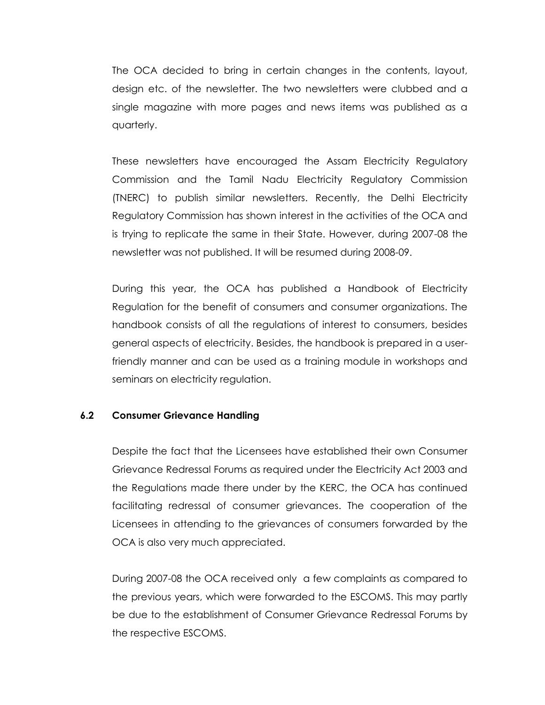The OCA decided to bring in certain changes in the contents, layout, design etc. of the newsletter. The two newsletters were clubbed and a single magazine with more pages and news items was published as a quarterly.

These newsletters have encouraged the Assam Electricity Regulatory Commission and the Tamil Nadu Electricity Regulatory Commission (TNERC) to publish similar newsletters. Recently, the Delhi Electricity Regulatory Commission has shown interest in the activities of the OCA and is trying to replicate the same in their State. However, during 2007-08 the newsletter was not published. It will be resumed during 2008-09.

During this year, the OCA has published a Handbook of Electricity Regulation for the benefit of consumers and consumer organizations. The handbook consists of all the regulations of interest to consumers, besides general aspects of electricity. Besides, the handbook is prepared in a userfriendly manner and can be used as a training module in workshops and seminars on electricity regulation.

#### **6.2 Consumer Grievance Handling**

Despite the fact that the Licensees have established their own Consumer Grievance Redressal Forums as required under the Electricity Act 2003 and the Regulations made there under by the KERC, the OCA has continued facilitating redressal of consumer grievances. The cooperation of the Licensees in attending to the grievances of consumers forwarded by the OCA is also very much appreciated.

During 2007-08 the OCA received only a few complaints as compared to the previous years, which were forwarded to the ESCOMS. This may partly be due to the establishment of Consumer Grievance Redressal Forums by the respective ESCOMS.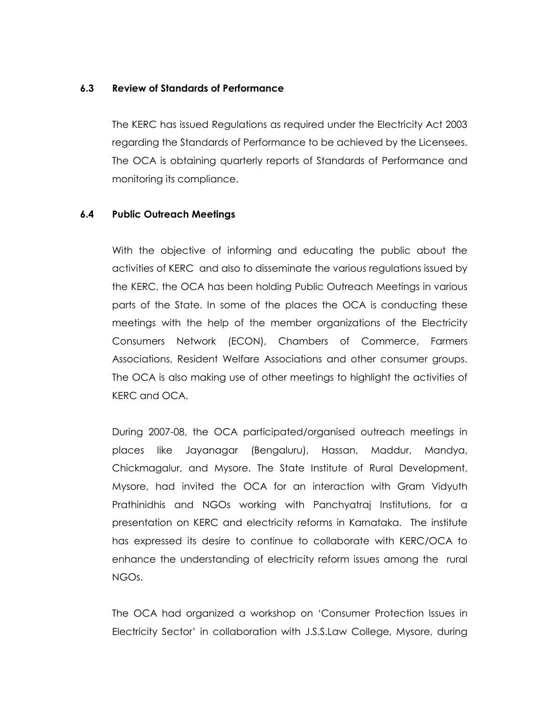#### **6.3 Review of Standards of Performance**

The KERC has issued Regulations as required under the Electricity Act 2003 regarding the Standards of Performance to be achieved by the Licensees. The OCA is obtaining quarterly reports of Standards of Performance and monitoring its compliance.

#### **6.4 Public Outreach Meetings**

With the objective of informing and educating the public about the activities of KERC and also to disseminate the various regulations issued by the KERC, the OCA has been holding Public Outreach Meetings in various parts of the State. In some of the places the OCA is conducting these meetings with the help of the member organizations of the Electricity Consumers Network (ECON), Chambers of Commerce, Farmers Associations, Resident Welfare Associations and other consumer groups. The OCA is also making use of other meetings to highlight the activities of KERC and OCA.

During 2007-08, the OCA participated/organised outreach meetings in places like Jayanagar (Bengaluru), Hassan, Maddur, Mandya, Chickmagalur, and Mysore. The State Institute of Rural Development, Mysore, had invited the OCA for an interaction with Gram Vidyuth Prathinidhis and NGOs working with Panchyatraj Institutions, for a presentation on KERC and electricity reforms in Karnataka. The institute has expressed its desire to continue to collaborate with KERC/OCA to enhance the understanding of electricity reform issues among the rural NGOs.

The OCA had organized a workshop on "Consumer Protection Issues in Electricity Sector" in collaboration with J.S.S.Law College, Mysore, during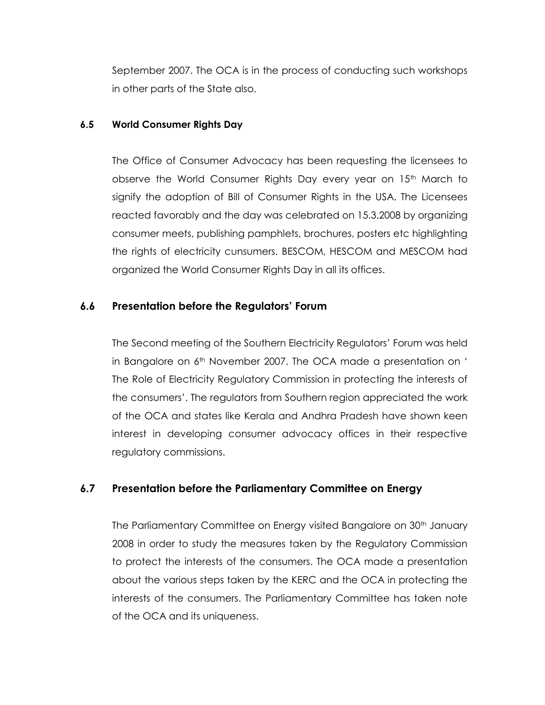September 2007. The OCA is in the process of conducting such workshops in other parts of the State also.

#### **6.5 World Consumer Rights Day**

The Office of Consumer Advocacy has been requesting the licensees to observe the World Consumer Rights Day every year on 15<sup>th</sup> March to signify the adoption of Bill of Consumer Rights in the USA. The Licensees reacted favorably and the day was celebrated on 15.3.2008 by organizing consumer meets, publishing pamphlets, brochures, posters etc highlighting the rights of electricity cunsumers. BESCOM, HESCOM and MESCOM had organized the World Consumer Rights Day in all its offices.

#### **6.6 Presentation before the Regulators' Forum**

The Second meeting of the Southern Electricity Regulators" Forum was held in Bangalore on 6<sup>th</sup> November 2007. The OCA made a presentation on ' The Role of Electricity Regulatory Commission in protecting the interests of the consumers". The regulators from Southern region appreciated the work of the OCA and states like Kerala and Andhra Pradesh have shown keen interest in developing consumer advocacy offices in their respective regulatory commissions.

# **6.7 Presentation before the Parliamentary Committee on Energy**

The Parliamentary Committee on Energy visited Bangalore on 30<sup>th</sup> January 2008 in order to study the measures taken by the Regulatory Commission to protect the interests of the consumers. The OCA made a presentation about the various steps taken by the KERC and the OCA in protecting the interests of the consumers. The Parliamentary Committee has taken note of the OCA and its uniqueness.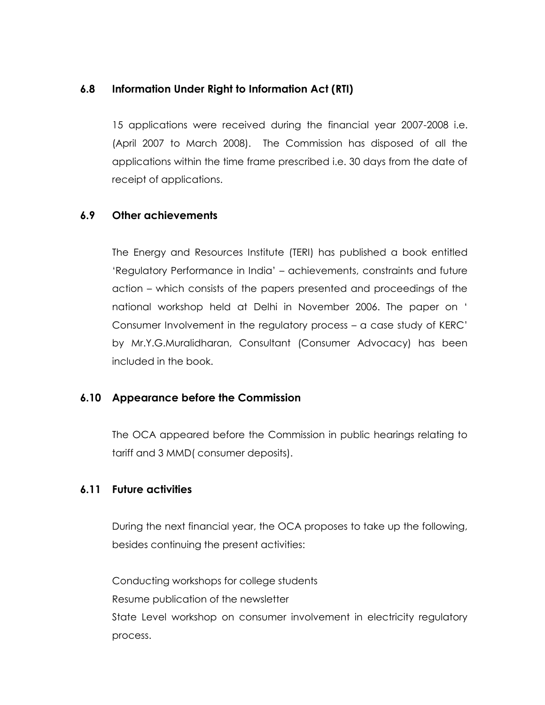### **6.8 Information Under Right to Information Act (RTI)**

15 applications were received during the financial year 2007-2008 i.e. (April 2007 to March 2008). The Commission has disposed of all the applications within the time frame prescribed i.e. 30 days from the date of receipt of applications.

#### **6.9 Other achievements**

The Energy and Resources Institute (TERI) has published a book entitled "Regulatory Performance in India" – achievements, constraints and future action – which consists of the papers presented and proceedings of the national workshop held at Delhi in November 2006. The paper on " Consumer Involvement in the regulatory process – a case study of KERC" by Mr.Y.G.Muralidharan, Consultant (Consumer Advocacy) has been included in the book.

#### **6.10 Appearance before the Commission**

The OCA appeared before the Commission in public hearings relating to tariff and 3 MMD( consumer deposits).

#### **6.11 Future activities**

During the next financial year, the OCA proposes to take up the following, besides continuing the present activities:

Conducting workshops for college students Resume publication of the newsletter State Level workshop on consumer involvement in electricity regulatory process.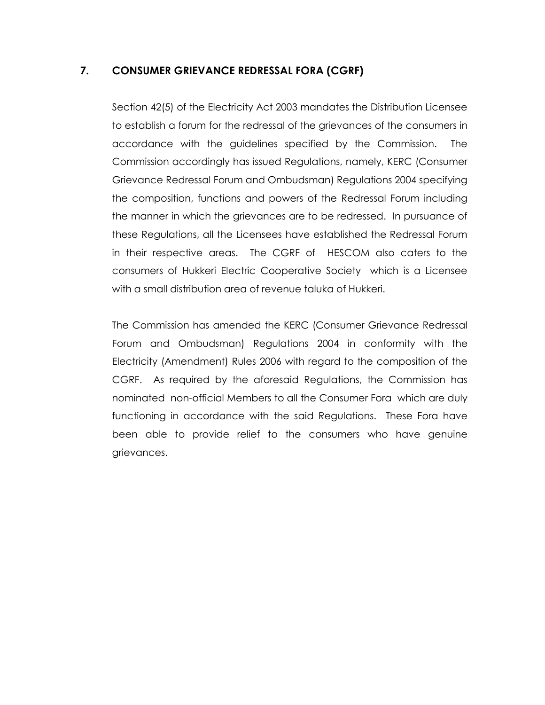# **7. CONSUMER GRIEVANCE REDRESSAL FORA (CGRF)**

Section 42(5) of the Electricity Act 2003 mandates the Distribution Licensee to establish a forum for the redressal of the grievances of the consumers in accordance with the guidelines specified by the Commission. The Commission accordingly has issued Regulations, namely, KERC (Consumer Grievance Redressal Forum and Ombudsman) Regulations 2004 specifying the composition, functions and powers of the Redressal Forum including the manner in which the grievances are to be redressed. In pursuance of these Regulations, all the Licensees have established the Redressal Forum in their respective areas. The CGRF of HESCOM also caters to the consumers of Hukkeri Electric Cooperative Society which is a Licensee with a small distribution area of revenue taluka of Hukkeri.

The Commission has amended the KERC (Consumer Grievance Redressal Forum and Ombudsman) Regulations 2004 in conformity with the Electricity (Amendment) Rules 2006 with regard to the composition of the CGRF. As required by the aforesaid Regulations, the Commission has nominated non-official Members to all the Consumer Fora which are duly functioning in accordance with the said Regulations. These Fora have been able to provide relief to the consumers who have genuine grievances.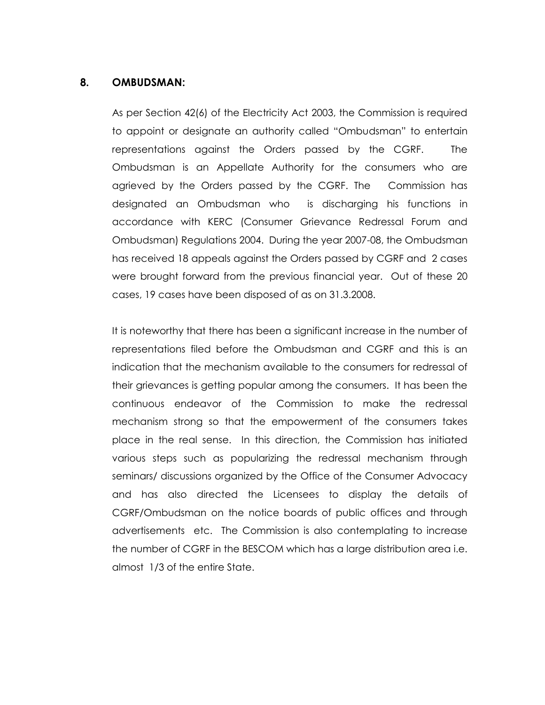#### **8. OMBUDSMAN:**

As per Section 42(6) of the Electricity Act 2003, the Commission is required to appoint or designate an authority called "Ombudsman" to entertain representations against the Orders passed by the CGRF. The Ombudsman is an Appellate Authority for the consumers who are agrieved by the Orders passed by the CGRF. The Commission has designated an Ombudsman who is discharging his functions in accordance with KERC (Consumer Grievance Redressal Forum and Ombudsman) Regulations 2004. During the year 2007-08, the Ombudsman has received 18 appeals against the Orders passed by CGRF and 2 cases were brought forward from the previous financial year. Out of these 20 cases, 19 cases have been disposed of as on 31.3.2008.

It is noteworthy that there has been a significant increase in the number of representations filed before the Ombudsman and CGRF and this is an indication that the mechanism available to the consumers for redressal of their grievances is getting popular among the consumers. It has been the continuous endeavor of the Commission to make the redressal mechanism strong so that the empowerment of the consumers takes place in the real sense. In this direction, the Commission has initiated various steps such as popularizing the redressal mechanism through seminars/ discussions organized by the Office of the Consumer Advocacy and has also directed the Licensees to display the details of CGRF/Ombudsman on the notice boards of public offices and through advertisements etc. The Commission is also contemplating to increase the number of CGRF in the BESCOM which has a large distribution area i.e. almost 1/3 of the entire State.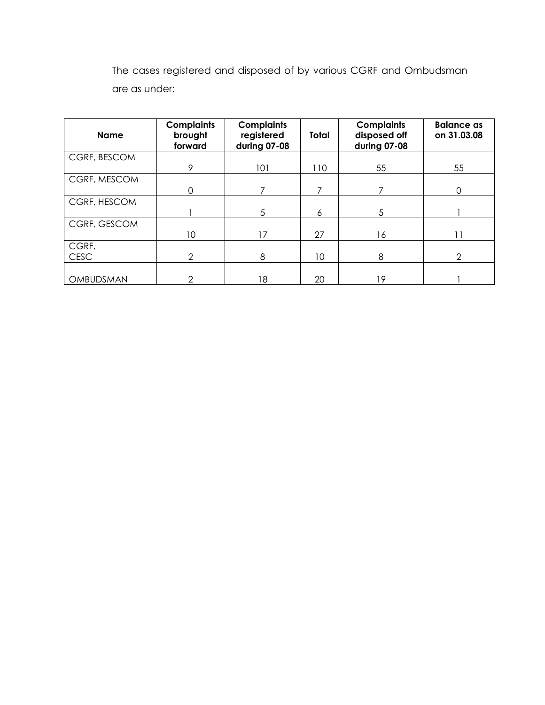The cases registered and disposed of by various CGRF and Ombudsman are as under:

| <b>Name</b>  | <b>Complaints</b><br>brought<br>forward | <b>Complaints</b><br>registered<br>during 07-08 | Total | <b>Complaints</b><br>disposed off<br>during 07-08 | <b>Balance as</b><br>on 31.03.08 |
|--------------|-----------------------------------------|-------------------------------------------------|-------|---------------------------------------------------|----------------------------------|
| CGRF, BESCOM |                                         |                                                 |       |                                                   |                                  |
|              | 9                                       | 101                                             | 110   | 55                                                | 55                               |
| CGRF, MESCOM |                                         |                                                 |       |                                                   |                                  |
|              | 0                                       | 7                                               | 7     |                                                   | 0                                |
| CGRF, HESCOM |                                         |                                                 |       |                                                   |                                  |
|              |                                         | 5                                               | 6     | 5                                                 |                                  |
| CGRF, GESCOM |                                         |                                                 |       |                                                   |                                  |
|              | 10                                      | 17                                              | 27    | 16                                                |                                  |
| CGRF,        |                                         |                                                 |       |                                                   |                                  |
| <b>CESC</b>  | 2                                       | 8                                               | 10    | 8                                                 | 2                                |
|              |                                         |                                                 |       |                                                   |                                  |
| OMBUDSMAN    | $\mathcal{P}$                           | 18                                              | 20    | 19                                                |                                  |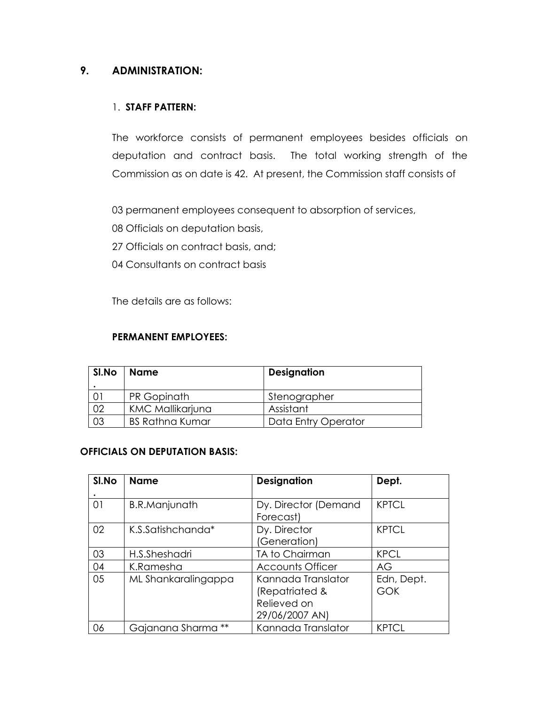# **9. ADMINISTRATION:**

#### 1. **STAFF PATTERN:**

The workforce consists of permanent employees besides officials on deputation and contract basis. The total working strength of the Commission as on date is 42. At present, the Commission staff consists of

03 permanent employees consequent to absorption of services,

- 08 Officials on deputation basis,
- 27 Officials on contract basis, and;
- 04 Consultants on contract basis

The details are as follows:

#### **PERMANENT EMPLOYEES:**

| SI.No | <b>Name</b>             | <b>Designation</b>  |  |
|-------|-------------------------|---------------------|--|
|       |                         |                     |  |
|       | PR Gopinath             | Stenographer        |  |
|       | <b>KMC Mallikarjuna</b> | Assistant           |  |
|       | <b>BS Rathna Kumar</b>  | Data Entry Operator |  |

#### **OFFICIALS ON DEPUTATION BASIS:**

| SI.No | <b>Name</b>          | <b>Designation</b>                                                    | Dept.                    |
|-------|----------------------|-----------------------------------------------------------------------|--------------------------|
|       |                      |                                                                       |                          |
| 01    | <b>B.R.Manjunath</b> | Dy. Director (Demand<br>Forecast)                                     | <b>KPTCL</b>             |
| 02    | K.S.Satishchanda*    | Dy. Director<br>(Generation)                                          | <b>KPTCL</b>             |
| 03    | H.S.Sheshadri        | TA to Chairman                                                        | <b>KPCL</b>              |
| 04    | K.Ramesha            | <b>Accounts Officer</b>                                               | AG                       |
| 05    | ML Shankaralingappa  | Kannada Translator<br>(Repatriated &<br>Relieved on<br>29/06/2007 AN) | Edn, Dept.<br><b>GOK</b> |
| 06    | Gajanana Sharma      | Kannada Translator                                                    | <b>KPTCL</b>             |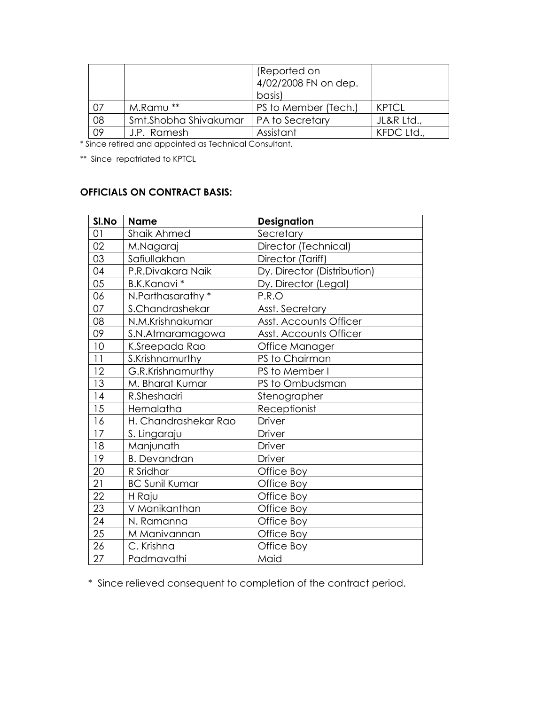|    |                        | (Reported on<br>4/02/2008 FN on dep.<br>basis) |            |
|----|------------------------|------------------------------------------------|------------|
| 07 | M.Ramu**               | PS to Member (Tech.)                           | KPTCI      |
| 08 | Smt. Shobha Shivakumar | <b>PA to Secretary</b>                         | JL&R Ltd., |
| 09 | J.P. Ramesh            | Assistant                                      | KFDC Ltd., |

\* Since retired and appointed as Technical Consultant.

\*\* Since repatriated to KPTCL

# **OFFICIALS ON CONTRACT BASIS:**

| SI.No | <b>Name</b>           | <b>Designation</b>          |  |
|-------|-----------------------|-----------------------------|--|
| 01    | <b>Shaik Ahmed</b>    | Secretary                   |  |
| 02    | M.Nagaraj             | Director (Technical)        |  |
| 03    | Safiullakhan          | Director (Tariff)           |  |
| 04    | P.R.Divakara Naik     | Dy. Director (Distribution) |  |
| 05    | B.K.Kanavi*           | Dy. Director (Legal)        |  |
| 06    | N.Parthasarathy *     | P.R.O                       |  |
| 07    | S.Chandrashekar       | Asst. Secretary             |  |
| 08    | N.M.Krishnakumar      | Asst. Accounts Officer      |  |
| 09    | S.N.Atmaramagowa      | Asst. Accounts Officer      |  |
| 10    | K.Sreepada Rao        | Office Manager              |  |
| 11    | S.Krishnamurthy       | PS to Chairman              |  |
| 12    | G.R.Krishnamurthy     | PS to Member I              |  |
| 13    | M. Bharat Kumar       | PS to Ombudsman             |  |
| 14    | R.Sheshadri           | Stenographer                |  |
| 15    | Hemalatha             | Receptionist                |  |
| 16    | H. Chandrashekar Rao  | <b>Driver</b>               |  |
| 17    | S. Lingaraju          | Driver                      |  |
| 18    | Manjunath             | Driver                      |  |
| 19    | <b>B.</b> Devandran   | <b>Driver</b>               |  |
| 20    | R Sridhar             | Office Boy                  |  |
| 21    | <b>BC Sunil Kumar</b> | Office Boy                  |  |
| 22    | H Raju                | Office Boy                  |  |
| 23    | V Manikanthan         | Office Boy                  |  |
| 24    | N. Ramanna            | Office Boy                  |  |
| 25    | M Manivannan          | Office Boy                  |  |
| 26    | C. Krishna            | Office Boy                  |  |
| 27    | Padmavathi            | Maid                        |  |

\* Since relieved consequent to completion of the contract period.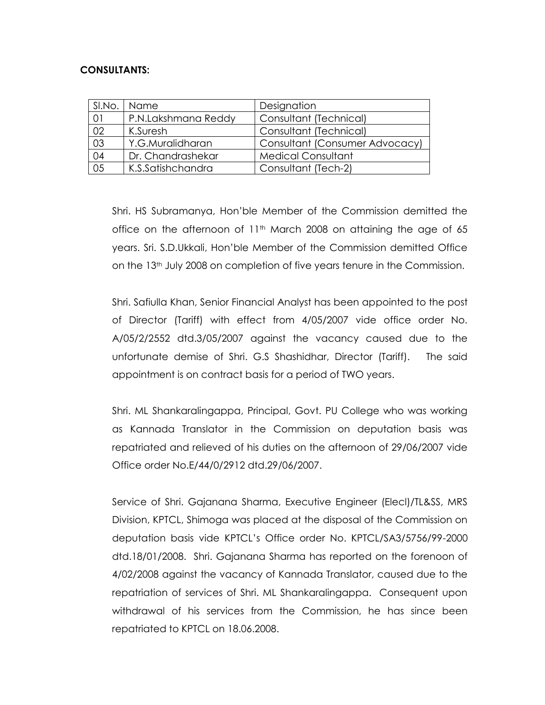#### **CONSULTANTS:**

| SI.No.          | I Name              | Designation                    |  |
|-----------------|---------------------|--------------------------------|--|
| 01              | P.N.Lakshmana Reddy | Consultant (Technical)         |  |
| 02              | K.Suresh            | Consultant (Technical)         |  |
| $\overline{03}$ | Y.G.Muralidharan    | Consultant (Consumer Advocacy) |  |
| 04              | Dr. Chandrashekar   | <b>Medical Consultant</b>      |  |
| 05              | K.S.Satishchandra   | Consultant (Tech-2)            |  |

Shri. HS Subramanya, Hon"ble Member of the Commission demitted the office on the afternoon of  $11<sup>th</sup>$  March 2008 on attaining the age of 65 years. Sri. S.D.Ukkali, Hon"ble Member of the Commission demitted Office on the 13th July 2008 on completion of five years tenure in the Commission.

Shri. Safiulla Khan, Senior Financial Analyst has been appointed to the post of Director (Tariff) with effect from 4/05/2007 vide office order No. A/05/2/2552 dtd.3/05/2007 against the vacancy caused due to the unfortunate demise of Shri. G.S Shashidhar, Director (Tariff). The said appointment is on contract basis for a period of TWO years.

Shri. ML Shankaralingappa, Principal, Govt. PU College who was working as Kannada Translator in the Commission on deputation basis was repatriated and relieved of his duties on the afternoon of 29/06/2007 vide Office order No.E/44/0/2912 dtd.29/06/2007.

Service of Shri. Gajanana Sharma, Executive Engineer (Elecl)/TL&SS, MRS Division, KPTCL, Shimoga was placed at the disposal of the Commission on deputation basis vide KPTCL"s Office order No. KPTCL/SA3/5756/99-2000 dtd.18/01/2008. Shri. Gajanana Sharma has reported on the forenoon of 4/02/2008 against the vacancy of Kannada Translator, caused due to the repatriation of services of Shri. ML Shankaralingappa. Consequent upon withdrawal of his services from the Commission, he has since been repatriated to KPTCL on 18.06.2008.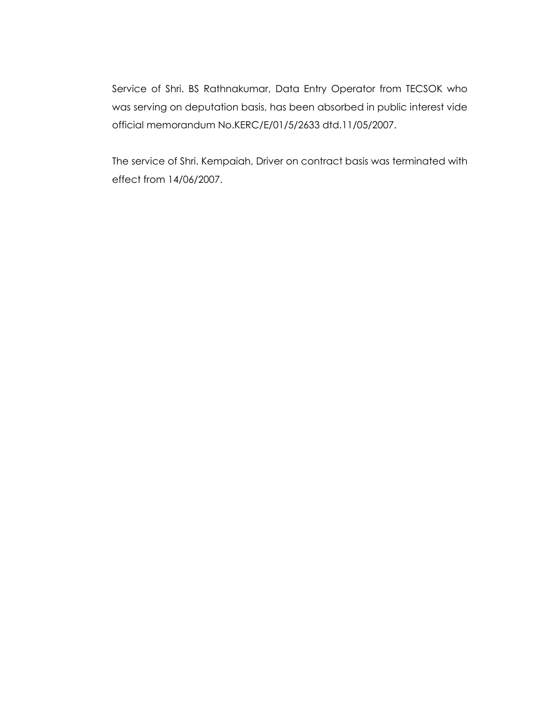Service of Shri. BS Rathnakumar, Data Entry Operator from TECSOK who was serving on deputation basis, has been absorbed in public interest vide official memorandum No.KERC/E/01/5/2633 dtd.11/05/2007.

The service of Shri. Kempaiah, Driver on contract basis was terminated with effect from 14/06/2007.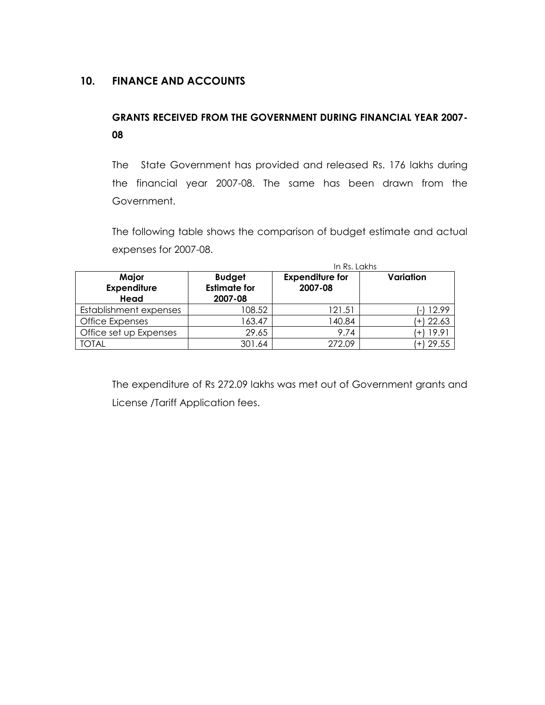# **10. FINANCE AND ACCOUNTS**

# **GRANTS RECEIVED FROM THE GOVERNMENT DURING FINANCIAL YEAR 2007- 08**

The State Government has provided and released Rs. 176 lakhs during the financial year 2007-08. The same has been drawn from the Government.

The following table shows the comparison of budget estimate and actual expenses for 2007-08.

|                                     | In Rs. Lakhs                                    |                                   |               |
|-------------------------------------|-------------------------------------------------|-----------------------------------|---------------|
| Major<br><b>Expenditure</b><br>Head | <b>Budget</b><br><b>Estimate for</b><br>2007-08 | <b>Expenditure for</b><br>2007-08 | Variation     |
| Establishment expenses              | 108.52                                          | 121.51                            | 12.99<br>÷.   |
| Office Expenses                     | 163.47                                          | 140.84                            | $(+)$ 22.63   |
| Office set up Expenses              | 29.65                                           | 9.74                              | 19.91<br>$+$  |
| TOTAL                               | 301.64                                          | 272.09                            | 29.55<br>$+1$ |

The expenditure of Rs 272.09 lakhs was met out of Government grants and License /Tariff Application fees.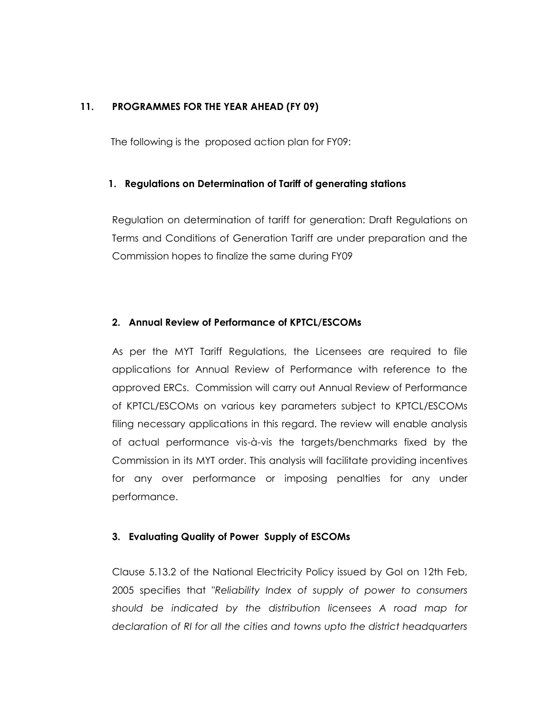#### **11. PROGRAMMES FOR THE YEAR AHEAD (FY 09)**

The following is the proposed action plan for FY09:

#### **1. Regulations on Determination of Tariff of generating stations**

Regulation on determination of tariff for generation: Draft Regulations on Terms and Conditions of Generation Tariff are under preparation and the Commission hopes to finalize the same during FY09

#### **2. Annual Review of Performance of KPTCL/ESCOMs**

As per the MYT Tariff Regulations, the Licensees are required to file applications for Annual Review of Performance with reference to the approved ERCs. Commission will carry out Annual Review of Performance of KPTCL/ESCOMs on various key parameters subject to KPTCL/ESCOMs filing necessary applications in this regard. The review will enable analysis of actual performance vis-à-vis the targets/benchmarks fixed by the Commission in its MYT order. This analysis will facilitate providing incentives for any over performance or imposing penalties for any under performance.

#### **3. Evaluating Quality of Power Supply of ESCOMs**

Clause 5.13.2 of the National Electricity Policy issued by GoI on 12th Feb, 2005 specifies that "*Reliability Index of supply of power to consumers should be indicated by the distribution licensees A road map for declaration of RI for all the cities and towns upto the district headquarters*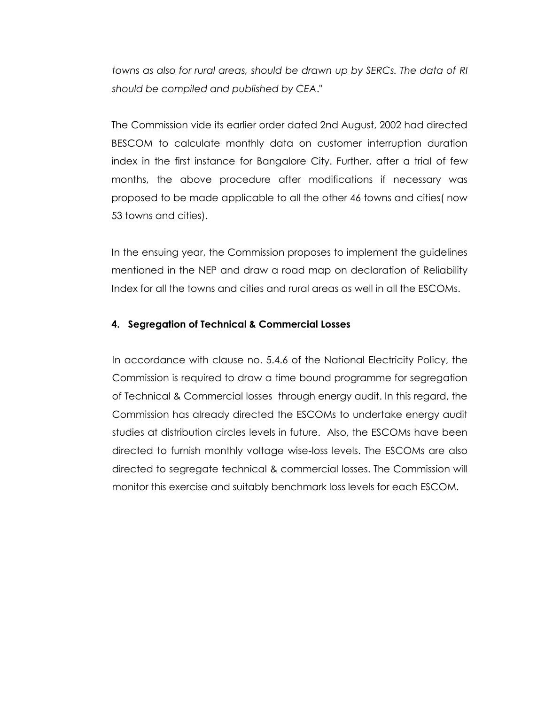*towns as also for rural areas, should be drawn up by SERCs. The data of RI should be compiled and published by CEA*."

The Commission vide its earlier order dated 2nd August, 2002 had directed BESCOM to calculate monthly data on customer interruption duration index in the first instance for Bangalore City. Further, after a trial of few months, the above procedure after modifications if necessary was proposed to be made applicable to all the other 46 towns and cities( now 53 towns and cities).

In the ensuing year, the Commission proposes to implement the guidelines mentioned in the NEP and draw a road map on declaration of Reliability Index for all the towns and cities and rural areas as well in all the ESCOMs.

#### **4. Segregation of Technical & Commercial Losses**

In accordance with clause no. 5.4.6 of the National Electricity Policy, the Commission is required to draw a time bound programme for segregation of Technical & Commercial losses through energy audit. In this regard, the Commission has already directed the ESCOMs to undertake energy audit studies at distribution circles levels in future. Also, the ESCOMs have been directed to furnish monthly voltage wise-loss levels. The ESCOMs are also directed to segregate technical & commercial losses. The Commission will monitor this exercise and suitably benchmark loss levels for each ESCOM.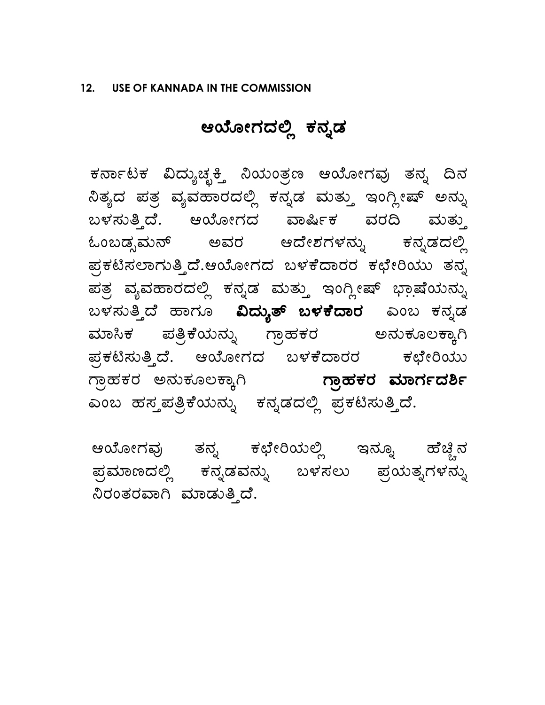# ಆಯೋಗದಲ್ಲಿ ಕನ್ನಡ

ಕರ್ನಾಟಕ ವಿದ್ಯುಚ್ಛಕ್ತಿ ನಿಯಂತ್ರಣ ಆಯೋಗವು ತನ್ನ ದಿನ  $\mathfrak{d}$ ತ್ಯದ ಪತ್ರ ವ್ಯವಹಾರದಲ್ಲಿ ಕನ್ನಡ ಮತ್ತು ಇಂಗ್ಲೀಷ್ ಅನ್ನು ಬಳಸುತ್ತಿದೆ. ಆಯೋಗದ ವಾರ್ಷಿಕ ವರದಿ ಮತ್ತು ಓಂಬಡ್ಸಮನ್ ಅವರ ಆದೇಶಗಳನ್ನು ಕನ್ನಡದಲ್ಲಿ ಪ್ರಕಟಿಸಲಾಗುತ್ತಿದೆ.ಆಯೋಗದ ಬಳಕೆದಾರರ ಕಛೇರಿಯು ತನ್ನ ಪತ್ರ ವ್ಯವಹಾರದಲ್ಲಿ ಕನ್ನಡ ಮತ್ತು ಇಂಗ್ಲೀಷ್ ಭಾಷೆಯನ್ನು ಬಳಸುತ್ತಿದೆ ಹಾಗೂ **ವಿದ್ಯುತ್ ಬಳಕೆದಾರ** ಎಂಬ ಕನ್ನಡ <mark>ಮಾಸಿಕ ಪತ್ರಿಕೆಯನ್ನು ಗ್ರಾಹಕರ ಅನುಕೂಲಕ್ಕಾ</mark>ಗಿ ಪ್ರಕಟಿಸುತ್ತಿದೆ. ಆಯೋಗದ ಬಳಕೆದಾರರ ಕಛೇರಿಯು ಗ್ರಾಹಕರ ಅನುಕೂಲಕ್ಕಾಗಿ **ಗ್ರಾಹಕರ ಮಾರ್ಗದರ್ಶಿ** ಎಂಬ ಹಸ್ತಪತ್ರಿಕೆಯನ್ನು ಕನ್ನಡದಲ್ಲಿ ಪ್ರಕಟಿಸುತ್ತಿದೆ.

ಆಯೋಗವು ತನ್ನ ಕಛೇರಿಯಲ್ಲಿ ಇನ್ನೂ ಹೆಚ್ಚಿನ ಹ್ರಮಾಣದಲ್ಲಿ ಕನ್ನಡವನ್ನು ಬಳಸಲು ಪ್ರಯತ್ನಗಳನ್ನು ನಿರಂತರವಾಗಿ ಮಾಡುತ್ತಿದೆ.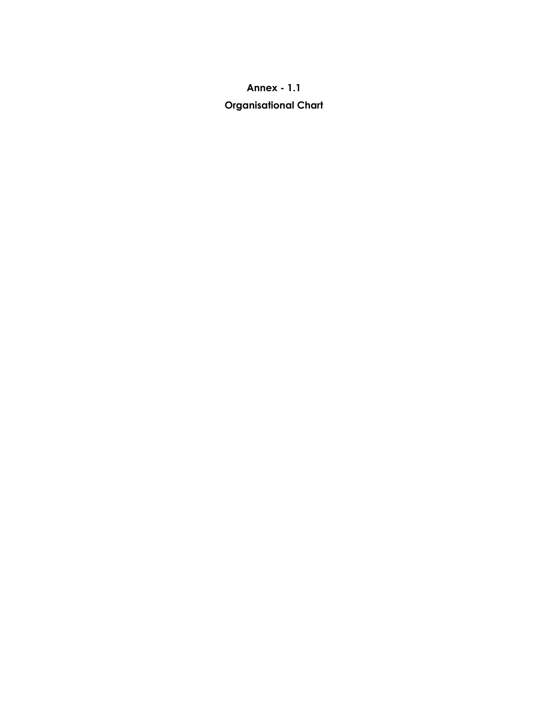# **Annex - 1.1 Organisational Chart**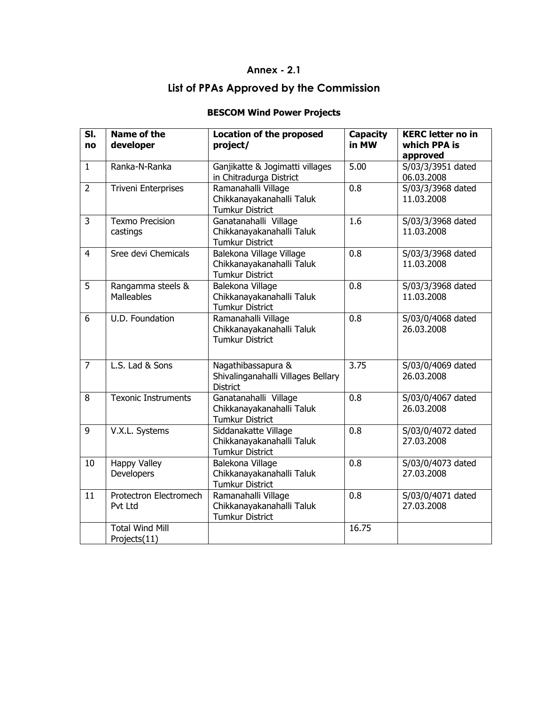#### **Annex - 2.1**

# **List of PPAs Approved by the Commission**

### **BESCOM Wind Power Projects**

| $\overline{\mathsf{SI}}$ .<br>no | <b>Name of the</b><br>developer        | <b>Location of the proposed</b><br>project/                                  | <b>Capacity</b><br>in MW | <b>KERC letter no in</b><br>which PPA is<br>approved |
|----------------------------------|----------------------------------------|------------------------------------------------------------------------------|--------------------------|------------------------------------------------------|
| $\mathbf{1}$                     | Ranka-N-Ranka                          | Ganjikatte & Jogimatti villages<br>in Chitradurga District                   | 5.00                     | S/03/3/3951 dated<br>06.03.2008                      |
| $\overline{2}$                   | <b>Triveni Enterprises</b>             | Ramanahalli Village<br>Chikkanayakanahalli Taluk<br><b>Tumkur District</b>   | 0.8                      | S/03/3/3968 dated<br>11.03.2008                      |
| $\overline{3}$                   | <b>Texmo Precision</b><br>castings     | Ganatanahalli Village<br>Chikkanayakanahalli Taluk<br><b>Tumkur District</b> | 1.6                      | S/03/3/3968 dated<br>11.03.2008                      |
| $\overline{4}$                   | Sree devi Chemicals                    | Balekona Village Village<br>Chikkanayakanahalli Taluk<br>Tumkur District     | 0.8                      | S/03/3/3968 dated<br>11.03.2008                      |
| $\overline{5}$                   | Rangamma steels &<br><b>Malleables</b> | Balekona Village<br>Chikkanayakanahalli Taluk<br><b>Tumkur District</b>      | 0.8                      | S/03/3/3968 dated<br>11.03.2008                      |
| 6                                | U.D. Foundation                        | Ramanahalli Village<br>Chikkanayakanahalli Taluk<br><b>Tumkur District</b>   | 0.8                      | S/03/0/4068 dated<br>26.03.2008                      |
| $\overline{7}$                   | L.S. Lad & Sons                        | Nagathibassapura &<br>Shivalinganahalli Villages Bellary<br><b>District</b>  | 3.75                     | S/03/0/4069 dated<br>26.03.2008                      |
| $\overline{8}$                   | <b>Texonic Instruments</b>             | Ganatanahalli Village<br>Chikkanayakanahalli Taluk<br><b>Tumkur District</b> | 0.8                      | S/03/0/4067 dated<br>26.03.2008                      |
| $\overline{9}$                   | V.X.L. Systems                         | Siddanakatte Village<br>Chikkanayakanahalli Taluk<br><b>Tumkur District</b>  | 0.8                      | S/03/0/4072 dated<br>27.03.2008                      |
| 10                               | <b>Happy Valley</b><br>Developers      | Balekona Village<br>Chikkanayakanahalli Taluk<br><b>Tumkur District</b>      | 0.8                      | S/03/0/4073 dated<br>27.03.2008                      |
| 11                               | Protectron Electromech<br>Pvt Ltd      | Ramanahalli Village<br>Chikkanayakanahalli Taluk<br><b>Tumkur District</b>   | 0.8                      | S/03/0/4071 dated<br>27.03.2008                      |
|                                  | <b>Total Wind Mill</b><br>Projects(11) |                                                                              | 16.75                    |                                                      |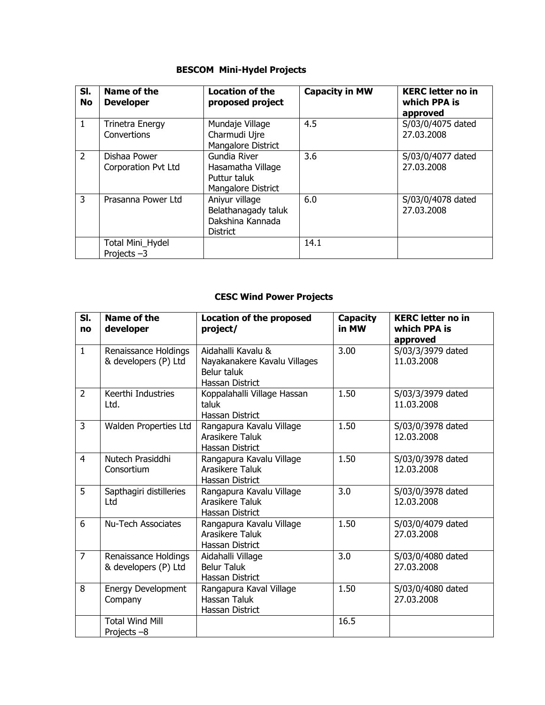#### **BESCOM Mini-Hydel Projects**

| SI.<br>No      | Name of the<br><b>Developer</b>       | <b>Location of the</b><br>proposed project                                   | <b>Capacity in MW</b> | <b>KERC</b> letter no in<br>which PPA is<br>approved |
|----------------|---------------------------------------|------------------------------------------------------------------------------|-----------------------|------------------------------------------------------|
| $\mathbf{1}$   | <b>Trinetra Energy</b><br>Convertions | Mundaje Village<br>Charmudi Ujre<br>Mangalore District                       | 4.5                   | S/03/0/4075 dated<br>27.03.2008                      |
| 2              | Dishaa Power<br>Corporation Pvt Ltd   | Gundia River<br>Hasamatha Village<br>Puttur taluk<br>Mangalore District      | 3.6                   | S/03/0/4077 dated<br>27.03.2008                      |
| $\overline{3}$ | Prasanna Power Ltd                    | Aniyur village<br>Belathanagady taluk<br>Dakshina Kannada<br><b>District</b> | 6.0                   | S/03/0/4078 dated<br>27.03.2008                      |
|                | Total Mini_Hydel<br>Projects-3        |                                                                              | 14.1                  |                                                      |

### **CESC Wind Power Projects**

| SI.<br>no      | Name of the<br>developer                     | <b>Location of the proposed</b><br>project/                                          | Capacity<br>in MW | <b>KERC</b> letter no in<br>which PPA is<br>approved |
|----------------|----------------------------------------------|--------------------------------------------------------------------------------------|-------------------|------------------------------------------------------|
| $\mathbf{1}$   | Renaissance Holdings<br>& developers (P) Ltd | Aidahalli Kavalu &<br>Nayakanakere Kavalu Villages<br>Belur taluk<br>Hassan District | 3.00              | S/03/3/3979 dated<br>11.03.2008                      |
| $\overline{2}$ | Keerthi Industries<br>Ltd.                   | Koppalahalli Village Hassan<br>taluk<br>Hassan District                              | 1.50              | S/03/3/3979 dated<br>11.03.2008                      |
| 3              | Walden Properties Ltd                        | Rangapura Kavalu Village<br>Arasikere Taluk<br>Hassan District                       | 1.50              | S/03/0/3978 dated<br>12.03.2008                      |
| $\overline{4}$ | Nutech Prasiddhi<br>Consortium               | Rangapura Kavalu Village<br>Arasikere Taluk<br>Hassan District                       | 1.50              | S/03/0/3978 dated<br>12.03.2008                      |
| 5              | Sapthagiri distilleries<br>Ltd               | Rangapura Kavalu Village<br>Arasikere Taluk<br>Hassan District                       | 3.0               | S/03/0/3978 dated<br>12.03.2008                      |
| 6              | <b>Nu-Tech Associates</b>                    | Rangapura Kavalu Village<br>Arasikere Taluk<br>Hassan District                       | 1.50              | S/03/0/4079 dated<br>27.03.2008                      |
| $\overline{7}$ | Renaissance Holdings<br>& developers (P) Ltd | Aidahalli Village<br><b>Belur Taluk</b><br>Hassan District                           | 3.0               | S/03/0/4080 dated<br>27.03.2008                      |
| 8              | Energy Development<br>Company                | Rangapura Kaval Village<br><b>Hassan Taluk</b><br>Hassan District                    | 1.50              | S/03/0/4080 dated<br>27.03.2008                      |
|                | <b>Total Wind Mill</b><br>Projects -8        |                                                                                      | 16.5              |                                                      |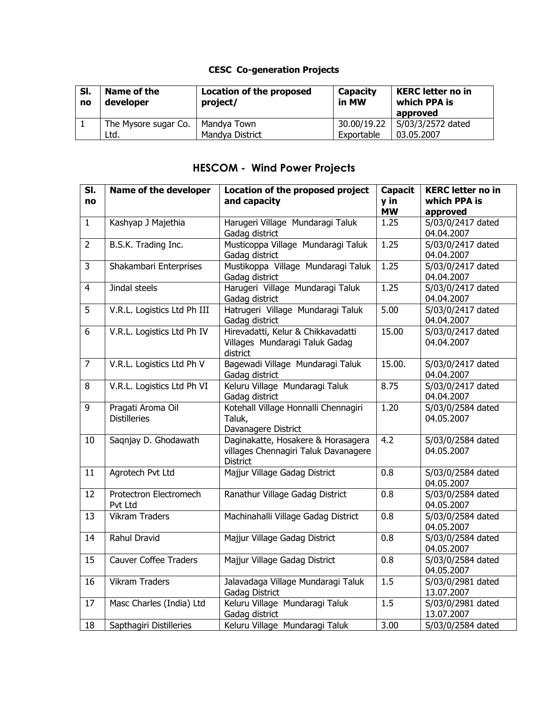### **CESC Co-generation Projects**

| SI.<br>no | Name of the<br>developer | <b>Location of the proposed</b><br>project/ | <b>Capacity</b><br>in MW | <b>KERC</b> letter no in<br>which PPA is<br>approved |
|-----------|--------------------------|---------------------------------------------|--------------------------|------------------------------------------------------|
|           | The Mysore sugar Co.     | Mandya Town                                 | 30.00/19.22              | S/03/3/2572 dated                                    |
|           | Ltd.                     | Mandya District                             | Exportable               | 03.05.2007                                           |

# **HESCOM - Wind Power Projects**

| SI.<br>no      | Name of the developer                    | Location of the proposed project<br>and capacity                                              | <b>Capacit</b><br>y in<br><b>MW</b> | <b>KERC letter no in</b><br>which PPA is<br>approved |
|----------------|------------------------------------------|-----------------------------------------------------------------------------------------------|-------------------------------------|------------------------------------------------------|
| $\mathbf{1}$   | Kashyap J Majethia                       | Harugeri Village Mundaragi Taluk<br>Gadag district                                            | 1.25                                | S/03/0/2417 dated<br>04.04.2007                      |
| $\overline{2}$ | B.S.K. Trading Inc.                      | Musticoppa Village Mundaragi Taluk<br>Gadag district                                          | 1.25                                | S/03/0/2417 dated<br>04.04.2007                      |
| $\overline{3}$ | Shakambari Enterprises                   | Mustikoppa Village Mundaragi Taluk<br>Gadag district                                          | 1.25                                | S/03/0/2417 dated<br>04.04.2007                      |
| $\overline{4}$ | Jindal steels                            | Harugeri Village Mundaragi Taluk<br>Gadag district                                            | 1.25                                | S/03/0/2417 dated<br>04.04.2007                      |
| 5              | V.R.L. Logistics Ltd Ph III              | Hatrugeri Village Mundaragi Taluk<br>Gadag district                                           | 5.00                                | S/03/0/2417 dated<br>04.04.2007                      |
| 6              | V.R.L. Logistics Ltd Ph IV               | Hirevadatti, Kelur & Chikkavadatti<br>Villages Mundaragi Taluk Gadag<br>district              | 15.00                               | S/03/0/2417 dated<br>04.04.2007                      |
| $\overline{7}$ | V.R.L. Logistics Ltd Ph V                | Bagewadi Village Mundaragi Taluk<br>Gadag district                                            | 15.00.                              | S/03/0/2417 dated<br>04.04.2007                      |
| 8              | V.R.L. Logistics Ltd Ph VI               | Keluru Village Mundaragi Taluk<br>Gadag district                                              | 8.75                                | S/03/0/2417 dated<br>04.04.2007                      |
| 9              | Pragati Aroma Oil<br><b>Distilleries</b> | Kotehall Village Honnalli Chennagiri<br>Taluk,<br>Davanagere District                         | 1.20                                | S/03/0/2584 dated<br>04.05.2007                      |
| 10             | Saqnjay D. Ghodawath                     | Daginakatte, Hosakere & Horasagera<br>villages Chennagiri Taluk Davanagere<br><b>District</b> | 4.2                                 | S/03/0/2584 dated<br>04.05.2007                      |
| 11             | Agrotech Pvt Ltd                         | Majjur Village Gadag District                                                                 | 0.8                                 | S/03/0/2584 dated<br>04.05.2007                      |
| 12             | Protectron Electromech<br>Pvt Ltd        | Ranathur Village Gadag District                                                               | 0.8                                 | S/03/0/2584 dated<br>04.05.2007                      |
| 13             | <b>Vikram Traders</b>                    | Machinahalli Village Gadag District                                                           | $\overline{0.8}$                    | S/03/0/2584 dated<br>04.05.2007                      |
| 14             | Rahul Dravid                             | Majjur Village Gadag District                                                                 | 0.8                                 | S/03/0/2584 dated<br>04.05.2007                      |
| 15             | <b>Cauver Coffee Traders</b>             | Majjur Village Gadag District                                                                 | 0.8                                 | S/03/0/2584 dated<br>04.05.2007                      |
| 16             | <b>Vikram Traders</b>                    | Jalavadaga Village Mundaragi Taluk<br>Gadag District                                          | 1.5                                 | S/03/0/2981 dated<br>13.07.2007                      |
| 17             | Masc Charles (India) Ltd                 | Keluru Village Mundaragi Taluk<br>Gadag district                                              | 1.5                                 | S/03/0/2981 dated<br>13.07.2007                      |
| 18             | Sapthagiri Distilleries                  | Keluru Village Mundaragi Taluk                                                                | 3.00                                | S/03/0/2584 dated                                    |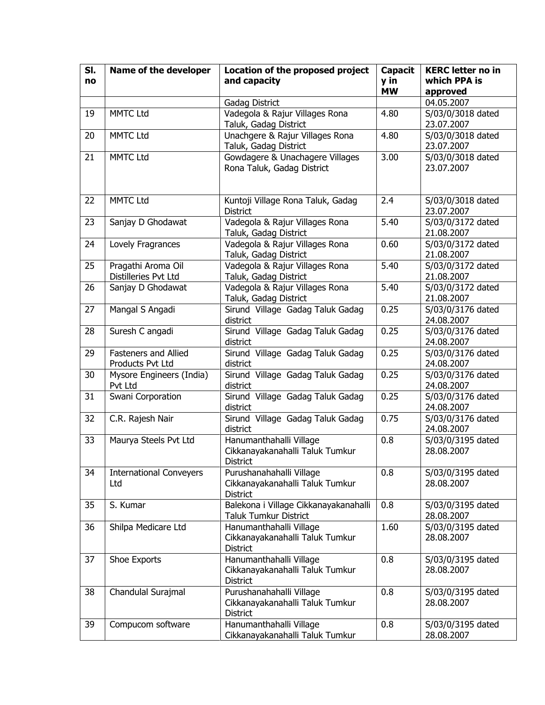| SI. | Name of the developer          | Location of the proposed project                  | <b>Capacit</b> | <b>KERC letter no in</b> |
|-----|--------------------------------|---------------------------------------------------|----------------|--------------------------|
| no  |                                | and capacity                                      | y in           | which PPA is             |
|     |                                |                                                   | <b>MW</b>      | approved                 |
|     |                                | Gadag District                                    |                | 04.05.2007               |
| 19  | <b>MMTC Ltd</b>                | Vadegola & Rajur Villages Rona                    | 4.80           | S/03/0/3018 dated        |
|     |                                | Taluk, Gadag District                             |                | 23.07.2007               |
| 20  | <b>MMTC Ltd</b>                | Unachgere & Rajur Villages Rona                   | 4.80           | S/03/0/3018 dated        |
|     |                                | Taluk, Gadag District                             |                | 23.07.2007               |
| 21  | <b>MMTC Ltd</b>                | Gowdagere & Unachagere Villages                   | 3.00           | S/03/0/3018 dated        |
|     |                                | Rona Taluk, Gadag District                        |                | 23.07.2007               |
|     |                                |                                                   |                |                          |
|     |                                |                                                   |                |                          |
| 22  | <b>MMTC Ltd</b>                | Kuntoji Village Rona Taluk, Gadag                 | 2.4            | S/03/0/3018 dated        |
|     |                                | <b>District</b>                                   |                | 23.07.2007               |
| 23  | Sanjay D Ghodawat              | Vadegola & Rajur Villages Rona                    | 5.40           | S/03/0/3172 dated        |
|     |                                | Taluk, Gadag District                             |                | 21.08.2007               |
| 24  | Lovely Fragrances              | Vadegola & Rajur Villages Rona                    | 0.60           | S/03/0/3172 dated        |
|     |                                | Taluk, Gadag District                             |                | 21.08.2007               |
| 25  | Pragathi Aroma Oil             | Vadegola & Rajur Villages Rona                    | 5.40           | S/03/0/3172 dated        |
|     | Distilleries Pvt Ltd           | Taluk, Gadag District                             |                | 21.08.2007               |
| 26  | Sanjay D Ghodawat              | Vadegola & Rajur Villages Rona                    | 5.40           | S/03/0/3172 dated        |
|     |                                | Taluk, Gadag District                             |                | 21.08.2007               |
| 27  | Mangal S Angadi                | Sirund Village Gadag Taluk Gadag                  | 0.25           | S/03/0/3176 dated        |
|     |                                | district                                          |                | 24.08.2007               |
| 28  | Suresh C angadi                | Sirund Village Gadag Taluk Gadag                  | 0.25           | S/03/0/3176 dated        |
|     |                                | district                                          |                | 24.08.2007               |
| 29  | Fasteners and Allied           | Sirund Village Gadag Taluk Gadag                  | 0.25           | S/03/0/3176 dated        |
|     | Products Pvt Ltd               | district                                          |                | 24.08.2007               |
| 30  | Mysore Engineers (India)       | Sirund Village Gadag Taluk Gadag                  | 0.25           | S/03/0/3176 dated        |
|     | Pvt Ltd                        | district                                          |                | 24.08.2007               |
| 31  | Swani Corporation              | Sirund Village Gadag Taluk Gadag                  | 0.25           | S/03/0/3176 dated        |
|     |                                | district                                          |                | 24.08.2007               |
| 32  | C.R. Rajesh Nair               | Sirund Village Gadag Taluk Gadag                  | 0.75           | S/03/0/3176 dated        |
|     |                                | district                                          |                | 24.08.2007               |
| 33  | Maurya Steels Pvt Ltd          | Hanumanthahalli Village                           | 0.8            | S/03/0/3195 dated        |
|     |                                | Cikkanayakanahalli Taluk Tumkur                   |                | 28.08.2007               |
|     |                                | District                                          |                |                          |
| 34  | <b>International Conveyers</b> | Purushanahahalli Village                          | 0.8            | S/03/0/3195 dated        |
|     | Ltd                            | Cikkanayakanahalli Taluk Tumkur                   |                | 28.08.2007               |
| 35  | S. Kumar                       | District<br>Balekona i Village Cikkanayakanahalli | 0.8            | S/03/0/3195 dated        |
|     |                                | <b>Taluk Tumkur District</b>                      |                | 28.08.2007               |
| 36  | Shilpa Medicare Ltd            | Hanumanthahalli Village                           | 1.60           | S/03/0/3195 dated        |
|     |                                | Cikkanayakanahalli Taluk Tumkur                   |                | 28.08.2007               |
|     |                                | <b>District</b>                                   |                |                          |
| 37  | Shoe Exports                   | Hanumanthahalli Village                           | 0.8            | S/03/0/3195 dated        |
|     |                                | Cikkanayakanahalli Taluk Tumkur                   |                | 28.08.2007               |
|     |                                | District                                          |                |                          |
| 38  | Chandulal Surajmal             | Purushanahahalli Village                          | 0.8            | S/03/0/3195 dated        |
|     |                                | Cikkanayakanahalli Taluk Tumkur                   |                | 28.08.2007               |
|     |                                | District                                          |                |                          |
| 39  | Compucom software              | Hanumanthahalli Village                           | 0.8            | S/03/0/3195 dated        |
|     |                                | Cikkanayakanahalli Taluk Tumkur                   |                | 28.08.2007               |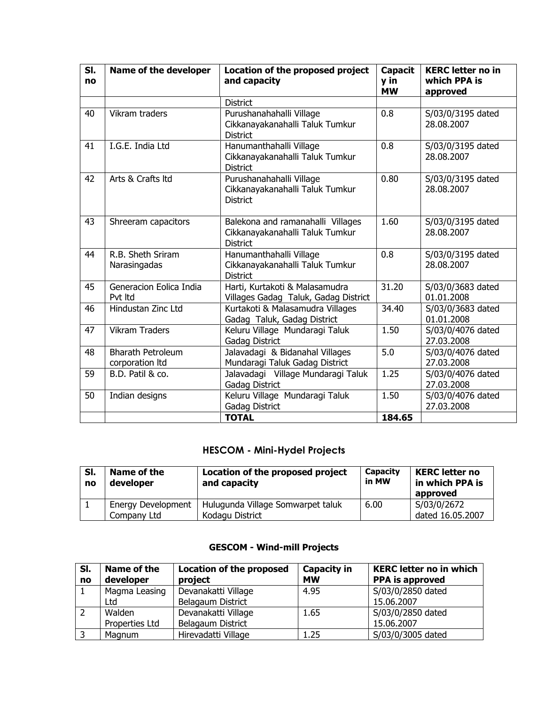| SI.<br>no | Name of the developer                       | Location of the proposed project<br>and capacity                                        | <b>Capacit</b><br>y in<br><b>MW</b> | <b>KERC</b> letter no in<br>which PPA is<br>approved |
|-----------|---------------------------------------------|-----------------------------------------------------------------------------------------|-------------------------------------|------------------------------------------------------|
|           |                                             | <b>District</b>                                                                         |                                     |                                                      |
| 40        | Vikram traders                              | Purushanahahalli Village<br>Cikkanayakanahalli Taluk Tumkur<br><b>District</b>          | 0.8                                 | S/03/0/3195 dated<br>28.08.2007                      |
| 41        | I.G.E. India Ltd                            | Hanumanthahalli Village<br>Cikkanayakanahalli Taluk Tumkur<br><b>District</b>           | 0.8                                 | S/03/0/3195 dated<br>28.08.2007                      |
| 42        | Arts & Crafts Itd                           | Purushanahahalli Village<br>Cikkanayakanahalli Taluk Tumkur<br><b>District</b>          | 0.80                                | S/03/0/3195 dated<br>28.08.2007                      |
| 43        | Shreeram capacitors                         | Balekona and ramanahalli Villages<br>Cikkanayakanahalli Taluk Tumkur<br><b>District</b> | 1.60                                | S/03/0/3195 dated<br>28.08.2007                      |
| 44        | R.B. Sheth Sriram<br>Narasingadas           | Hanumanthahalli Village<br>Cikkanayakanahalli Taluk Tumkur<br><b>District</b>           | 0.8                                 | S/03/0/3195 dated<br>28.08.2007                      |
| 45        | Generacion Eolica India<br>Pvt Itd          | Harti, Kurtakoti & Malasamudra<br>Villages Gadag Taluk, Gadag District                  | 31.20                               | S/03/0/3683 dated<br>01.01.2008                      |
| 46        | Hindustan Zinc Ltd                          | Kurtakoti & Malasamudra Villages<br>Gadag Taluk, Gadag District                         | 34.40                               | S/03/0/3683 dated<br>01.01.2008                      |
| 47        | <b>Vikram Traders</b>                       | Keluru Village Mundaragi Taluk<br>Gadag District                                        | 1.50                                | S/03/0/4076 dated<br>27.03.2008                      |
| 48        | <b>Bharath Petroleum</b><br>corporation Itd | Jalavadagi & Bidanahal Villages<br>Mundaragi Taluk Gadag District                       | 5.0                                 | S/03/0/4076 dated<br>27.03.2008                      |
| 59        | B.D. Patil & co.                            | Jalavadagi Village Mundaragi Taluk<br><b>Gadag District</b>                             | 1.25                                | S/03/0/4076 dated<br>27.03.2008                      |
| 50        | Indian designs                              | Keluru Village Mundaragi Taluk<br>Gadag District                                        | 1.50                                | S/03/0/4076 dated<br>27.03.2008                      |
|           |                                             | <b>TOTAL</b>                                                                            | 184.65                              |                                                      |

# **HESCOM - Mini-Hydel Projects**

| SI.<br>no | Name of the<br>developer | Location of the proposed project<br>and capacity | Capacity<br>in MW | <b>KERC letter no</b><br>in which PPA is<br>approved |
|-----------|--------------------------|--------------------------------------------------|-------------------|------------------------------------------------------|
|           | Energy Development       | Hulugunda Village Somwarpet taluk                | 6.00              | S/03/0/2672                                          |
|           | Company Ltd              | Kodagu District                                  |                   | dated 16.05.2007                                     |

### **GESCOM - Wind-mill Projects**

| SI. | Name of the    | <b>Location of the proposed</b> | <b>Capacity in</b> | <b>KERC letter no in which</b> |
|-----|----------------|---------------------------------|--------------------|--------------------------------|
| no  | developer      | project                         | <b>MW</b>          | <b>PPA</b> is approved         |
|     | Magma Leasing  | Devanakatti Village             | 4.95               | S/03/0/2850 dated              |
|     | Ltd            | Belagaum District               |                    | 15.06.2007                     |
|     | Walden         | Devanakatti Village             | 1.65               | S/03/0/2850 dated              |
|     | Properties Ltd | Belagaum District               |                    | 15.06.2007                     |
|     | Magnum         | Hirevadatti Village             | 1.25               | S/03/0/3005 dated              |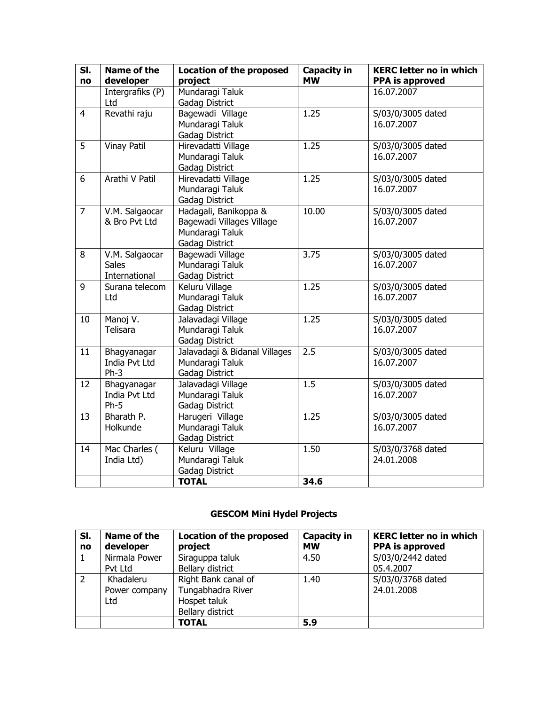| SI.<br>no      | <b>Name of the</b><br>developer                 | <b>Location of the proposed</b><br>project                                              | <b>Capacity in</b><br><b>MW</b> | <b>KERC letter no in which</b><br><b>PPA is approved</b> |
|----------------|-------------------------------------------------|-----------------------------------------------------------------------------------------|---------------------------------|----------------------------------------------------------|
|                | Intergrafiks (P)<br>Ltd                         | Mundaragi Taluk<br>Gadag District                                                       |                                 | 16.07.2007                                               |
| $\overline{4}$ | Revathi raju                                    | Bagewadi Village<br>Mundaragi Taluk<br>Gadag District                                   | 1.25                            | S/03/0/3005 dated<br>16.07.2007                          |
| $\overline{5}$ | <b>Vinay Patil</b>                              | Hirevadatti Village<br>Mundaragi Taluk<br>Gadag District                                | 1.25                            | S/03/0/3005 dated<br>16.07.2007                          |
| 6              | Arathi V Patil                                  | Hirevadatti Village<br>Mundaragi Taluk<br>Gadag District                                | 1.25                            | S/03/0/3005 dated<br>16.07.2007                          |
| $\overline{7}$ | V.M. Salgaocar<br>& Bro Pvt Ltd                 | Hadagali, Banikoppa &<br>Bagewadi Villages Village<br>Mundaragi Taluk<br>Gadag District | 10.00                           | S/03/0/3005 dated<br>16.07.2007                          |
| 8              | V.M. Salgaocar<br><b>Sales</b><br>International | Bagewadi Village<br>Mundaragi Taluk<br>Gadag District                                   | 3.75                            | S/03/0/3005 dated<br>16.07.2007                          |
| 9              | Surana telecom<br>Ltd                           | Keluru Village<br>Mundaragi Taluk<br>Gadag District                                     | 1.25                            | S/03/0/3005 dated<br>16.07.2007                          |
| 10             | Manoj V.<br>Telisara                            | Jalavadagi Village<br>Mundaragi Taluk<br>Gadag District                                 | 1.25                            | S/03/0/3005 dated<br>16.07.2007                          |
| 11             | Bhagyanagar<br>India Pvt Ltd<br>$Ph-3$          | Jalavadagi & Bidanal Villages<br>Mundaragi Taluk<br>Gadag District                      | 2.5                             | S/03/0/3005 dated<br>16.07.2007                          |
| 12             | Bhagyanagar<br>India Pvt Ltd<br>$Ph-5$          | Jalavadagi Village<br>Mundaragi Taluk<br>Gadag District                                 | 1.5                             | S/03/0/3005 dated<br>16.07.2007                          |
| 13             | Bharath P.<br>Holkunde                          | Harugeri Village<br>Mundaragi Taluk<br>Gadag District                                   | 1.25                            | S/03/0/3005 dated<br>16.07.2007                          |
| 14             | Mac Charles (<br>India Ltd)                     | Keluru Village<br>Mundaragi Taluk<br>Gadag District                                     | 1.50                            | S/03/0/3768 dated<br>24.01.2008                          |
|                |                                                 | <b>TOTAL</b>                                                                            | 34.6                            |                                                          |

# **GESCOM Mini Hydel Projects**

| SI.<br>no | Name of the<br>developer | <b>Location of the proposed</b><br>project | <b>Capacity in</b><br><b>MW</b> | <b>KERC letter no in which</b><br><b>PPA</b> is approved |
|-----------|--------------------------|--------------------------------------------|---------------------------------|----------------------------------------------------------|
|           | Nirmala Power            | Siraguppa taluk                            | 4.50                            | S/03/0/2442 dated                                        |
|           | Pvt Ltd                  | Bellary district                           |                                 | 05.4.2007                                                |
| 2         | Khadaleru                | Right Bank canal of                        | 1.40                            | S/03/0/3768 dated                                        |
|           | Power company            | Tungabhadra River                          |                                 | 24.01.2008                                               |
|           | Ltd                      | Hospet taluk                               |                                 |                                                          |
|           |                          | Bellary district                           |                                 |                                                          |
|           |                          | <b>TOTAL</b>                               | 5.9                             |                                                          |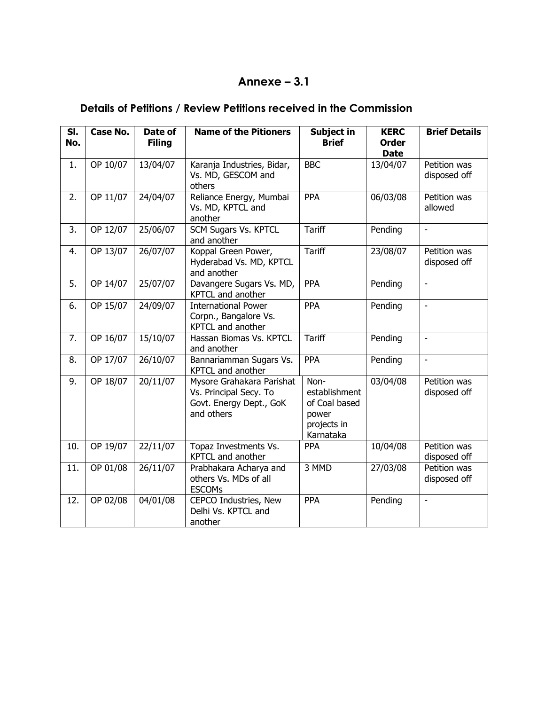# **Annexe – 3.1**

# **Details of Petitions / Review Petitions received in the Commission**

| SI.<br>No. | Case No. | Date of<br><b>Filing</b> | <b>Name of the Pitioners</b>                                                                 | Subject in<br><b>Brief</b>                                                  | <b>KERC</b><br><b>Order</b><br><b>Date</b> | <b>Brief Details</b>         |
|------------|----------|--------------------------|----------------------------------------------------------------------------------------------|-----------------------------------------------------------------------------|--------------------------------------------|------------------------------|
| 1.         | OP 10/07 | 13/04/07                 | Karanja Industries, Bidar,<br>Vs. MD, GESCOM and<br>others                                   | <b>BBC</b>                                                                  | 13/04/07                                   | Petition was<br>disposed off |
| 2.         | OP 11/07 | 24/04/07                 | Reliance Energy, Mumbai<br>Vs. MD, KPTCL and<br>another                                      | PPA                                                                         | 06/03/08                                   | Petition was<br>allowed      |
| 3.         | OP 12/07 | 25/06/07                 | <b>SCM Sugars Vs. KPTCL</b><br>and another                                                   | <b>Tariff</b>                                                               | Pending                                    | $\blacksquare$               |
| 4.         | OP 13/07 | 26/07/07                 | Koppal Green Power,<br>Hyderabad Vs. MD, KPTCL<br>and another                                | <b>Tariff</b>                                                               | 23/08/07                                   | Petition was<br>disposed off |
| 5.         | OP 14/07 | 25/07/07                 | Davangere Sugars Vs. MD,<br>KPTCL and another                                                | PPA                                                                         | Pending                                    | $\frac{1}{2}$                |
| 6.         | OP 15/07 | 24/09/07                 | <b>International Power</b><br>Corpn., Bangalore Vs.<br>KPTCL and another                     | PPA                                                                         | Pending                                    | $\overline{\phantom{a}}$     |
| 7.         | OP 16/07 | 15/10/07                 | Hassan Biomas Vs. KPTCL<br>and another                                                       | <b>Tariff</b>                                                               | Pending                                    | $\frac{1}{2}$                |
| 8.         | OP 17/07 | 26/10/07                 | Bannariamman Sugars Vs.<br>KPTCL and another                                                 | PPA                                                                         | Pending                                    | $\blacksquare$               |
| 9.         | OP 18/07 | 20/11/07                 | Mysore Grahakara Parishat<br>Vs. Principal Secy. To<br>Govt. Energy Dept., GoK<br>and others | Non-<br>establishment<br>of Coal based<br>power<br>projects in<br>Karnataka | 03/04/08                                   | Petition was<br>disposed off |
| 10.        | OP 19/07 | 22/11/07                 | Topaz Investments Vs.<br>KPTCL and another                                                   | <b>PPA</b>                                                                  | 10/04/08                                   | Petition was<br>disposed off |
| 11.        | OP 01/08 | 26/11/07                 | Prabhakara Acharya and<br>others Vs. MDs of all<br><b>ESCOMs</b>                             | 3 MMD                                                                       | 27/03/08                                   | Petition was<br>disposed off |
| 12.        | OP 02/08 | 04/01/08                 | CEPCO Industries, New<br>Delhi Vs. KPTCL and<br>another                                      | PPA                                                                         | Pending                                    | $\blacksquare$               |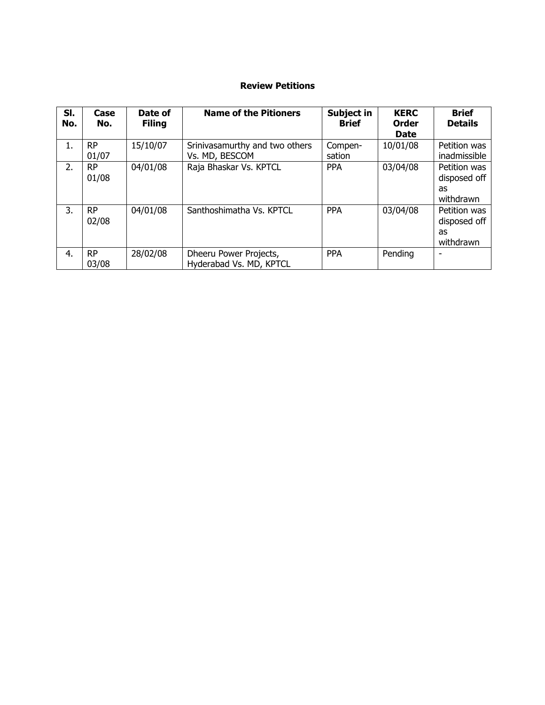#### **Review Petitions**

| SI.<br>No. | Case<br>No.  | Date of<br><b>Filing</b> | <b>Name of the Pitioners</b>                      | Subject in<br><b>Brief</b> | <b>KERC</b><br><b>Order</b><br><b>Date</b> | <b>Brief</b><br><b>Details</b>                  |
|------------|--------------|--------------------------|---------------------------------------------------|----------------------------|--------------------------------------------|-------------------------------------------------|
| 1.         | RP.<br>01/07 | 15/10/07                 | Srinivasamurthy and two others<br>Vs. MD, BESCOM  | Compen-<br>sation          | 10/01/08                                   | Petition was<br>inadmissible                    |
| 2.         | RP.<br>01/08 | 04/01/08                 | Raja Bhaskar Vs. KPTCL                            | <b>PPA</b>                 | 03/04/08                                   | Petition was<br>disposed off<br>as<br>withdrawn |
| 3.         | RP.<br>02/08 | 04/01/08                 | Santhoshimatha Vs. KPTCL                          | <b>PPA</b>                 | 03/04/08                                   | Petition was<br>disposed off<br>as<br>withdrawn |
| -4.        | RP.<br>03/08 | 28/02/08                 | Dheeru Power Projects,<br>Hyderabad Vs. MD, KPTCL | <b>PPA</b>                 | Pending                                    | ۰                                               |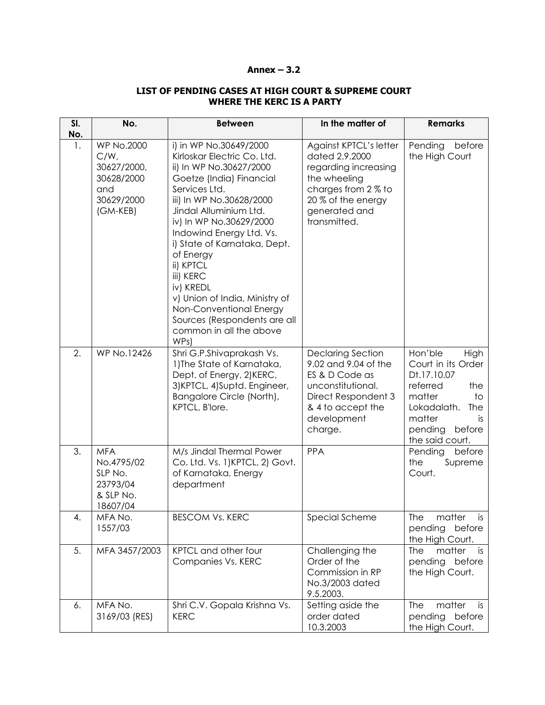#### **Annex – 3.2**

#### **LIST OF PENDING CASES AT HIGH COURT & SUPREME COURT WHERE THE KERC IS A PARTY**

| SI.<br>No. | No.                                                                                        | <b>Between</b>                                                                                                                                                                                                                                                                                                                                                                                                                                                 | In the matter of                                                                                                                                               | <b>Remarks</b>                                                                                                                                                        |
|------------|--------------------------------------------------------------------------------------------|----------------------------------------------------------------------------------------------------------------------------------------------------------------------------------------------------------------------------------------------------------------------------------------------------------------------------------------------------------------------------------------------------------------------------------------------------------------|----------------------------------------------------------------------------------------------------------------------------------------------------------------|-----------------------------------------------------------------------------------------------------------------------------------------------------------------------|
| 1.         | <b>WP No.2000</b><br>$C/W$ ,<br>30627/2000,<br>30628/2000<br>and<br>30629/2000<br>(GM-KEB) | i) in WP No.30649/2000<br>Kirloskar Electric Co. Ltd.<br>ii) In WP No.30627/2000<br>Goetze (India) Financial<br>Services Ltd.<br>iii) In WP No.30628/2000<br>Jindal Alluminium Ltd.<br>iv) In WP No.30629/2000<br>Indowind Energy Ltd. Vs.<br>i) State of Karnataka, Dept.<br>of Energy<br>ii) KPTCL<br>iii) KERC<br>iv) KREDL<br>v) Union of India, Ministry of<br>Non-Conventional Energy<br>Sources (Respondents are all<br>common in all the above<br>WPs) | Against KPTCL's letter<br>dated 2.9.2000<br>regarding increasing<br>the wheeling<br>charges from 2 % to<br>20 % of the energy<br>generated and<br>transmitted. | Pending<br>before<br>the High Court                                                                                                                                   |
| 2.         | <b>WP No.12426</b>                                                                         | Shri G.P.Shivaprakash Vs.<br>1) The State of Karnataka,<br>Dept. of Energy, 2)KERC,<br>3) KPTCL, 4) Suptd. Engineer,<br>Bangalore Circle (North),<br>KPTCL, B'lore.                                                                                                                                                                                                                                                                                            | <b>Declaring Section</b><br>9.02 and 9.04 of the<br>ES & D Code as<br>unconstitutional.<br>Direct Respondent 3<br>& 4 to accept the<br>development<br>charge.  | Hon'ble<br>High<br>Court in its Order<br>Dt.17.10.07<br>referred<br>the<br>matter<br>to<br>Lokadalath.<br>The<br>matter<br>İS<br>pending<br>before<br>the said court. |
| 3.         | <b>MFA</b><br>No.4795/02<br>SLP No.<br>23793/04<br>& SLP No.<br>18607/04                   | M/s Jindal Thermal Power<br>Co. Ltd. Vs. 1) KPTCL, 2) Govt.<br>of Karnataka, Energy<br>department                                                                                                                                                                                                                                                                                                                                                              | <b>PPA</b>                                                                                                                                                     | before<br>Pending<br>the<br>Supreme<br>Court.                                                                                                                         |
| 4.         | MFA No.<br>1557/03                                                                         | <b>BESCOM Vs. KERC</b>                                                                                                                                                                                                                                                                                                                                                                                                                                         | Special Scheme                                                                                                                                                 | The<br>matter<br>is<br>before<br>pending<br>the High Court.                                                                                                           |
| 5.         | MFA 3457/2003                                                                              | KPTCL and other four<br>Companies Vs. KERC                                                                                                                                                                                                                                                                                                                                                                                                                     | Challenging the<br>Order of the<br>Commission in RP<br>No.3/2003 dated<br>9.5.2003.                                                                            | matter<br><b>The</b><br>is i<br>pending<br>before<br>the High Court.                                                                                                  |
| 6.         | MFA No.<br>3169/03 (RES)                                                                   | Shri C.V. Gopala Krishna Vs.<br><b>KERC</b>                                                                                                                                                                                                                                                                                                                                                                                                                    | Setting aside the<br>order dated<br>10.3.2003                                                                                                                  | matter<br>The<br>is<br>pending<br>before<br>the High Court.                                                                                                           |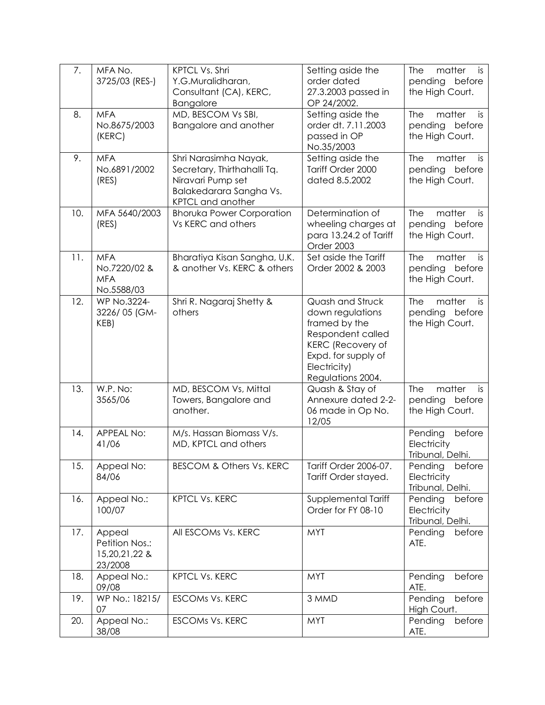| 7.  | MFA No.<br>3725/03 (RES-)                               | KPTCL Vs. Shri<br>Y.G.Muralidharan,<br>Consultant (CA), KERC,<br><b>Bangalore</b>                                                | Setting aside the<br>order dated<br>27.3.2003 passed in<br>OP 24/2002.                                                                                             | matter<br>The<br>is<br>pending before<br>the High Court.           |
|-----|---------------------------------------------------------|----------------------------------------------------------------------------------------------------------------------------------|--------------------------------------------------------------------------------------------------------------------------------------------------------------------|--------------------------------------------------------------------|
| 8.  | <b>MFA</b><br>No.8675/2003<br>(KERC)                    | MD, BESCOM Vs SBI,<br>Bangalore and another                                                                                      | Setting aside the<br>order dt. 7.11.2003<br>passed in OP<br>No.35/2003                                                                                             | matter<br><b>The</b><br>is<br>pending before<br>the High Court.    |
| 9.  | <b>MFA</b><br>No.6891/2002<br>(RES)                     | Shri Narasimha Nayak,<br>Secretary, Thirthahalli Tq.<br>Niravari Pump set<br>Balakedarara Sangha Vs.<br><b>KPTCL and another</b> | Setting aside the<br>Tariff Order 2000<br>dated 8.5.2002                                                                                                           | <b>The</b><br>matter<br>is<br>pending before<br>the High Court.    |
| 10. | MFA 5640/2003<br>(RES)                                  | <b>Bhoruka Power Corporation</b><br>Vs KERC and others                                                                           | Determination of<br>wheeling charges at<br>para 13.24.2 of Tariff<br>Order 2003                                                                                    | <b>The</b><br>matter<br>is<br>pending<br>before<br>the High Court. |
| 11. | <b>MFA</b><br>No.7220/02 &<br><b>MFA</b><br>No.5588/03  | Bharatiya Kisan Sangha, U.K.<br>& another Vs. KERC & others                                                                      | Set aside the Tariff<br>Order 2002 & 2003                                                                                                                          | matter<br>The<br>is<br>pending<br>before<br>the High Court.        |
| 12. | WP No.3224-<br>3226/05 (GM-<br>KEB)                     | Shri R. Nagaraj Shetty &<br>others                                                                                               | Quash and Struck<br>down regulations<br>framed by the<br>Respondent called<br><b>KERC</b> (Recovery of<br>Expd. for supply of<br>Electricity)<br>Regulations 2004. | matter<br><b>The</b><br>is<br>pending before<br>the High Court.    |
| 13. | W.P. No:<br>3565/06                                     | MD, BESCOM Vs, Mittal<br>Towers, Bangalore and<br>another.                                                                       | Quash & Stay of<br>Annexure dated 2-2-<br>06 made in Op No.<br>12/05                                                                                               | matter<br><b>The</b><br>is<br>pending<br>before<br>the High Court. |
| 14. | <b>APPEAL No:</b><br>41/06                              | M/s. Hassan Biomass V/s.<br>MD, KPTCL and others                                                                                 |                                                                                                                                                                    | Pending<br>before<br>Electricity<br>Tribunal, Delhi.               |
| 15. | Appeal No:<br>84/06                                     | <b>BESCOM &amp; Others Vs. KERC</b>                                                                                              | Tariff Order 2006-07.<br>Tariff Order stayed.                                                                                                                      | Pending<br>before<br>Electricity<br>Tribunal, Delhi.               |
| 16. | Appeal No.:<br>100/07                                   | <b>KPTCL Vs. KERC</b>                                                                                                            | Supplemental Tariff<br>Order for FY 08-10                                                                                                                          | Pending<br>before<br>Electricity<br>Tribunal, Delhi.               |
| 17. | Appeal<br>Petition Nos.:<br>15, 20, 21, 22 &<br>23/2008 | All ESCOMs Vs. KERC                                                                                                              | <b>MYT</b>                                                                                                                                                         | Pending<br>before<br>ATE.                                          |
| 18. | Appeal No.:<br>09/08                                    | <b>KPTCL Vs. KERC</b>                                                                                                            | <b>MYT</b>                                                                                                                                                         | Pending<br>before<br>ATE.                                          |
| 19. | WP No.: 18215/<br>07                                    | <b>ESCOMS Vs. KERC</b>                                                                                                           | 3 MMD                                                                                                                                                              | Pending<br>before<br>High Court.                                   |
| 20. | Appeal No.:<br>38/08                                    | <b>ESCOMS Vs. KERC</b>                                                                                                           | <b>MYT</b>                                                                                                                                                         | Pending<br>before<br>ATE.                                          |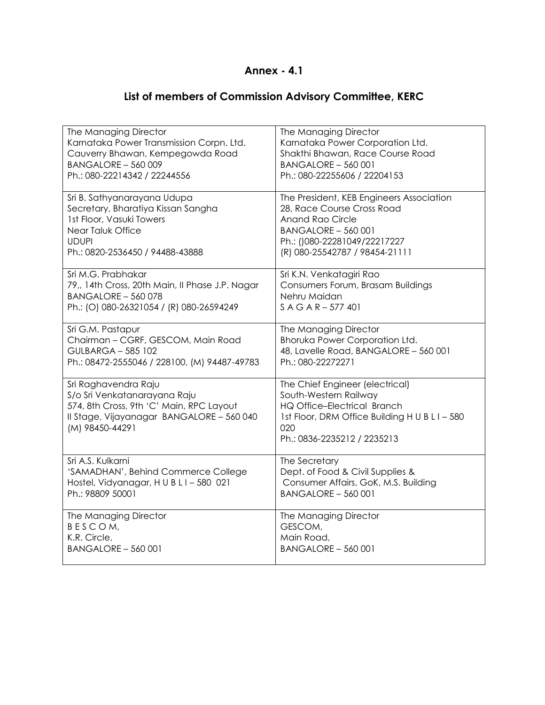## **Annex - 4.1**

## **List of members of Commission Advisory Committee, KERC**

| The Managing Director                                                                                                                                            | The Managing Director                                                                                                                                                           |
|------------------------------------------------------------------------------------------------------------------------------------------------------------------|---------------------------------------------------------------------------------------------------------------------------------------------------------------------------------|
| Karnataka Power Transmission Corpn. Ltd.                                                                                                                         | Karnataka Power Corporation Ltd.                                                                                                                                                |
| Cauverry Bhawan, Kempegowda Road                                                                                                                                 | Shakthi Bhawan, Race Course Road                                                                                                                                                |
| BANGALORE - 560 009                                                                                                                                              | <b>BANGALORE - 560 001</b>                                                                                                                                                      |
| Ph.: 080-22214342 / 22244556                                                                                                                                     | Ph.: 080-22255606 / 22204153                                                                                                                                                    |
| Sri B. Sathyanarayana Udupa                                                                                                                                      | The President, KEB Engineers Association                                                                                                                                        |
| Secretary, Bharatiya Kissan Sangha                                                                                                                               | 28, Race Course Cross Road                                                                                                                                                      |
| 1st Floor, Vasuki Towers                                                                                                                                         | <b>Anand Rao Circle</b>                                                                                                                                                         |
| Near Taluk Office                                                                                                                                                | <b>BANGALORE - 560 001</b>                                                                                                                                                      |
| <b>UDUPI</b>                                                                                                                                                     | Ph.: ()080-22281049/22217227                                                                                                                                                    |
| Ph.: 0820-2536450 / 94488-43888                                                                                                                                  | (R) 080-25542787 / 98454-21111                                                                                                                                                  |
| Sri M.G. Prabhakar                                                                                                                                               | Sri K.N. Venkatagiri Rao                                                                                                                                                        |
| 79,, 14th Cross, 20th Main, Il Phase J.P. Nagar                                                                                                                  | Consumers Forum, Brasam Buildings                                                                                                                                               |
| BANGALORE - 560 078                                                                                                                                              | Nehru Maidan                                                                                                                                                                    |
| Ph.: (O) 080-26321054 / (R) 080-26594249                                                                                                                         | $S A G A R - 577 401$                                                                                                                                                           |
| Sri G.M. Pastapur                                                                                                                                                | The Managing Director                                                                                                                                                           |
| Chairman - CGRF, GESCOM, Main Road                                                                                                                               | Bhoruka Power Corporation Ltd.                                                                                                                                                  |
| <b>GULBARGA - 585 102</b>                                                                                                                                        | 48, Lavelle Road, BANGALORE - 560 001                                                                                                                                           |
| Ph.: 08472-2555046 / 228100, (M) 94487-49783                                                                                                                     | Ph.: 080-22272271                                                                                                                                                               |
| Sri Raghavendra Raju<br>S/o Sri Venkatanarayana Raju<br>574, 8th Cross, 9th 'C' Main, RPC Layout<br>Il Stage, Vijayanagar BANGALORE - 560 040<br>(M) 98450-44291 | The Chief Engineer (electrical)<br>South-Western Railway<br>HQ Office-Electrical Branch<br>1st Floor, DRM Office Building H U B L I - 580<br>020<br>Ph.: 0836-2235212 / 2235213 |
| Sri A.S. Kulkarni                                                                                                                                                | The Secretary                                                                                                                                                                   |
| 'SAMADHAN', Behind Commerce College                                                                                                                              | Dept. of Food & Civil Supplies &                                                                                                                                                |
| Hostel, Vidyanagar, HUBLI-580 021                                                                                                                                | Consumer Affairs, GoK, M.S. Building                                                                                                                                            |
| Ph.: 98809 50001                                                                                                                                                 | <b>BANGALORE - 560 001</b>                                                                                                                                                      |
| The Managing Director                                                                                                                                            | The Managing Director                                                                                                                                                           |
| BESCOM,                                                                                                                                                          | GESCOM,                                                                                                                                                                         |
| K.R. Circle,                                                                                                                                                     | Main Road,                                                                                                                                                                      |
| <b>BANGALORE - 560 001</b>                                                                                                                                       | <b>BANGALORE - 560 001</b>                                                                                                                                                      |